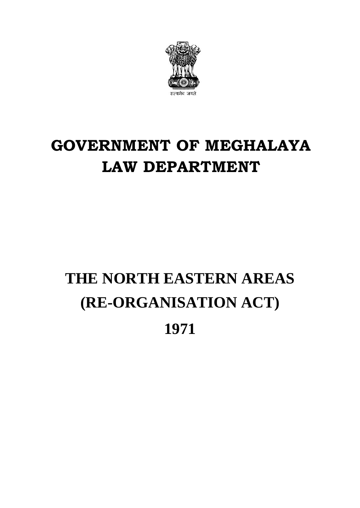

### **GOVERNMENT OF MEGHALAYA LAW DEPARTMENT**

# **THE NORTH EASTERN AREAS (RE-ORGANISATION ACT)**

**1971**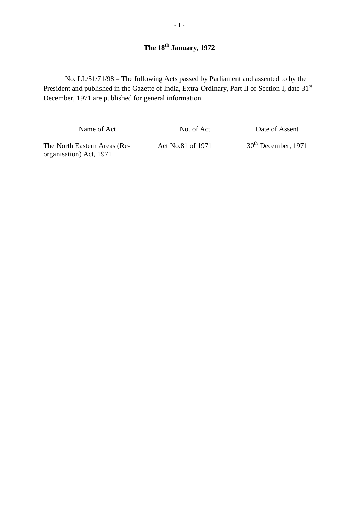No. LL/51/71/98 – The following Acts passed by Parliament and assented to by the President and published in the Gazette of India, Extra-Ordinary, Part II of Section I, date 31<sup>st</sup> December, 1971 are published for general information.

Name of Act No. of Act Date of Assent

Name of Act<br>
No. of Act<br>
No. of Act<br>
Date of Assent<br>
The North Eastern Areas (Re-<br>
Act No.81 of 1971 30<sup>th</sup> December, 1971<br>
30<sup>th</sup> December, 1971 organisation) Act, 1971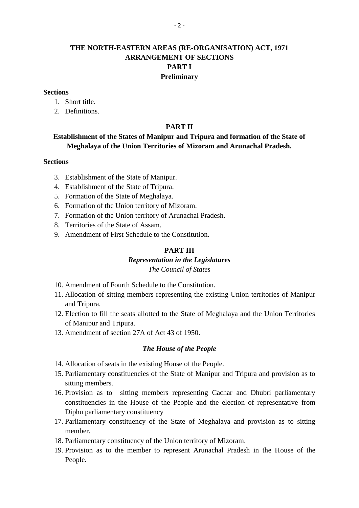### **THE NORTH-EASTERN AREAS (RE-ORGANISATION) ACT, 1971 ARRANGEMENT OF SECTIONS PART I Preliminary tions**<br>1. Short title.<br>2. Definitions. tions<br>1. Short title.<br>2. Definitions.

### **Sections**

- 
- 

#### **PART II**

# **Establishment of the States of Manipur and Tripura and formation of the State of**<br> **Meghalaya of the Union Territories of Mizoram and Arunachal Pradesh.**<br> **Consider tions**<br> **S.** Establishment of the State of Manipur.<br> **4.** Meghalaya of the Union Territories of Mizoram and Arunachal Pradesh.<br> **1.** Establishment of the State of Manipur.<br>
4. Establishment of the State of Tripura.<br>
5. Formation of the State of Meghalaya.

#### **Sections**

- 
- 
- 
- 5. Establishment of the State of Manipur.<br>4. Establishment of the State of Tripura.<br>5. Formation of the State of Meghalaya.<br>6. Formation of the Union territory of Mizoram.
- 4. Establishment of the State of Manipur.<br>4. Establishment of the State of Tripura.<br>5. Formation of the State of Meghalaya.<br>6. Formation of the Union territory of Mizoram.<br>7. Formation of the Union territory of Arunachal P 7. Establishment of the State of Manipur.<br>
4. Establishment of the State of Tripura.<br>
5. Formation of the State of Meghalaya.<br>
6. Formation of the Union territory of Mizoram.<br>
7. Formation of the Union territory of Arunach 1. Establishment of the State of Tripura.<br>
5. Formation of the State of Meghalaya.<br>
6. Formation of the Union territory of Mizoram.<br>
7. Formation of the Union territory of Arunachal Pra<br>
8. Territories of the State of Assa 5. Formation of the State of Meghalaya.<br>6. Formation of the Union territory of Mizoram.<br>7. Formation of the Union territory of Arunachal Pradesh<br>8. Territories of the State of Assam.<br>9. Amendment of First Schedule to the C
- 
- 

#### **PART III**

#### *Representation in the Legislatures*

#### *The Council of States*

- 
- **10. Amendment of Fourth Schedule to the Council of States**<br>10. Amendment of Fourth Schedule to the Constitution.<br>11. Allocation of sitting members representing the existing 11. **Representation in the Legislatures**<br>
10. Amendment of Fourth Schedule to the Constitution.<br>
11. Allocation of sitting members representing the existing Union territories of Manipur<br>
11. Allocation of sitting members r and Tripura.
- 10. Amendment of Fourth Schedule to the Constitution.<br>
11. Allocation of sitting members representing the existing Union territories of Manipur<br>
12. Election to fill the seats allotted to the State of Meghalaya and the Uni of Manipur and Tripura. 11. Allocation of sitting members representing the exi<br>and Tripura.<br>12. Election to fill the seats allotted to the State of Me<br>of Manipur and Tripura.<br>13. Amendment of section 27A of Act 43 of 1950.
- 

#### *The House of the People*

- 
- of Manipur and Tripura.<br>
13. Amendment of section 27A of Act 43 of 1950.<br> **The House of the People**<br>
14. Allocation of seats in the existing House of the People.<br>
15. Parliamentary constituencies of the State of Manipur an 13. Amendment of section 27A of Act 43 of 1950.<br> **The House of the People**<br>
14. Allocation of seats in the existing House of the People.<br>
15. Parliamentary constituencies of the State of Manipur and Tripura and provision a sitting members.
- **14.** Allocation of seats in the existing House of the People.<br>15. Parliamentary constituencies of the State of Manipur and Tripura and provision as to<br>sitting members.<br>16. Provision as to sitting members representing Cach Allocation of seats in the existing House of the People.<br>Parliamentary constituencies of the State of Manipur and Tripura and provision as to<br>sitting members.<br>Provision as to sitting members representing Cachar and Dhubri Diphu parliamentary constituency 17. Parliamentary constituency of the State of Meghalaya and provision as to sitting Diphu parliamentary constituency<br>17. Parliamentary constituency of the State of Meghalaya and provision as to sitting<br>17. Parliamentary c 18. Parliamentary constituency<br>
18. Parliamentary constituency<br>
18. Parliamentary constituency of the State of Meghalaya and provement<br>
18. Parliamentary constituency of the Union territory of Mizoram.<br>
19. Provision as to
- member.
- 
- 19. Parliamentary constituency<br>
17. Parliamentary constituency of the State of Meghalaya and provision as to sitting<br>
19. Parliamentary constituency of the Union territory of Mizoram.<br>
19. Provision as to the member to rep People.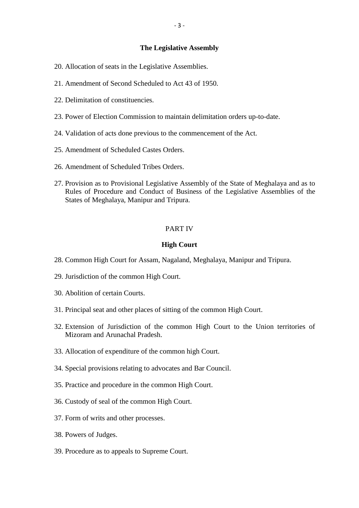#### **The Legislative Assembly**

- 20. Allocation of seats in the Legislative Assembly<br>20. Allocation of seats in the Legislative Assemblies. 20. Allocation of seats in the Legislativ<br>21. Amendment of Second Scheduled t<br>22. Delimitation of constituencies.
- The Legislative Assembly<br>20. Allocation of seats in the Legislative Assemblies.<br>21. Amendment of Second Scheduled to Act 43 of 1950.
- 
- 21. Amendment of Second Scheduled to Act 43 of 1950.<br>22. Delimitation of constituencies.<br>23. Power of Election Commission to maintain delimitation orders up-to-date. 22. Delimitation of constituencies.<br>23. Power of Election Commission to maintain delimitation orders up-to-d<br>24. Validation of acts done previous to the commencement of the Act. 23. Power of Election Commission to maintain de<br>24. Validation of acts done previous to the comm<br>25. Amendment of Scheduled Castes Orders.
- 
- 
- 
- 24. Validation of acts done previous to the commencement of the Act.<br>25. Amendment of Scheduled Castes Orders.<br>26. Amendment of Scheduled Tribes Orders.<br>27. Provision as to Provisional Legislative Assembly of the State of 25. Amendment of Scheduled Castes Orders.<br>26. Amendment of Scheduled Tribes Orders.<br>27. Provision as to Provisional Legislative Assembly of the State of Meghalaya and as to<br>Rules of Procedure and Conduct of Business of the Amendment of Scheduled Castes Orders.<br>Amendment of Scheduled Tribes Orders.<br>Provision as to Provisional Legislative Assembly of the State of Meghalaya and as to<br>Rules of Procedure and Conduct of Business of the Legislative States of Meghalaya, Manipur and Tripura.

#### PART IV

#### **High Court**

- 28. Common High Court for Assam, Nagaland, Meghalaya, Manipur and Tripura. **29. Common High Court for Assam, Nagaland, 19. Jurisdiction of the common High Court.** 28. Common High Court for Assam<br>29. Jurisdiction of the common High<br>30. Abolition of certain Courts.
- 
- 
- 1931. Jurisdiction of the common High Court.<br>30. Abolition of certain Courts.<br>31. Principal seat and other places of sitting of the common High Court.
- 30. Abolition of certain Courts.<br>31. Principal seat and other places of sitting of the common High Court.<br>32. Extension of Jurisdiction of the common High Court to the Union territories of<br>Mizoram and Arunachal Pradesh. Mizoram and Arunachal Pradesh. 31. Principal seat and other places of sitting of the common H<br>32. Extension of Jurisdiction of the common High Court.<br>Mizoram and Arunachal Pradesh.<br>33. Allocation of expenditure of the common high Court. 32. Extension of Jurisdiction of the common High Court to 1<br>Mizoram and Arunachal Pradesh.<br>33. Allocation of expenditure of the common high Court.<br>34. Special provisions relating to advocates and Bar Council.
- 
- 33. Allocation of expenditure of the common high Court.<br>34. Special provisions relating to advocates and Bar Counci<br>35. Practice and procedure in the common High Court. 34. Special provisions relating to advocates and Bar 35. Practice and procedure in the common High Court.
- 35. Practice and procedure in the common High Court.<br>36. Custody of seal of the common High Court.<br>37. Form of writs and other processes.<br>38. Powers of Judges.
- 
- 37. Form of writs and other processes.
- 
- 39. Procedure as to appeals to Supreme Court.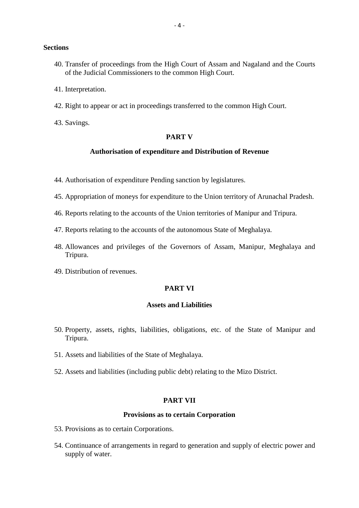#### **Sections**

- tions<br>40. Transfer of proceedings from the High Court of Assam and Nagaland and the Courts<br>60 of the Judicial Commissioners to the common High Court. of the Judicial Commissioners to the common High Court. **40.** Transfer of procee of the Judicial Con 41. Interpretation.
- 41. Interpretation.
- 42. Right to appear or act in proceedings transferred to the common High Court.
- 

#### **PART V**

#### **Authorisation of expenditure and Distribution of Revenue**

- 44. Authorisation of expenditure Pending sanction by legislatures.
- 44. Authorisation of expenditure Pending sanction by legislatures.<br>45. Appropriation of moneys for expenditure to the Union territory of Arunachal Pradesh. 44. Authorisation of expenditure Pending sanction by legislatures.<br>45. Appropriation of moneys for expenditure to the Union territory of Arunachal Pradesl<br>46. Reports relating to the accounts of the Union territories of Ma 45. Appropriation of moneys for expenditure to the Union territory of Arunacha<br>46. Reports relating to the accounts of the Union territories of Manipur and Trip<br>47. Reports relating to the accounts of the autonomous State
- 
- 
- 46. Reports relating to the accounts of the Union territories of Manipur and Tripura.<br>47. Reports relating to the accounts of the autonomous State of Meghalaya.<br>48. Allowances and privileges of the Governors of Assam, Mani Tripura. 47. Reports relating to the accour<br>48. Allowances and privileges of<br>Tripura.<br>49. Distribution of revenues.
- 

#### **PART VI**

#### **Assets and Liabilities**

- **150. Property, assets, rights, liabilities, obligations, etc. of the State of Manipur and Tripura.** Tripura. 50. Property, assets, rights, liabilities, obligations, et<br>Tripura.<br>51. Assets and liabilities of the State of Meghalaya. 50. Property, assets, rights, liabilities, obligations, etc. of the State of Mani<br>Tripura.<br>51. Assets and liabilities of the State of Meghalaya.<br>52. Assets and liabilities (including public debt) relating to the Mizo Distr
- 
- A Meghalaya.<br>
ublic debt) relating<br> **PART VII**<br> **PART VII**

#### **Provisions as to certain Corporation**

- PART VII<br>Provisions as to certain Provisions.<br>53. Provisions as to certain Corporations.
- 54. Continuance of arrangements in regard to generation and supply of electric power and supply of water.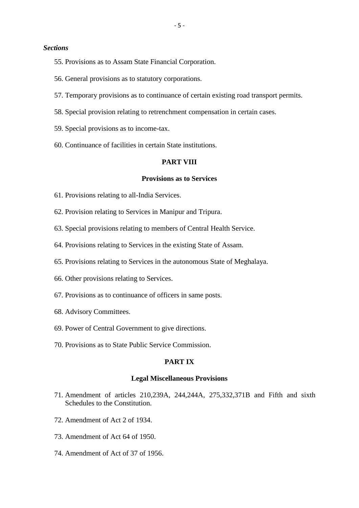#### *Sections*

- <sup>-5</sup><br>55. Provisions as to Assam State Financial Corporation. EXECT: Frovisions as to Assam State Financial Corporation.<br>56. General provisions as to statutory corporations.
- 
- 55. Provisions as to Assam State Financial Corporation.<br>56. General provisions as to statutory corporations.<br>57. Temporary provisions as to continuance of certain existing road transport permits. 56. General provisions as to statutory corporations.<br>57. Temporary provisions as to continuance of certain existing road transport per<br>58. Special provision relating to retrenchment compensation in certain cases. 57. Temporary provisions as to continuance<br>58. Special provision relating to retrenchment<br>59. Special provisions as to income-tax.
- 58. Special provision relating to retrenchment compensation in certain cases.<br>59. Special provisions as to income-tax.<br>60. Continuance of facilities in certain State institutions.
- 
- 

#### **PART VIII**

#### **Provisions as to Services**

- 61. Provisions relating to all-India Services.
- 62. Provision relating to Services in Manipur and Tripura.
- 61. Provisions relating to all-India Services.<br>62. Provision relating to Services in Manipur and Tripura.<br>63. Special provisions relating to members of Central Health Service.
- 64. Provisions relating to Services in the existing State of Assam. 64. Provisions relating to Services in the exist<br>65. Provisions relating to Services in the auto<br>66. Other provisions relating to Services.
- 63. Special provisions relating to members of Central Health Service.<br>64. Provisions relating to Services in the existing State of Assam.<br>65. Provisions relating to Services in the autonomous State of Meghalaya. 65. Provisions relating to Services in the autonomous State of 166. Other provisions relating to Services.<br>67. Provisions as to continuance of officers in same posts.
- 
- 66. Other provisions relating to Services.<br>67. Provisions as to continuance of officers in same p<br>68. Advisory Committees.<br>69. Power of Central Government to give directions. 97. Provisions as to continuance of officers in same posts.<br>68. Advisory Committees.<br>69. Power of Central Government to give directions.<br>70. Provisions as to State Public Service Commission.
- 
- 
- 68. Advisory Committees.<br>69. Power of Central Government to give directions.<br>70. Provisions as to State Public Service Commission.

#### **PART IX**

#### **Legal Miscellaneous Provisions**

- **PART IX**<br> **Egal Miscellaneous Provisions**<br>
71. Amendment of articles 210,239A, 244,244A, 275,332,371B and Fifth and sixth<br>
Schedules to the Constitution. Schedules to the Constitution. Legal Misc<br>
71. Amendment of articles 210,239/<br>
Schedules to the Constitution.<br>
72. Amendment of Act 2 of 1934. 71. Amendment of articles 210,239A<br>Schedules to the Constitution.<br>72. Amendment of Act 2 of 1934.<br>73. Amendment of Act 64 of 1950.
- 
- 72. Amendment of Act 2 of 1934.<br>73. Amendment of Act 64 of 1950.<br>74. Amendment of Act of 37 of 1956.
-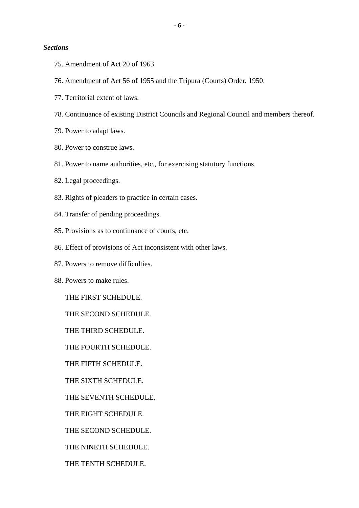#### *Sections*

- tions<br>75. Amendment of Act 20 of 1963.
- FREE 75. Amendment of Act 20 of 1963.<br>
T6. Amendment of Act 56 of 1955 and the Tripura (Courts) Order, 1950. 75. Amendment of Act 20 of 1963<br>76. Amendment of Act 56 of 1955<br>77. Territorial extent of laws.
- 77. Territorial extent of laws.<br>78. Continuance of existing I<br>79. Power to adapt laws.
- 76. Amendment of Act 56 of 1955 and the Tripura (Courts) Order, 1950.<br>77. Territorial extent of laws.<br>78. Continuance of existing District Councils and Regional Council and members thereof. 78. Continuance of existing Dist<br>79. Power to adapt laws.<br>80. Power to construe laws.
- 
- 
- 19. Power to adapt laws.<br>80. Power to construe laws.<br>81. Power to name authorities, etc., for exercising statutory functions. 80. Power to construe laws.<br>81. Power to name authorit.<br>82. Legal proceedings. 81. Power to name authorities, etc., for exercising stat<br>82. Legal proceedings.<br>83. Rights of pleaders to practice in certain cases.
- 
- 82. Legal proceedings.<br>83. Rights of pleaders to practice in certain<br>84. Transfer of pending proceedings. 83. Rights of pleaders to practice in certain cases.<br>84. Transfer of pending proceedings.<br>85. Provisions as to continuance of courts, etc.
- 
- 85. Provisions as to continuance of const<br>86. Effect of provisions of Act inconsi<br>87. Powers to remove difficulties.
- 84. Transfer of pending proceedings.<br>85. Provisions as to continuance of courts, etc.<br>86. Effect of provisions of Act inconsistent with other laws. 86. Effect of provisions of Act<br>87. Powers to remove difficult<br>88. Powers to make rules.
- 
- 

THE FIRST SCHEDULE.

THE SECOND SCHEDULE.

THE THIRD SCHEDULE.

THE FOURTH SCHEDULE.

THE FIFTH SCHEDULE.

THE SIXTH SCHEDULE.

THE FIFTH SCHEDULE.<br>THE SIXTH SCHEDULE.<br>THE SEVENTH SCHEDULE.<br>THE FIGUT SCHEDULE.

THE EIGHT SCHEDULE.

THE SECOND SCHEDULE.

THE NINETH SCHEDULE.

THE TENTH SCHEDULE.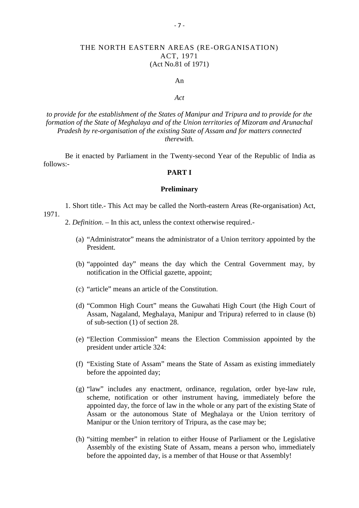#### THE NORTH EASTERN AREAS (RE-ORGANISATION) ACT, 1971 (Act No.81 of 1971)

#### An

#### *Act*

*Act*<br>*Act*<br>*formation of the establishment of the States of Manipur and Tripura and to provide for the*<br>*formation of the State of Meghalaya and of the Union territories of Mizoram and Arunachal Pradesh by re-organisation of the existing State of Assam and for matters connected therewith.*

Be it enacted by Parliament in the Twenty-second Year of the Republic of India as follows:-

#### **PART I**

#### **Preliminary**

1. Short title.- This Act may be called the North-eastern Areas (Re-organisation) Act, 1971. **2.** *Definition*. – In this act, unless the context otherwise required.

- (a) "Administrator" means the administrator of a Union territory appointed by the President.
- (b) "appointed day" means the day which the Central Government may, by notification in the Official gazette, appoint;
- (c) "article" means an article of the Constitution.
- (d) "Common High Court" means the Guwahati High Court (the High Court of Assam, Nagaland, Meghalaya, Manipur and Tripura) referred to in clause (b) of sub-section (1) of section 28.
- (e) "Election Commission" means the Election Commission appointed by the president under article 324: of sub-section (1) of section 28.<br>
(e) "Election Commission" means the Election Commission appointed by the<br>
president under article 324:<br>
(f) "Existing State of Assam" means the State of Assam as existing immediately<br>
bef
- before the appointed day;
- (g) "law" includes any enactment, ordinance, regulation, order bye-law rule, scheme, notification or other instrument having, immediately before the appointed day, the force of law in the whole or any part of the existing State of Assam or the autonomous State of Meghalaya or the Union territory of Manipur or the Union territory of Tripura, as the case may be;
- (h) "sitting member" in relation to either House of Parliament or the Legislative Assembly of the existing State of Assam, means a person who, immediately before the appointed day, is a member of that House or that Assembly!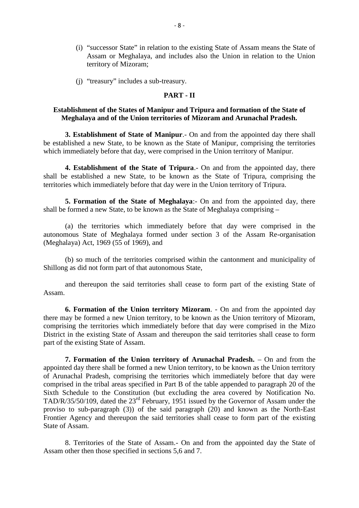- (i) "successor State" in relation to the existing State of Assam means the State of Assam or Meghalaya, and includes also the Union in relation to the Union<br>
territory of Mizoram;<br>
"treasury" includes a sub-treasury.<br> **PART - II**<br> **PART - II**<br> **PART - II** territory of Mizoram;
- (j) "treasury" includes a sub-treasury.

### **Establishment of the States of Manipur and Tripura and formation of the State of Meghalaya and of the Union territories of Mizoram and Arunachal Pradesh. 2. PART - II**<br>**3. Establishment of the States of Manipur and Tripura and formation of the State of<br><b>3. Establishment of State of Manipur**. - On and from the appointed day there shall

be established a new State, to be known as the State of Manipur, comprising the territories which immediately before that day, were comprised in the Union territory of Manipur. **4. Establishment of State of Manipur.** - On and from the appointed day there shall blished a new State, to be known as the State of Manipur, comprising the territories mmediately before that day, were comprised in the Uni

**3. Establishment of State of Manipur**. On and from the appointed day there shall be established a new State, to be known as the State of Manipur, comprising the territories which immediately before that day, were comprise territories which immediately before that day were in the Union territory of Tripura. **4. Establishment of the State of Tripura**.- On and from the appointed day, there e established a new State, to be known as the State of Tripura, comprising the es which immediately before that day were in the Union territ shall be established a new State, to be known as the State of Tripura, comprising the territories which immediately before that day were in the Union territory of Tripura.<br>5. Formation of the State of Meghalaya:- On and fr

(a) the territories which immediately before that day were comprised in the autonomous State of Meghalaya formed under section 3 of the Assam Re-organisation (Meghalaya) Act, 1969 (55 of 1969), and (a) the territories which immediately before that day were comprised in the mous State of Meghalaya formed under section 3 of the Assam Re-organisation laya) Act, 1969 (55 of 1969), and<br>(b) so much of the territories comp

Shillong as did not form part of that autonomous State,

and thereupon the said territories shall cease to form part of the existing State of Assam.

Shillong as did not form part of that autonomous State,<br>
and thereupon the said territories shall cease to form part of the existing State of<br> **6. Formation of the Union territory Mizoram**. - On and from the appointed day<br> and thereupon the said territories shall cease to form part of the existing State of<br>Assam.<br>6. Formation of the Union territory Mizoram. - On and from the appointed day<br>there may be formed a new Union territory, to be know **6. Formation of the Union territory Mizoram**. - On and from the appointed day there may be formed a new Union territory, to be known as the Union territory of Mizoram, comprising the territories which immediately before t part of the existing State of Assam.

**7. Formation of the Union territory of Arunachal Pradesh.** – On and from the appointed day there shall be formed a new Union territory, to be known as the Union territory of Arunachal Pradesh, comprising the territories which immediately before that day were comprised in the tribal areas specified in Part B of the table appended to paragraph 20 of the Sixth Schedule to the Constitution (but excluding the area covered by Notification No. TAD/R/35/50/109, dated the 23<sup>rd</sup> February, 1951 issued by the Governor of Assam under the appointed day there shall be formed a new Union territory, to be known as the Union territory<br>of Arunachal Pradesh, comprising the territories which immediately before that day were<br>comprised in the tribal areas specified of Arunachal Pradesh, comprising the territories which immediately before that day were<br>comprised in the tribal areas specified in Part B of the table appended to paragraph 20 of the<br>Sixth Schedule to the Constitution (bu State of Assam. by proviso to sub-paragraph (3)) of the said paragraph (20) and known as the North-East<br>Frontier Agency and thereupon the said territories shall cease to form part of the existing<br>State of Assam.<br>8. Territories of the Stat

Assam other then those specified in sections 5,6 and 7.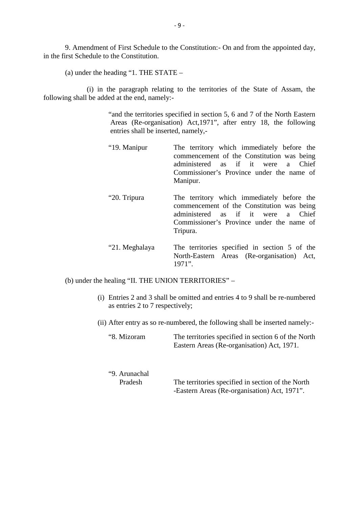9. Amendment of First Schedule to the Constitution:- On and from the appointed day, 9. Amendment of First Schedule to the Constitution. 9. Amendment of First Schedule to the Constitution:<br>
(a) under the heading "1. THE STATE –<br>
(a) in the negaraph relating to the term

(i) in the paragraph relating to the territories of the State of Assam, the following shall be added at the end, namely:-

> "and the territories specified in section 5, 6 and 7 of the North Eastern Areas (Re-organisation) Act,1971", after entry 18, the following entries shall be inserted, namely,-

- "19. Manipur The territory which immediately before the commencement of the Constitution was being administered as if it were a Chief Commissioner's Province under the name of Manipur.
- "20. Tripura The territory which immediately before the administered as if it were a Chief<br>Commissioner's Province under the name of<br>Manipur.<br>The territory which immediately before the<br>commencement of the Constitution was being<br>administered as if it were a Chief administered as if it were a Chief Commissioner's Province under the name of Tripura.
- "21. Meghalaya The territories specified in section 5 of the North-Eastern Areas (Re-organisation) Act, 1971". "21. Meghalaya The territories specified in<br>North-Eastern Areas (Re-o<br>1971".<br>(b) under the healing "II. THE UNION TERRITORIES" –<br>(i) Entrice 2 and 3 shall be emitted and artice 4 to 0 sh

- North-Eastern Areas (Re-organisation) Act,<br>1971".<br>
ie healing "II. THE UNION TERRITORIES" –<br>
(i) Entries 2 and 3 shall be omitted and entries 4 to 9 shall be re-numbered<br>
as entries 2 to 7 respectively; as entries 2 to 7 respectively; (b) under the healing "II. THE UNION TERRITORIES" –<br>
(i) Entries 2 and 3 shall be omitted and entries 4 to 9 shall be re-numbered<br>
as entries 2 to 7 respectively;<br>
(ii) After entry as so re-numbered, the following shall b
	-

| "8. Mizoram   | The territories specified in section 6 of the North<br>Eastern Areas (Re-organisation) Act, 1971. |
|---------------|---------------------------------------------------------------------------------------------------|
| "9. Arunachal | The territories specified in section of the North                                                 |
| Pradesh       | -Eastern Areas (Re-organisation) Act, 1971".                                                      |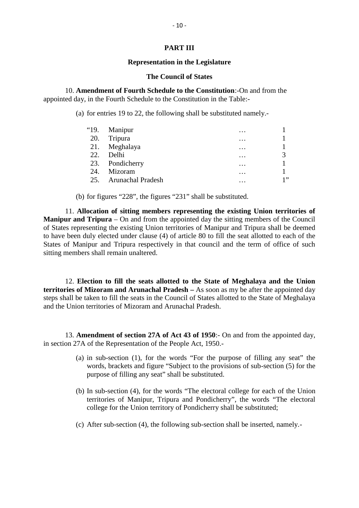#### **PART III**

#### **Representation in the Legislature**

#### **The Council of States**

10. **Amendment of Fourth Schedule to the Constitution**:-On and from the appointed day, in the Fourth Schedule to the Constitution in the Table:- The Council of States<br>
Amendment of Fourth Schedule to the Constitution:-On and from the<br>
day, in the Fourth Schedule to the Constitution in the Table:-<br>
(a) for entries 19 to 22, the following shall be substituted namely.

|      | for entries 19 to 22, the following shall be substituted namely. |          |    |
|------|------------------------------------------------------------------|----------|----|
| "19. | Manipur                                                          |          |    |
| 20.  | Tripura                                                          | .        |    |
| 21.  | Meghalaya                                                        |          |    |
| 22.  | Delhi                                                            | .        | 3  |
| 23.  | Pondicherry                                                      |          |    |
| 24.  | Mizoram                                                          | $\cdots$ |    |
| 25.  | <b>Arunachal Pradesh</b>                                         |          | 1" |

(b) for figures "228", the figures "231" shall be substituted.

11. **Allocation of sitting members representing the existing Union territories of Manipur and Tripura** – On and from the appointed day the sitting members of the Council of States representing the existing Union territories of Manipur and Tripura shall be deemed (b) for figures "228", the figures "231" shall be substituted.<br>
11. **Allocation of sitting members representing the existing Union territories of**<br> **Manipur and Tripura** – On and from the appointed day the sitting members States of Manipur and Tripura respectively in that council and the term of office of such 11. **Allocation of sitting members**<br>**Manipur and Tripura** – On and from the<br>of States representing the existing Union te<br>to have been duly elected under clause  $(4)$ <br>States of Manipur and Tripura respectivel:<br>sitting memb

12. **Election to fill the seats allotted to the State of Meghalaya and the Union territories of Mizoram and Arunachal Pradesh –** As soon as my be after the appointed day extributes of Mizoram and Arunachard Tradesh – As soon as my be arter the appointed day<br>steps shall be taken to fill the seats in the Council of States allotted to the State of Meghalaya<br>and the Union territories of Mizora and the Union territories of Mizoram and Arunachal Pradesh.

in section 27A of the Representation of the People Act, 1950.-

- **Amendment of section 27A of Act 43 of 1950**:- On and from the appointed day,<br>
(a) in sub-section (1), for the words "For the purpose of filling any seat" the<br>
words, brackets and figure "Subject to the provisions of subwords, brackets and figure "Subject to the provisions of sub-section (5) for the purpose of filling any seat" shall be substituted. (a) in sub-section (1), for the words "For the purpose of filling any seat" the words, brackets and figure "Subject to the provisions of sub-section (5) for the purpose of filling any seat" shall be substituted.<br>
(b) In su
- territories of Manipur, Tripura and Pondicherry", the words "The electoral college for the Union territory of Pondicherry shall be substituted; (b) In sub-section (4), for the words "The electoral college for each of the Union territories of Manipur, Tripura and Pondicherry", the words "The electoral college for the Union territory of Pondicherry shall be substit
-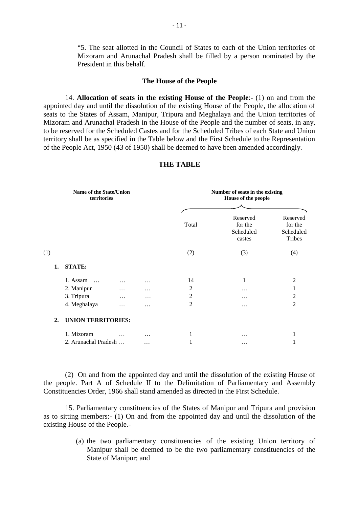"5. The seat allotted in the Council of States to each of the Union territories of Mizoram and Arunachal Pradesh shall be filled by a person nominated by the President in this behalf.

#### **The House of the People**

Mizoram and Arunachal Pradesh shall be filled by a person nominated by the<br>President in this behalf.<br>**The House of the People**<br>14. **Allocation of seats in the existing House of the People**:- (1) on and from the<br>ed day and President in this behalf.<br> **The House of the People**<br>
14. **Allocation of seats in the existing House of the People**:- (1) on and from the<br>
appointed day and until the dissolution of the existing House of the People, the al seats to the States of Assam, Manipur, Tripura and Meghalaya and the Union territories of Mizoram and Arunachal Pradesh in the House of the People and the number of seats, in any, to be reserved for the Scheduled Castes and for the Scheduled Tribes of each State and Union territory shall be as specified in the Table below and the First Schedule to the Representation appointed day and until the dissolution of the existing House of the People, the allocation of<br>seats to the States of Assam, Manipur, Tripura and Meghalaya and the Union territories of<br>Mizoram and Arunachal Pradesh in the

| Name of the State/Union<br>territories |                           |          | Number of seats in the existing<br>House of the people |                |                                            |                                                   |
|----------------------------------------|---------------------------|----------|--------------------------------------------------------|----------------|--------------------------------------------|---------------------------------------------------|
|                                        |                           |          |                                                        | Total          | Reserved<br>for the<br>Scheduled<br>castes | Reserved<br>for the<br>Scheduled<br><b>Tribes</b> |
| (1)                                    |                           |          |                                                        | (2)            | (3)                                        | (4)                                               |
| 1.                                     | <b>STATE:</b>             |          |                                                        |                |                                            |                                                   |
|                                        | 1. Assam<br>$\cdot$       | $\cdots$ | $\ddotsc$                                              | 14             | 1                                          | $\overline{2}$                                    |
|                                        | 2. Manipur                | .        | .                                                      | $\overline{c}$ | .                                          | 1                                                 |
|                                        | 3. Tripura                | .        | $\ddotsc$                                              | $\overline{c}$ | .                                          | 2                                                 |
|                                        | 4. Meghalaya              | .        | $\ddotsc$                                              | $\overline{c}$ | .                                          | $\overline{c}$                                    |
| $\overline{2}$ .                       | <b>UNION TERRITORIES:</b> |          |                                                        |                |                                            |                                                   |
|                                        | 1. Mizoram                | .        | .                                                      | 1              | .                                          | 1                                                 |
|                                        | 2. Arunachal Pradesh      |          | $\cdots$                                               | $\mathbf{1}$   | .                                          |                                                   |

#### **THE TABLE**

(2) On and from the appointed day and until the dissolution of the existing House of<br>
(2) On and from the appointed day and until the dissolution of the existing House of<br>
ople. Part A of Schedule II to the Delimitation of 2. Arunachal Pradesh ... ... ... 1 ... 1<br>
(2) On and from the appointed day and until the dissolution of the existing House of<br>
the people. Part A of Schedule II to the Delimitation of Parliamentary and Assembly<br>
Constitue Constituencies Order, 1966 shall stand amended as directed in the First Schedule. (2) On and from the appointed day and until the dissolution of the existing House of the people. Part A of Schedule II to the Delimitation of Parliamentary and Assembly Constituencies Order, 1966 shall stand amended as dir

15. Parliamentary constituencies of the States of Manipur and Tripura and provision existing House of the People.- Parliamentary constituencies of the States of Manipur and Tripura and provision<br>
g members:- (1) On and from the appointed day and until the dissolution of the<br>
use of the People.-<br>
(a) the two parliamentary constituencies

State of Manipur; and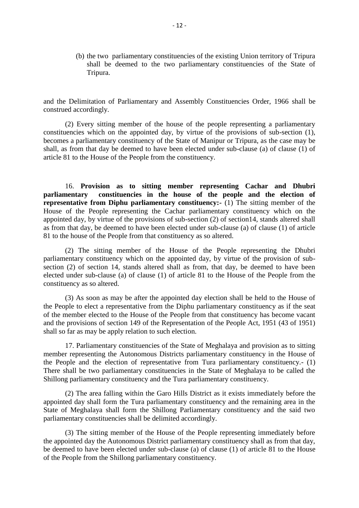(b) the two parliamentary constituencies of the existing Union territory of Tripura shall be deemed to the two parliamentary constituencies of the State of Tripura.

and the Delimitation of Parliamentary and Assembly Constituencies Order, 1966 shall be construed accordingly.

(2) Every sitting member of the house of the people representing a parliamentary constituencies which on the appointed day, by virtue of the provisions of sub-section (1), and the Delimitation of Parliamentary and Assembly Constituencies Order, 1966 shall be<br>construed accordingly.<br>(2) Every sitting member of the house of the people representing a parliamentary<br>constituencies which on the app shall, as from that day be deemed to have been elected under sub-clause (a) of clause (1) of article 81 to the House of the People from the constituency.

16. **Provision as to sitting member representing Cachar and Dhubri parliamentary constituencies in the house of the people and the election of** 16. Provision as to sitting member representing Cachar and Dhubri<br>parliamentary constituencies in the house of the people and the election of<br>representative from Diphu parliamentary constituency:- (1) The sitting member of appointed day, by virtue of the provisions of sub-section (2) of section14, stands altered shall as from that day, be deemed to have been elected under sub-clause (a) of clause (1) of article 81 to the house of the People from that constituency as so altered. (2) of the People representing the Cachar parliamentary constituency which on the ed day, by virtue of the provisions of sub-section (2) of section 14, stands altered shall that day, be deemed to have been elected under su

parliamentary constituency which on the appointed day, by virtue of the provision of subsection (2) of section 14, stands altered shall as from, that day, be deemed to have been 81 to the house of the People from that constituency as so altered.<br>
(2) The sitting member of the House of the People representing the Dhubri<br>
parliamentary constituency which on the appointed day, by virtue of the provis constituency as so altered.

(3) As soon as may be after the appointed day election shall be held to the House of elected under sub-clause (a) of clause (1) of article 81 to the House of the People from the constituency as so altered.<br>
(3) As soon as may be after the appointed day election shall be held to the House of the People to e elected under sub-clause (a) of clause (1) of article 81 to the House of the People from the<br>constituency as so altered.<br>(3) As soon as may be after the appointed day election shall be held to the House of<br>the People to el shall so far as may be apply relation to such election.

17. Parliamentary constituencies of the State of Meghalaya and provision as to sitting member representing the Autonomous Districts parliamentary constituency in the House of<br>the People and the election of representative from Tura parliamentary constituency. (1)<br>There shall be two parliamentary constituencie There shall be two parliamentary constituencies in the State of Meghalaya to be called the Shillong parliamentary constituency and the Tura parliamentary constituency.

appointed day shall form the Tura parliamentary constituency and the remaining area in the parliamentary constituencies shall be delimited accordingly.

State of Meghalaya shall form the Shillong Parliamentary constituency and the said two parliamentary constituencies shall be delimited accordingly.<br>
(3) The sitting member of the House of the People representing immediatel (3) The sitting member of the House of the People representing immediately before the appointed day the Autonomous District parliamentary constituency shall as from that day, of the People from the Shillong parliamentary constituency.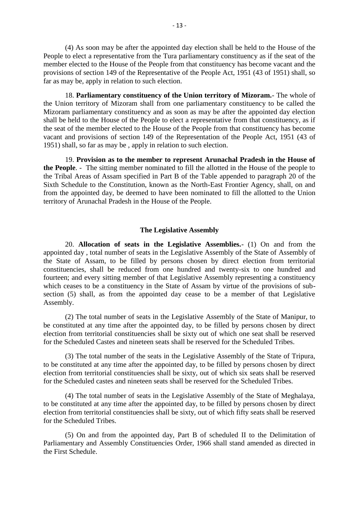(4) As soon may be after the appointed day election shall be held to the House of the People to elect a representative from the Tura parliamentary constituency as if the seat of the 4) As soon may be after the appointed day election shall be held to the House of the<br>People to elect a representative from the Tura parliamentary constituency as if the seat of the<br>member elected to the House of the People provisions of section 149 of the Representative of the People Act, 1951 (43 of 1951) shall, so far as may be, apply in relation to such election. to elect a representative from the Tura parliamentary constituency as if the seat of the relected to the House of the People from that constituency has become vacant and the position 149 of the Representative of the People

the Union territory of Mizoram shall from one parliamentary constituency to be called the Mizoram parliamentary constituency and as soon as may be after the appointed day election For as may be, apply in relation to such election.<br>
18. **Parliamentary constituency of the Union territory of Mizoram.** The whole of<br>
the Union territory of Mizoram shall from one parliamentary constituency to be called th the seat of the member elected to the House of the People from that constituency has become vacant and provisions of section 149 of the Representation of the People Act, 1951 (43 of 1951) shall, so far as may be , apply in relation to such election.

19. **Provision as to the member to represent Arunachal Pradesh in the House of** the seat of the member elected to the House of the People from that constituency has become<br>vacant and provisions of section 149 of the Representation of the People Act, 1951 (43 of<br>1951) shall, so far as may be, apply in vacant and provisions of section 149 of the Representation of the People Act, 1951 (43 of 1951) shall, so far as may be, apply in relation to such election.<br>19. **Provision as to the member to represent Arunachal Pradesh in** Sixth Schedule to the Constitution, known as the North-East Frontier Agency, shall, on and 19. Provision as to the member to represent Arunachal Pradesh in the House of the People. - The sitting member nominated to fill the allotted in the House of the people to the Tribal Areas of Assam specified in Part B of t territory of Arunachal Pradesh in the House of the People.

#### **The Legislative Assembly**

20. **Allocation of seats in the Legislative Assemblies.**- (1) On and from the appointed day, total number of seats in the Legislative Assembly of the State of Assembly of The Legislative Assembly<br>
20. Allocation of seats in the Legislative Assemblies.- (1) On and from the<br>
appointed day, total number of seats in the Legislative Assembly of the State of Assembly of<br>
the State of Assam, to be constituencies, shall be reduced from one hundred and twenty-six to one hundred and fourteen; and every sitting member of that Legislative Assembly representing a constituency which ceases to be a constituency in the State of Assam by virtue of the provisions of subsection (5) shall, as from the appointed day cease to be a member of that Legislative Assembly. fourteen; and every sitting member of that Legislative Assembly representing a constituency<br>which ceases to be a constituency in the State of Assam by virtue of the provisions of sub-<br>section (5) shall, as from the appoint

election from territorial constituencies shall be sixty out of which one seat shall be reserved for the Scheduled Castes and nineteen seats shall be reserved for the Scheduled Tribes. (2) The total number of seats in the Legislative Assembly of the State of Manipur, to stituted at any time after the appointed day, to be filled by persons chosen by direct if from territorial constituencies shall be sixt

to be constituted at any time after the appointed day, to be filled by persons chosen by direct election from territorial constituencies shall be sixty, out of which six seats shall be reserved for the Scheduled Castes and nineteen seats shall be reserved for the Scheduled Tribes.<br>
(3) The total number of the seats in the Legislative Assembly of the State of Tripu<br>
to be constituted at any time after the appointe

(4) The total number of seats in the Legislative Assembly of the State of Meghalaya, to be constituted at any time after the appointed day, to be filled by persons chosen by direct election from territorial constituencies shall be sixty, out of which fifty seats shall be reserved for the Scheduled Tribes.

(5) On and from the appointed day, Part B of scheduled II to the Delimitation of Parliamentary and Assembly Constituencies Order, 1966 shall stand amended as directed in the First Schedule.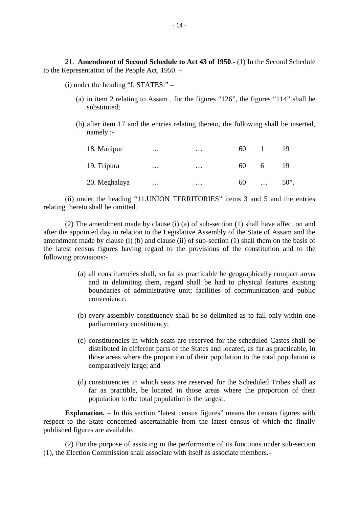21. **Amendment of Second Schedule to Act 43 of 1950**.- (1) In the Second Schedule to the Representation of the People Act, 1950. – 21. **Amendment of Second Schedule to Act**<br>
depresentation of the People Act, 1950. –<br>
(i) under the heading "I. STATES:" –<br>
(a) in item 2 relating to Assam, for the fi Amendment of Second Schedule to Act 43 of 1950.- (1) In the Second Schedule<br>esentation of the People Act, 1950. –<br>under the heading "I. STATES:" –<br>(a) in item 2 relating to Assam, for the figures "126", the figures "114"

- substituted; (i) under the heading "I. STATES:"  $-$ <br>(a) in item 2 relating to Assam, for the figures "126", the figures "114" shall be
	- namely :-  $\mu$ ) after item 17 and the entries relating thereto, the following shall be inserted.

| after item 17 and the entries relating thereto, the following shall be inserted,<br>namely: |          |   |     |                |    |
|---------------------------------------------------------------------------------------------|----------|---|-----|----------------|----|
| 18. Manipur                                                                                 | .        | . | 60. | $\blacksquare$ | 19 |
| 19. Tripura                                                                                 | $\cdots$ | . | 60. | 6              | 19 |
| 20. Meghalaya                                                                               | $\cdots$ | . | 60  | $\ldots$ 50".  |    |
| don the heading "11 UNION TEDDITODIES" items 2 and 5 and the entries                        |          |   |     |                |    |

(ii) under the heading "11.UNION TERRITORIES" items 3 and 5 and the entries relating thereto shall be omitted.

(2) The amendment made by clause (i) (a) of sub-section (1) shall have affect on and (ii) under the heading "11. UNION TERRITORIES" items 3 and 5 and the entries<br>relating thereto shall be omitted.<br>(2) The amendment made by clause (i) (a) of sub-section (1) shall have affect on and<br>after the appointed day (ii) under the heading "11. UNION TERRITORIES" items 3 and 5 and the entries<br>relating thereto shall be omitted.<br>(2) The amendment made by clause (i) (a) of sub-section (1) shall have affect on and<br>after the appointed day the latest census figures having regard to the provisions of the constitution and to the following provisions:- (a) all constituencies shall, so far as practicable be geographically compact areas and in delimiting them, regard shall be had to physical features existing and in delimiting them, regard shall be had to physical features

- and in delimiting them, regard shall be had to physical features existing boundaries of administrative unit; facilities of communication and public convenience. (a) all constituencies shall, so far as practicable be geographically compact areas<br>and in delimiting them, regard shall be had to physical features existing<br>boundaries of administrative unit; facilities of communication a
- parliamentary constituency;
- (b) every assembly constituency shall be so delimited as to fall only within one<br>parliamentary constituency;<br>(c) constituencies in which seats are reserved for the scheduled Castes shall be<br>distributed in different parts o every assembly constituency shall be so delimited as to fall only within one<br>parliamentary constituency;<br>constituencies in which seats are reserved for the scheduled Castes shall be<br>distributed in different parts of the St those areas where the proportion of their population to the total population is comparatively large; and (c) constituencies in which seats are reserved for the scheduled Castes shall be distributed in different parts of the States and located, as far as practicable, in those areas where the proportion of their population to t
- distributed in different parts of the States and located, as far as practicable, in<br>those areas where the proportion of their population to the total population is<br>comparatively large; and<br>constituencies in which seats are population to the total population is the largest. (d) constituencies in which seats are reserved for the Scheduled Tribes shall as<br>far as practible, be located in those areas where the proportion of their<br>population to the total population is the largest.<br>**Explanation.** –

respect to the State concerned ascertainable from the latest census of which the finally published figures are available.

(2) For the purpose of assisting in the performance of its functions under sub-section (1), the Election Commission shall associate with itself as associate members.-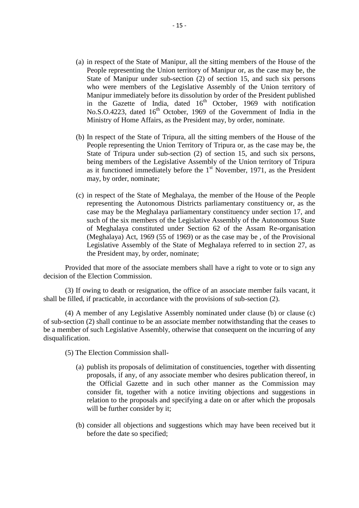- (a) in respect of the State of Manipur, all the sitting members of the House of the People representing the Union territory of Manipur or, as the Case may be, the People representing the Union territory of Manipur or, as the case may be, the State of Manipur under sub-section (2) of section 15, and such s in respect of the State of Manipur, all the sitting members of the House of the<br>People representing the Union territory of Manipur or, as the case may be, the<br>State of Manipur under sub-section (2) of section 15, and such who were members of the Legislative Assembly of the Union territory of Manipur immediately before its dissolution by order of the President published in the Gazette of India, dated  $16<sup>th</sup>$  October, 1969 with notification No.S.O.4223, dated 16<sup>th</sup> October, 1969 of the Government of India in the Ministry of Home Affairs, as the President may, by order, nominate. Manipur immediately before its dissolution by order of the President published<br>in the Gazette of India, dated  $16^{th}$  October, 1969 with notification<br>No.S.O.4223, dated  $16^{th}$  October, 1969 of the Government of India in
- in the Gazette of India, dated  $16^{\text{th}}$  October, 1969 with notification<br>No.S.O.4223, dated  $16^{\text{th}}$  October, 1969 of the Government of India in the<br>Ministry of Home Affairs, as the President may, by order, nominate.<br>I State of Tripura under sub-section (2) of section 15, and such six persons, being members of the Legislative Assembly of the Union territory of Tripura as it functioned immediately before the  $1<sup>st</sup>$  November, 1971, as the President may, by order, nominate; State of Tripura under sub-section (2) of section 15, and such six persons,<br>being members of the Legislative Assembly of the Union territory of Tripura<br>as it functioned immediately before the 1<sup>st</sup> November, 1971, as the
- being members of the Legislative Assembly of the Union territory of Tripura<br>as it functioned immediately before the 1<sup>st</sup> November, 1971, as the President<br>may, by order, nominate;<br>in respect of the State of Meghalaya, the case may be the Meghalaya parliamentary constituency under section 17, and such of the six members of the Legislative Assembly of the Autonomous State of Meghalaya constituted under Section 62 of the Assam Re-organisation (Meghalaya) Act, 1969 (55 of 1969) or as the case may be , of the Provisional Legislative Assembly of the State of Meghalaya referred to in section 27, as the President may, by order, nominate;

Provided that more of the associate members shall have a right to vote or to sign any decision of the Election Commission.

(3) If owing to death or resignation, the office of an associate member fails vacant, it shall be filled, if practicable, in accordance with the provisions of sub-section (2).

(4) A member of any Legislative Assembly nominated under clause (b) or clause (c) of sub-section (2) shall continue to be an associate member notwithstanding that the ceases to be a member of such Legislative Assembly, otherwise that consequent on the incurring of any disqualification.<br>
(5) The Election Commission shall-<br>
(a) publish its proposals of delimitation of constituencies, together with disqualification.

- (5) The Election Commission shall
	- proposals, if any, of any associate member who desires publication thereof, in the Official Gazette and in such other manner as the Commission may consider fit, together with a notice inviting objections and suggestions in relation to the proposals and specifying a date on or after which the proposals will be further consider by it;
	- (b) consider all objections and suggestions which may have been received but it before the date so specified;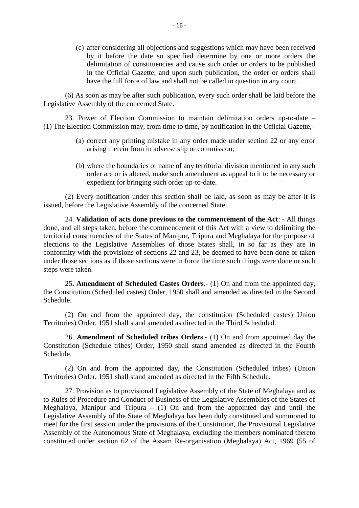(c) after considering all objections and suggestions which may have been received by it before the date so specified determine by one or more orders the delimitation of constituencies and cause such order or orders to be published in the Official Gazette; and upon such publication, the order or orders shall have the full force of law and shall not be called in question in any court.

(6) As soon as may be after such publication, every such order shall be laid before the Legislative Assembly of the concerned State.

23. Power of Election Commission to maintain delimitation orders up-to-date – (1) The Election Commission may, from time to time, by notification in the Official Gazette,- (a) correct any printing mistake in any order made under section 22 or any error arising therein from in adverse slip or commission; wer of Election Commission to maintain delimitation<br>on Commission may, from time to time, by notification in<br>correct any printing mistake in any order made under s<br>arising therein from in adverse slip or commission;

- 
- (a) correct any printing mistake in any order made under section 22 or any error<br>
(a) correct any printing mistake in any order made under section 22 or any error<br>
arising therein from in adverse slip or commission;<br>
(b) w order are or is altered, make such amendment as appeal to it to be necessary or expedient for bringing such order up-to-date. (b) where the boundaries or name of any territorial division mentioned in any such order are or is altered, make such amendment as appeal to it to be necessary or expedient for bringing such order up-to-date.<br>(2) Every not

issued, before the Legislative Assembly of the concerned State.<br>24. **Validation of acts done previous to the commencement of the Act**: - All things

22. Every notification under this section shall be laid, as soon as may be after it is<br>before the Legislative Assembly of the concerned State.<br>24. **Validation of acts done previous to the commencement of the Act**: - All th (2) Every notification under this section shall be laid, as soon as may be after it is issued, before the Legislative Assembly of the concerned State.<br>
24. **Validation of acts done previous to the commencement of the Act**: territorial constituencies of the States of Manipur, Tripura and Meghalaya for the purpose of issued, before the Legislative Assembly of the concerned State.<br>
24. **Validation of acts done previous to the commencement of the Act**: - All things<br>
done, and all steps taken, before the commencement of this Act with a vi conformity with the provisions of sections 22 and 23, be deemed to have been done or taken under those sections as if those sections were in force the time such things were done or such steps were taken.<br>25. **Amendment of** under those sections as if those sections were in force the time such things were done or such steps were taken. elections to the Legislative Assemblies of those States shall, in so far as they are in conformity with the provisions of sections 22 and 23, be deemed to have been done or taken under those sections as if those sections w

Schedule.

(2) On and from the appointed day, the constitution (Scheduled castes) Union Territories) Order, 1951 shall stand amended as directed in the Third Scheduled.

26. **Amendment of Scheduled tribes Orders**.- (1) On and from appointed day the constitution (Scheduled castes) Union<br>26. **Amendment of Scheduled tribes Orders**.- (1) On and from appointed day the ution (Schedule tribes) Or Constitution (Schedule tribes) Order, 1950 shall stand amended as directed in the Fourth Schedule. 26. **Amendment of Scheduled tribes Orders.**- (1) On and from appoint Constitution (Schedule tribes) Order, 1950 shall stand amended as directed in Schedule.<br>(2) On and from the appointed day, the Constitution (Scheduled tr

(2) On and from the appointed day, the Constitution (Scheduled tribes) (Union

27. Provision as to provisional Legislative Assembly of the State of Meghalaya and as to Rules of Procedure and Conduct of Business of the Legislative Assemblies of the States of Meghalaya, Manipur and Tripura – (1) On and from the appointed day and until the Legislative Assembly of the State of Meghalaya has been duly constituted and summoned to 27. Provision as to provisional Legislative Assembly of the State of Meghalaya and as<br>to Rules of Procedure and Conduct of Business of the Legislative Assemblies of the States of<br>Meghalaya, Manipur and Tripura – (1) On an Assembly of the Autonomous State of Meghalaya, excluding the members nominated thereto constituted under section 62 of the Assam Re-organisation (Meghalaya) Act, 1969 (55 of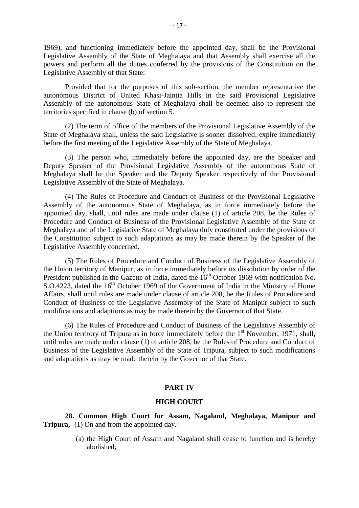1969), and functioning immediately before the appointed day, shall be the Provisional Legislative Assembly of the State of Meghalaya and that Assembly shall exercise all the powers and perform all the duties conferred by the provisions of the Constitution on the Legislative Assembly of that State:

Provided that for the purposes of this sub-section, the member representative the autonomous District of United Khasi-Jaintia Hills in the said Provisional Legislative Assembly of the autonomous State of Meghalaya shall be deemed also to represent the Legislative Assembly of that State:<br>
Provided that for the purposes of this s<br>
autonomous District of United Khasi-Jaintia<br>
Assembly of the autonomous State of Meghala<br>
territories specified in clause (b) of section 5.<br>
(2

(2) The term of office of the members of the Provisional Legislative Assembly of the State of Meghalaya shall, unless the said Legislative is sooner dissolved, expire immediately Assembly of the autonomous State of Meghalaya shall be deemed also to rep<br>territories specified in clause (b) of section 5.<br>(2) The term of office of the members of the Provisional Legislative Assem<br>State of Meghalaya shal

(3) The person who, immediately before the appointed day, are the Speaker and Deputy Speaker of the Provisional Legislative Assembly of the autonomous State of Meghalaya shall be the Speaker and the Deputy Speaker respectively of the Provisional Legislative Assembly of the State of Meghalaya.

(4) The Rules of Procedure and Conduct of Business of the Provisional Legislative Assembly of the autonomous State of Meghalaya, as in force immediately before the appointed day, shall, until rules are made under clause (1) of article 208, be the Rules of Procedure and Conduct of Business of the Provisional Legislative Assembly of the State of Meghalaya and of the Legislative State of Meghalaya duly constituted under the provisions of the Constitution subject to such adaptations as may be made therein by the Speaker of the Legislative Assembly concerned.

(5) The Rules of Procedure and Conduct of Business of the Legislative Assembly of the Union territory of Manipur, as in force immediately before its dissolution by order of the President published in the Gazette of India, dated the 16<sup>th</sup> October 1969 with notification No. Legislative Assembly concerned.<br>
(5) The Rules of Procedure and Conduct of Business of the Legislative Assembly of<br>
the Union territory of Manipur, as in force immediately before its dissolution by order of the<br>
President (5) The Rules of Procedure and Conduct of Business of the Legislative Assembly of the Union territory of Manipur, as in force immediately before its dissolution by order of the President published in the Gazette of India, Conduct of Business of the Legislative Assembly of the State of Manipur subject to such modifications and adaptions as may be made therein by the Governor of that State. S.O.4223, dated the  $16^{\text{th}}$  October 1969 of the Government of India in the Ministry of Home<br>Affairs, shall until rules are made under clause of article 208, be the Rules of Procedure and<br>Conduct of Business of the Legi

the Union territory of Tripura as in force immediately before the  $1<sup>st</sup>$  November, 1971, shall, until rules are made under clause (1) of article 208, be the Rules of Procedure and Conduct of Business of the Legislative Assembly of the State of Tripura, subject to such modifications and adaptations as may be made therein by the Governor of that State.

#### **PART IV**

#### **HIGH COURT**

**28. Common High Court for Assam, Nagaland, Meghalaya, Manipur and <br>
<b>28. Common High Court for Assam, Nagaland, Meghalaya, Manipur and**<br> **28.** Common the appointed day. **PART IV<br>
HIGH COUR**<br>
28. Common High Court for Assam, I<br>
Tripura,- (1) On and from the appointed day.-<br>
(a) the High Court of Assam and Nagala (a) the High Court for Assam, Nagaland, Meghalaya, Manipur and (1) On and from the appointed day.<br>
(a) the High Court of Assam and Nagaland shall cease to function and is hereby abolished;

abolished;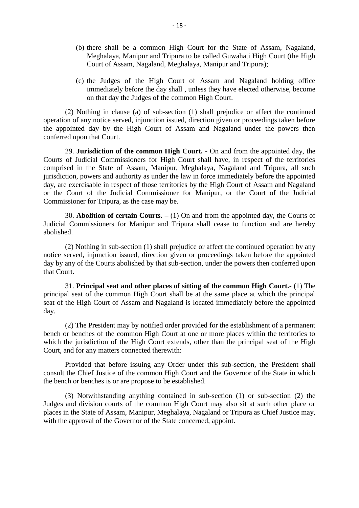- -18 -<br>(b) there shall be a common High Court for the State of Assam, Nagaland, Meghalaya, Manipur and Tripura to be called Guwahati High Court (the High Court of Assam, Nagaland, Meghalaya, Manipur and Tripura); (b) there shall be a common High Court for the State of Assam, Nagaland, Meghalaya, Manipur and Tripura to be called Guwahati High Court (the High Court of Assam, Nagaland, Meghalaya, Manipur and Tripura);<br>(c) the Judges o
- there shall be a common High Court for the State of Assam, Nagaland, Meghalaya, Manipur and Tripura to be called Guwahati High Court (the High Court of Assam, Nagaland, Meghalaya, Manipur and Tripura);<br>the Judges of the Hi on that day the Judges of the common High Court. (c) the Judges of the High Court of Assam and Nagaland holding office<br>immediately before the day shall , unless they have elected otherwise, become<br>on that day the Judges of the common High Court.<br>(2) Nothing in clause (a)

operation of any notice served, injunction issued, direction given or proceedings taken before the appointed day by the High Court of Assam and Nagaland under the powers then conferred upon that Court. (2) Nothing in clause (a) of sub-section (1) shall prejudice or affect the continued<br>on of any notice served, injunction issued, direction given or proceedings taken before<br>pointed day by the High Court of Assam and Nagala

Courts of Judicial Commissioners for High Court shall have, in respect of the territories comprised in the State of Assam, Manipur, Meghalaya, Nagaland and Tripura, all such jurisdiction, powers and authority as under the law in force immediately before the appointed day, are exercisable in respect of those territories by the High Court of Assam and Nagaland or the Court of the Judicial Commissioner for Manipur, or the Court of the Judicial Commissioner for Tripura, as the case may be.

30. **Abolition of certain Courts.** – (1) On and from the appointed day, the Courts of Judicial Commissioners for Manipur and Tripura shall cease to function and are hereby abolished.

(2) Nothing in sub-section (1) shall prejudice or affect the continued operation by any notice served, injunction issued, direction given or proceedings taken before the appointed Judicial Commissioners for Manipur and Tripura shall cease to function and are hereby<br>abolished.<br>(2) Nothing in sub-section (1) shall prejudice or affect the continued operation by any<br>notice served, injunction issued, dir that Court. (2) Nothing in sub-section (1) shall prejudice or affect the continued operation by any served, injunction issued, direction given or proceedings taken before the appointed any of the Courts abolished by that sub-section,

principal seat of the common High Court shall be at the same place at which the principal seat of the High Court of Assam and Nagaland is located immediately before the appointed day. 31. **Principal seat and other places of sitting of the common High Court.** (1) The principal seat of the common High Court shall be at the same place at which the principal seat of the High Court of Assam and Nagaland is l

which the jurisdiction of the High Court extends, other than the principal seat of the High Court, and for any matters connected therewith:

Provided that before issuing any Order under this sub-section, the President shall consult the Chief Justice of the common High Court and the Governor of the State in which which the jurisdiction of the High Court extends, other tha<br>Court, and for any matters connected therewith:<br>Provided that before issuing any Order under this<br>consult the Chief Justice of the common High Court and the<br>the b

(3) Notwithstanding anything contained in sub-section (1) or sub-section (2) the Judges and division courts of the common High Court may also sit at such other place or places in the State of Assam, Manipur, Meghalaya, Nagaland or Tripura as Chief Justice may, with the approval of the Governor of the State concerned, appoint.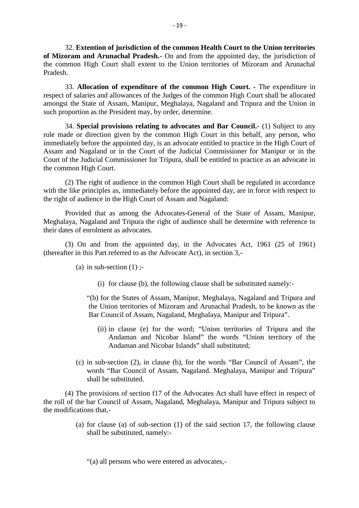32. **Extention of jurisdiction of the common Health Court to the Union territories** <sup>-</sup> 19 -<br>
<sup>32</sup>. Extention of jurisdiction of the common Health Court to the Union territories<br>
of Mizoram and Arunachal Pradesh. On and from the appointed day, the jurisdiction of the common High Court shall extent to the Union territories of Mizoram and Arunachal Pradesh. 32. **Extention of jurisdiction of the common Health Court to the Union territories**<br>oram and Arunachal Pradesh.- On and from the appointed day, the jurisdiction of<br>nmon High Court shall extent to the Union territories of M

of Mizoram and Arunachal Pradesh.- On and from the appointed day, the jurisdiction of<br>the common High Court shall extent to the Union territories of Mizoram and Arunachal<br>Pradesh.<br>33. Allocation of expenditure of the commo amongst the State of Assam, Manipur, Meghalaya, Nagaland and Tripura and the Union in such proportion as the President may, by order, determine. 33. **Allocation of expenditure of the common High Court.** - The expenditure in of salaries and allowances of the Judges of the common High Court shall be allocated it the State of Assam, Manipur, Meghalaya, Nagaland and Tr

rule made or direction given by the common High Court in this behalf, any person, who immediately before the appointed day, is an advocate entitled to practice in the High Court of Such proportion as the President may, by order, determine.<br>
34. Special provisions relating to advocates and Bar Council.- (1) Subject to any<br>
rule made or direction given by the common High Court in this behalf, any perso Court of the Judicial Commissioner for Tripura, shall be entitled to practice as an advocate in the common High Court.

(2) The right of audience in the common High Court shall be regulated in accordance with the like principles as, immediately before the appointed day, are in force with respect to the right of audience in the High Court of Assam and Nagaland:

Provided that as among the Advocates-General of the State of Assam, Manipur, Meghalaya, Nagaland and Tripura the right of audience shall be determine with reference to their dates of enrolment as advocates.

(3) On and from the appointed day, in the Advocates Act, 1961 (25 of 1961) (thereafter in this Part referred to as the Advocate Act), in section 3,- (a) in sub-section (1)  $\frac{1}{2}$ <br>(a) in sub-section (1)  $\frac{1}{2}$ (i) for the states of Assam Manipur Meghalaya Nagaland and Tripura and<br>
i) for the States of Assam Manipur Meghalaya Nagaland and Tripura and<br>
i) for the States of Assam Manipur Meghalaya Nagaland and Tripura and

- -

"(b) for the States of Assam, Manipur, Meghalaya, Nagaland and Tripura and the Union territories of Mizoram and Arunachal Pradesh, to be known as the Bar Council of Assam, Nagaland, Meghalaya, Manipur and Tripura".

- (ii) in clause (e) for the word; "Union territories of Tripura and the Andaman and Nicobar Island" the words "Union territory of the Andaman and Nicobar Islands" shall substituted; (ii) in clause (e) for the word; "Union territories of Tripura and the<br>Andaman and Nicobar Island" the words "Union territory of the<br>Andaman and Nicobar Islands" shall substituted;<br>(c) in sub-section (2), in clause (b), fo
- words "Bar Council of Assam, Nagaland. Meghalaya, Manipur and Tripura" shall be substituted.

(4) The provisions of section f17 of the Advocates Act shall have effect in respect of the roll of the sub-section (2), in clause (b), for the words "Bar Council of Assam", the words "Bar Council of Assam, Nagaland. Meghalaya, Manipur and Tripura" shall be substituted.<br>
(4) The provisions of section f17 of t the modifications that,- The provisions of section f17 of the Advocates Act shall have effect in respect of the bar Council of Assam, Nagaland, Meghalaya, Manipur and Tripura subject to ations that,-<br>(a) for clause (a) of sub-section (1) of the sa

shall be substituted, namely:-

"(a) all persons who were entered as advocates,-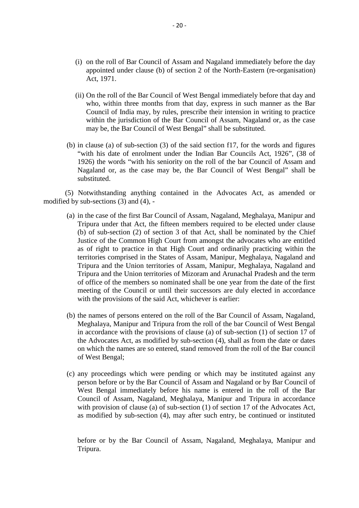- (i) on the roll of Bar Council of Assam and Nagaland immediately before the day appointed under clause (b) of section 2 of the North-Eastern (re-organisation) Act, 1971.
- (ii) On the roll of the Bar Council of West Bengal immediately before that day and who, within three months from that day, express in such manner as the Bar Council of India may, by rules, prescribe their intension in writing to practice within the jurisdiction of the Bar Council of Assam, Nagaland or, as the case may be, the Bar Council of West Bengal" shall be substituted.
- (b) in clause (a) of sub-section (3) of the said section f17, for the words and figures "with his date of enrolment under the Indian Bar Councils Act, 1926", (38 of 1926) the words "with his seniority on the roll of the b "with his date of enrolment under the Indian Bar Councils Act, 1926", (38 of within the jurisdiction of the Bar Council of Assam, Nagaland or, as the case<br>may be, the Bar Council of West Bengal" shall be substituted.<br>in clause (a) of sub-section (3) of the said section f17, for the words and figure may be, the Bar Council of West Bengal" shall be substituted.<br>
in clause (a) of sub-section (3) of the said section f17, for the words and figures<br>
"with his date of enrolment under the Indian Bar Councils Act, 1926", (38 substituted. 1926) the words "with his senio<br>Nagaland or, as the case may<br>substituted.<br>(5) Notwithstanding anything cont<br>modified by sub-sections (3) and (4), -<br>(a) in the case of the first Bar Counc

(5) Notwithstanding anything contained in the Advocates Act, as amended or

- (a) in the case of the first Bar Council of Assam, Nagaland, Meghalaya, Manipur and Tripura under that Act, the fifteen members required to be elected under clause Tripura under that Act, the fifteen members required to be elected under clause Notwithstanding anything contained in the Advocates Act, as amended or  $v$  sub-sections (3) and (4), -<br>in the case of the first Bar Council of Assam, Nagaland, Meghalaya, Manipur and<br>Tripura under that Act, the fifteen mem If  $\alpha$  sub-sections (3) and (4), -<br>in the case of the first Bar Council of Assam, Nagaland, Meghalaya, Manipur and<br>Tripura under that Act, the fifteen members required to be elected under clause<br>(b) of sub-section (2) of in the case of the first Bar Council of Assam, Nagaland, Meghalaya, Manipur and Tripura under that Act, the fifteen members required to be elected under clause (b) of sub-section (2) of section 3 of that Act, shall be nomi territories comprised in the States of Assam, Manipur, Meghalaya, Nagaland and Tripura and the Union territories of Assam, Manipur, Meghalaya, Nagaland and Tripura and the Union territories of Mizoram and Arunachal Pradesh and the term of office of the members so nominated shall be one year from the date of the first meeting of the Council or until their successors are duly elected in accordance with the provisions of the said Act, whichever is earlier: Tripura and the Union territories of Mizoram and Arunachal Pradesh and the term<br>of office of the members so nominated shall be one year from the date of the first<br>meeting of the Council or until their successors are duly e
- Meghalaya, Manipur and Tripura from the roll of the bar Council of West Bengal in accordance with the provisions of clause (a) of sub-section (1) of section 17 of the Advocates Act, as modified by sub-section (4), shall as from the date or dates on which the names are so entered, stand removed from the roll of the Bar council of West Bengal; in accordance with the provisions of clause (a) of sub-section (1) of section 17 of<br>the Advocates Act, as modified by sub-section (4), shall as from the date or dates<br>on which the names are so entered, stand removed from t
- the Advocates Act, as modified by sub-section (4), shall as from the date or dates<br>on which the names are so entered, stand removed from the roll of the Bar council<br>of West Bengal;<br>any proceedings which were pending or whi of West Bengal;<br>any proceedings which were pending or which may be instituted against any<br>person before or by the Bar Council of Assam and Nagaland or by Bar Council of<br>West Bengal immediately before his name is entered in with provision of clause (a) of sub-section (1) of section 17 of the Advocates Act, as modified by sub-section (4), may after such entry, be continued or instituted Council of Assam, Nagaland, Meghalaya, Manipur and Tripura in accordance<br>with provision of clause (a) of sub-section (1) of section 17 of the Advocates Act,<br>as modified by sub-section (4), may after such entry, be continue

Tripura.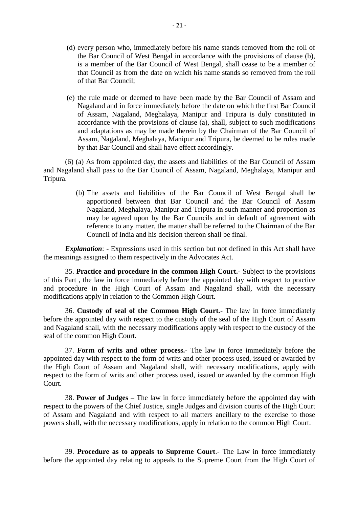- (d) every person who, immediately before his name stands removed from the roll of the Bar Council of West Bengal in accordance with the provisions of clause (b), is a member of the Bar Council of West Bengal, shall cease to be a member of that Council as from the date on which his name stands so removed from the roll of that Bar Council; the Bar Council of West Bengal in accordance with the provisions of clause (b),<br>is a member of the Bar Council of West Bengal, shall cease to be a member of<br>that Council as from the date on which his name stands so removed
- is a member of the Bar Council of West Bengal, shall cease to be a member of that Council as from the date on which his name stands so removed from the roll of that Bar Council;<br>the rule made or deemed to have been made by of Assam, Nagaland, Meghalaya, Manipur and Tripura is duly constituted in of that Bar Council;<br>the rule made or deemed to have been made by the Bar Council of Assam and<br>Nagaland and in force immediately before the date on which the first Bar Council<br>of Assam, Nagaland, Meghalaya, Manipur and Tri and adaptations as may be made therein by the Chairman of the Bar Council of Assam, Nagaland, Meghalaya, Manipur and Tripura, be deemed to be rules made by that Bar Council and shall have effect accordingly. accordance with the provisions of clause (a), shall, subject to such modifications<br>and adaptations as may be made therein by the Chairman of the Bar Council of<br>Assam, Nagaland, Meghalaya, Manipur and Tripura, be deemed to

Tripura. (a) As from appointed day, the assets and liabilities of the Bar Council of Assam<br>and shall pass to the Bar Council of Assam, Nagaland, Meghalaya, Manipur and<br>(b) The assets and liabilities of the Bar Council of West Benga

apportioned between that Bar Council and the Bar Council of Assam Nagaland, Meghalaya, Manipur and Tripura in such manner and proportion as<br>
may be agreed upon by the Bar Councils and in default of agreement with<br>
reference to any matter, the matter shall be referred to the Chairman of t may be agreed upon by the Bar Councils and in default of agreement with reference to any matter, the matter shall be referred to the Chairman of the Bar Council of India and his decision thereon shall be final.

the meanings assigned to them respectively in the Advocates Act.

35. **Practice and procedure in the common High Court.-** Subject to the provisions **Explanation:** - Expressions used in this section but not defined in this Act shall have<br>the meanings assigned to them respectively in the Advocates Act.<br>35. **Practice and procedure in the common High Court.** Subject to th **Explanation:** - Expressions used in this section but not defined in this Act shall have<br>the meanings assigned to them respectively in the Advocates Act.<br>35. **Practice and procedure in the common High Court.** Subject to th modifications apply in relation to the Common High Court. 35. **Practice and procedure in the common High Court.**- Subject to the provisions of this Part, the law in force immediately before the appointed day with respect to practice and procedure in the High Court of Assam and Na

and Nagaland shall, with the necessary modifications apply with respect to the custody of the seal of the common High Court. 36. **Custody of seal of the Common High Court.** The law in force immediately the appointed day with respect to the custody of the seal of the High Court of Assam galand shall, with the necessary modifications apply with re

appointed day with respect to the form of writs and other process used, issued or awarded by the High Court of Assam and Nagaland shall, with necessary modifications, apply with seal of the common High Court.<br>
37. Form of writs and other process.- The law in force immediately before the<br>
appointed day with respect to the form of writs and other process used, issued or awarded by<br>
the High Court of Court.

38. **Power of Judges** – The law in force immediately before the appointed day with respect to the powers of the Chief Justice, single Judges and division courts of the High Court respect to the form of writs and other process used, issued or awarded by the common High Court.<br>
38. **Power of Judges** – The law in force immediately before the appointed day with<br>
respect to the powers of the Chief Justi powers shall, with the necessary modifications, apply in relation to the common High Court of Assam and Nagaland and with respect to all matters ancillary to the exercise to those powers shall, with the necessary modificat 39. **Procedure as to appeals to Supreme Court**. The Law in force immediately

before the appointed day relating to appeals to the Supreme Court from the High Court of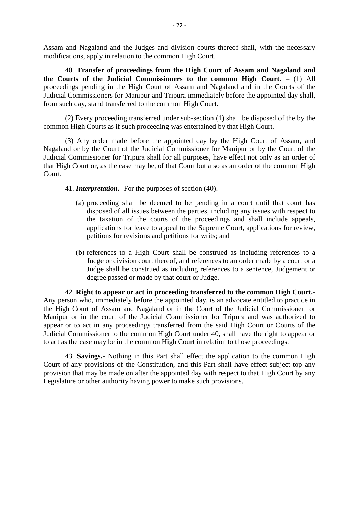Assam and Nagaland and the Judges and division courts thereof shall, with the necessary modifications, apply in relation to the common High Court.

40. **Transfer of proceedings from the High Court of Assam and Nagaland and the Courts of the Judicial Commissioners to the common High Court.** – (1) All proceedings pending in the High Court of Assam and Nagaland and in the Courts of the modifications, apply in relation to the common High Court.<br>40. **Transfer of proceedings from the High Court of Assam and Nagaland and**<br>the **Courts of the Judicial Commissioners to the common High Court.** – (1) All<br>proceedi from such day, stand transferred to the common High Court. ourts of the Judicial Commissioners to the common High Court.  $-$  (1) All lings pending in the High Court of Assam and Nagaland and in the Courts of the l Commissioners for Manipur and Tripura immediately before the appoi proceedings pending in the High Court of Assam and Nagaland and in the Cou<br>Judicial Commissioners for Manipur and Tripura immediately before the appointed<br>from such day, stand transferred to the common High Court.<br>(2) Ever

(3) Any order made before the appointed day by the High Court of Assam, and Nagaland or by the Court of the Judicial Commissioner for Manipur or by the Court of the (2) Every proceeding transferred under sub-section (1) shall be disposed of the by the common High Courts as if such proceeding was entertained by that High Court.<br>
(3) Any order made before the appointed day by the High C that High Court or, as the case may be, of that Court but also as an order of the common High Court.<br>
41. *Interpretation*. For the purposes of section (40).<br>
(a) proceeding shall be deemed to be pending in a court until t Court. and or by the Court of the Judicial Commissioner for Mani<br>
I Commissioner for Tripura shall for all purposes, have effer<br>
gh Court or, as the case may be, of that Court but also as an<br>
41. *Interpretation*. For the purpose

- 
- 41. **Interpretation.** For the purposes of section  $(40)$ .<br>(a) proceeding shall be deemed to be pending in a court until that court has disposed of all issues between the parties, including any issues with respect to the taxation of the courts of the proceedings and shall include appeals, applications for leave to appeal to the Supreme Court, applications for review, petitions for revisions and petitions for writs; and disposed of all issues between the parties, including any issues with respect to<br>the taxation of the courts of the proceedings and shall include appeals,<br>applications for leave to appeal to the Supreme Court, applications
	- applications for leave to appeal to the Supreme Court, applications for review,<br>petitions for revisions and petitions for writs; and<br>references to a High Court shall be construed as including references to a<br>Judge or divis degree passed or made by that court or Judge.

For a published as including transferred to the common High Court.<br>
42. **Right to appear or act in proceeding transferred to the common High Court.**<br>
Any person who, immediately before the appointed day, is an advocate ent Judge shall be construed as including references to a sentence, Judgement or<br>degree passed or made by that court or Judge.<br>42. **Right to appear or act in proceeding transferred to the common High Court.**<br>Any person who, im Manipur or in the court of the Judicial Commissioner for Tripura and was authorized to appear or to act in any proceedings transferred from the said High Court or Courts of the Judicial Commissioner to the common High Court under 40, shall have the right to appear or to act as the case may be in the common High Court in relation to those proceedings. It is the court of the Judicial Commissioner for Tripura and was authorized to or to act in any proceedings transferred from the said High Court or Courts of the Commissioner to the common High Court under 40, shall have t

appear or to act in any proceedings transferred from the said High Court or Courts of the Judicial Commissioner to the common High Court under 40, shall have the right to appear or to act as the case may be in the common H provision that may be made on after the appointed day with respect to that High Court by any Legislature or other authority having power to make such provisions.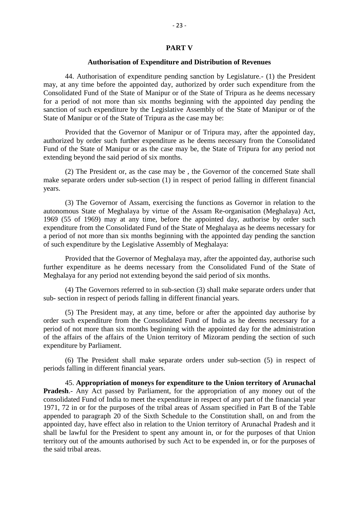#### **PART V**

#### **Authorisation of Expenditure and Distribution of Revenues**

**44.** Authorisation of Expenditure and Distribution of Revenues<br>44. Authorisation of expenditure pending sanction by Legislature.- (1) the President<br>may, at any time before the appointed day, authorized by order such expen **CONSOLUTE:** A Authorisation of Expenditure and Distribution of Revenues<br>44. Authorisation of expenditure pending sanction by Legislature.- (1) the President<br>may, at any time before the appointed day, authorized by order s for a period of not more than six months beginning with the appointed day pending the sanction of such expenditure by the Legislative Assembly of the State of Manipur or of the State of Manipur or of the State of Tripura as the case may be:

Provided that the Governor of Manipur or of Tripura may, after the appointed day, authorized by order such further expenditure as he deems necessary from the Consolidated Fund of the State of Manipur or as the case may be, the State of Tripura for any period not extending beyond the said period of six months.

(2) The President or, as the case may be , the Governor of the concerned State shall make separate orders under sub-section (1) in respect of period falling in different financial years.

(3) The Governor of Assam, exercising the functions as Governor in relation to the autonomous State of Meghalaya by virtue of the Assam Re-organisation (Meghalaya) Act, make separate orders under sub-section (1) in respect of period falling in different financial<br>years.<br>(3) The Governor of Assam, exercising the functions as Governor in relation to the<br>autonomous State of Meghalaya by virt a period of not more than six months beginning with the appointed day pending the sanction of such expenditure by the Legislative Assembly of Meghalaya:

Provided that the Governor of Meghalaya may, after the appointed day, authorise such further expenditure as he deems necessary from the Consolidated Fund of the State of Meghalaya for any period not extending beyond the said period of six months. Provided that the Governor of Meghalaya may, after the appoints<br>further expenditure as he deems necessary from the Consolidated I<br>Meghalaya for any period not extending beyond the said period of six m<br>(4) The Governors ref

(4) The Governors referred to in sub-section (3) shall make separate orders under that sub-section in respect of periods falling in different financial years.<br>
(5) The President may, at any time, before or after the appointed day authorise by

order such expenditure from the Consolidated Fund of India as he deems necessary for a period of not more than six months beginning with the appointed day for the administration of the affairs of the affairs of the Union territory of Mizoram pending the section of such expenditure by Parliament.

(6) The President shall make separate orders under sub-section (5) in respect of periods falling in different financial years.

45. **Appropriation of moneys for expenditure to the Union territory of Arunachal Propertionally 1 and and the appearate of the separate orders under sub-section (5) in respect of periods falling in different financial years.<br>
45. <b>Appropriation of moneys for expenditure to the Union territory of Aruna** (6) The President shall make separate orders under sub-section (5) in respect of<br>periods falling in different financial years.<br>45. **Appropriation of moneys for expenditure to the Union territory of Arunachal**<br>**Pradesh**.- A 1971, 72 in or for the purposes of the tribal areas of Assam specified in Part B of the Table appended to paragraph 20 of the Sixth Schedule to the Constitution shall, on and from the appointed day, have effect also in relation to the Union territory of Arunachal Pradesh and it shall be lawful for the President to spent any amount in, or for the purposes of that Union territory out of the amounts authorised by such Act to be expended in, or for the purposes of the said tribal areas.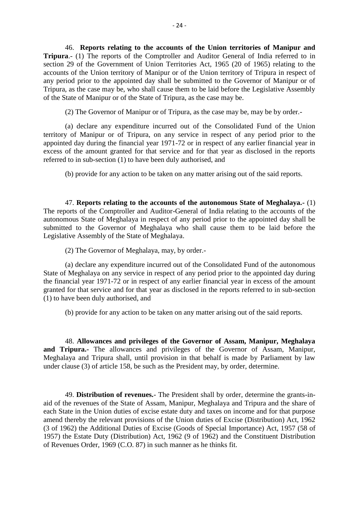46. **Reports relating to the accounts of the Union territories of Manipur and** <sup>24</sup><br>
<sup>24</sup><br> **Tripura**.- (1) The reports of the Comptroller and Auditor General of India referred to in section 29 of the Government of Union Territories Act, 1965 (20 of 1965) relating to the accounts of the Union territory of Manipur or of the Union territory of Tripura in respect of any period prior to the appointed day shall be submitted to the Governor of Manipur or of Tripura, as the case may be, who shall cause them to be laid before the Legislative Assembly of the State of Manipur or of the State of Tripura, as the case may be.

(2) The Governor of Manipur or of Tripura, as the case may be, may be by order.-

(a) declare any expenditure incurred out of the Consolidated Fund of the Union territory of Manipur or of Tripura, on any service in respect of any period prior to the appointed day during the financial year 1971-72 or in respect of any earlier financial year in excess of the amount granted for that service and for that year as disclosed in the reports referred to in sub-section (1) to have been duly authorised, and

(b) provide for any action to be taken on any matter arising out of the said reports.

47. **Reports relating to the accounts of the autonomous State of Meghalaya.-** (1) The reports of the Comptroller and Auditor-General of India relating to the accounts of the autonomous State of Meghalaya in respect of any period prior to the appointed day shall be submitted to the Governor of Meghalaya who shall cause them to be laid before the Legislative Assembly of the State of Meghalaya.

(2) The Governor of Meghalaya, may, by order.-

(a) declare any expenditure incurred out of the Consolidated Fund of the autonomous State of Meghalaya on any service in respect of any period prior to the appointed day during the financial year 1971-72 or in respect of any earlier financial year in excess of the amount granted for that service and for that year as disclosed in the reports referred to in sub-section (1) to have been duly authorised, and

(b) provide for any action to be taken on any matter arising out of the said reports.

48. **Allowances and privileges of the Governor of Assam, Manipur, Meghalaya and Tripura.-** The allowances and privileges of the Governor of Assam, Manipur, Meghalaya and Tripura.<sup>1</sup> The anowances and privileges of the Governor of Assam, Manipur, Meghalaya and Tripura shall, until provision in that behalf is made by Parliament by law under clause (3) of article 158, be such as 48. **Allowances and privileges of the Governor of Assam, Manipur, Megand Tripura.**- The allowances and privileges of the Governor of Assam, Meghalaya and Tripura shall, until provision in that behalf is made by Parliament

aid of the revenues of the State of Assam, Manipur, Meghalaya and Tripura and the share of 49. **Distribution of revenues.** The President hay, by order, determine.<br>49. **Distribution of revenues.** The President shall by order, determine the grants-in-<br>aid of the revenues of the State of Assam, Manipur, Meghalaya a 49. **Distribution of revenues.** The President shall by order, determine the grants-in-<br>aid of the revenues of the State of Assam, Manipur, Meghalaya and Tripura and the share of<br>each State in the Union duties of excise est (3 of 1962) the Additional Duties of Excise (Goods of Special Importance) Act, 1957 (58 of 1957) the Estate Duty (Distribution) Act, 1962 (9 of 1962) and the Constituent Distribution of Revenues Order, 1969 (C.O. 87) in such manner as he thinks fit.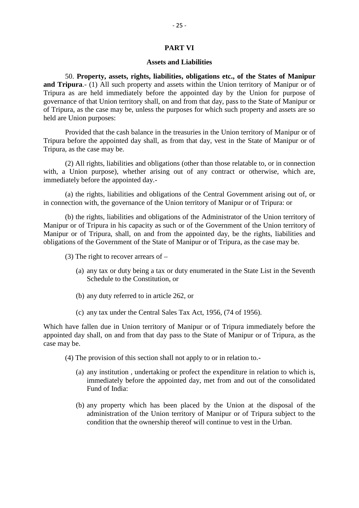#### **PART VI**

#### **Assets and Liabilities**

**PART VI**<br> **Assets and Liabilities<br>
50. Property, assets, rights, liabilities, obligations etc., of the States of Manipur<br>
<b>ipura**.- (1) All such property and assets within the Union territory of Manipur or of **and Tripura**.- (1) All such property, and **Assets and Liabilities**<br>50. **Property, assets, rights, liabilities, obligations etc., of the States of Manipur<br>and <b>Tripura**.- (1) All such property and assets within the Union t Tripura as are held immediately before the appointed day by the Union for purpose of governance of that Union territory shall, on and from that day, pass to the State of Manipur or of Tripura, as the case may be, unless the purposes for which such property and assets are so held are Union purposes:

Provided that the cash balance in the treasuries in the Union territory of Manipur or of Tripura before the appointed day shall, as from that day, vest in the State of Manipur or of Tripura, as the case may be.

(2) All rights, liabilities and obligations (other than those relatable to, or in connection with, a Union purpose), whether arising out of any contract or otherwise, which are, immediately before the appointed day.-

(a) the rights, liabilities and obligations of the Central Government arising out of, or in connection with, the governance of the Union territory of Manipur or of Tripura: or

(b) the rights, liabilities and obligations of the Administrator of the Union territory of Manipur or of Tripura in his capacity as such or of the Government of the Union territory of Manipur or of Tripura, shall, on and from the appointed day, be the rights, liabilities and obligations of the Government of the State of Manipur or of Tripura, as the case may be.<br>(3) The right to recover arrears of  $-$ <br> obligations of the Government of the State of Manipur or of Tripura, as the case may be.

- (3) The right to recover arrears of  $-$ 
	- Schedule to the Constitution, or (a) any tax or duty being a tax or duty enumerated in the State List in the Seventh<br>Schedule to the Constitution, or<br>(b) any duty referred to in article 262, or
	-
	- (c) any tax under the Central Sales Tax Act, 1956, (74 of 1956).

Which have fallen due in Union territory of Manipur or of Tripura immediately before the (b) any duty referred to in article 262, or<br>
(c) any tax under the Central Sales Tax Act, 1956, (74 of 1956).<br>
Which have fallen due in Union territory of Manipur or of Tripura immediately before the<br>
appointed day shall, case may be. (a) any institution is undertaking or profect the expenditure in relation to which is,<br>(a) any institution , undertaking or profect the expenditure in relation to which is,<br>immediately before the appointed day, met from an

- (4) The provision of this section shall not apply to or in relation to.
	- immediately before the appointed day, met from and out of the consolidated Fund of India: (a) any institution, undertaking or profect the expenditure in relation to which is,<br>immediately before the appointed day, met from and out of the consolidated<br>Fund of India:<br>(b) any property which has been placed by the U
	- administration of the Union territory of Manipur or of Tripura subject to the condition that the ownership thereof will continue to vest in the Urban.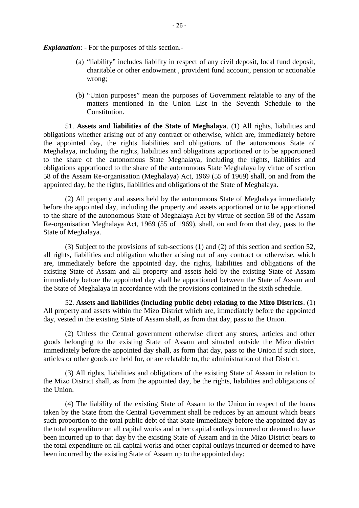*Explanation*: - For the purposes of this section.-

- (a) "liability" includes liability in respect of any civil deposit, local fund deposit, charitable or other endowment , provident fund account, pension or actionable wrong;
- (b) "Union purposes" mean the purposes of Government relatable to any of the matters mentioned in the Union List in the Seventh Schedule to the Constitution.

51. **Assets and liabilities of the State of Meghalaya**. (1) All rights, liabilities and obligations whether arising out of any contract or otherwise, which are, immediately before the appointed day, the rights liabilities and obligations of the autonomous State of Meghalaya, including the rights, liabilities and obligations apportioned or to be apportioned 51. Assets and liabilities of the State of Meghalaya. (1) All rights, liabilities and obligations whether arising out of any contract or otherwise, which are, immediately before the appointed day, the rights liabilities an obligations apportioned to the share of the autonomous State Meghalaya by virtue of section obligations whether arising out of any contract or otherwise, which are, immediately before<br>the appointed day, the rights liabilities and obligations of the autonomous State of<br>Meghalaya, including the rights, liabilities appointed day, be the rights, liabilities and obligations of the State of Meghalaya.

(2) All property and assets held by the autonomous State of Meghalaya immediately before the appointed day, including the property and assets apportioned or to be apportioned to the share of the autonomous State of Meghalaya Act by virtue of section 58 of the Assam Re-organisation Meghalaya Act, 1969 (55 of 1969), shall, on and from that day, pass to the State of Meghalaya. the appointed day, including the property and assets apportioned or to be apportioned<br>hare of the autonomous State of Meghalaya Act by virtue of section 58 of the Assam<br>anisation Meghalaya Act, 1969 (55 of 1969), shall, on

all rights, liabilities and obligation whether arising out of any contract or otherwise, which Re-organisation Meghalaya Act, 1969 (55 of 1969), shall, on and from that day, pass to the<br>State of Meghalaya.<br>(3) Subject to the provisions of sub-sections (1) and (2) of this section and section 52,<br>all rights, liabiliti State of Meghalaya.<br>
(3) Subject to the provisions of sub-sections (1) and (2) of this section and section 52,<br>
all rights, liabilities and obligation whether arising out of any contract or otherwise, which<br>
are, immediate (3) Subject to the provisions of sub-sections (1) and (2) of this section and section 52, all rights, liabilities and obligation whether arising out of any contract or otherwise, which are, immediately before the appointed the State of Meghalaya in accordance with the provisions contained in the sixth schedule.

52. **Assets and liabilities (including public debt) relating to the Mizo Districts**. (1) All property and assets within the Mizo District which are, immediately before the appointed day, vested in the existing State of Assam shall, as from that day, pass to the Union.

(2) Unless the Central government otherwise direct any stores, articles and other goods belonging to the existing State of Assam and situated outside the Mizo district immediately before the appointed day shall, as form that day, pass to the Union if such store, articles or other goods are held for, or are relatable to, the administration of that District. the Mizo district immediately before the appointed day shall, as form that day, pass to the Union if such store, articles or other goods are held for, or are relatable to, the administration of that District.<br>
(3) All righ

(3) All rights, liabilities and obligations of the existing State of Assam in relation to the Union.

(4) The liability of the existing State of Assam to the Union in respect of the loans taken by the State from the Central Government shall be reduces by an amount which bears the Mizo District shall, as from the appointed day, be the rights, liabilities and obligations of<br>the Union.<br>(4) The liability of the existing State of Assam to the Union in respect of the loans<br>taken by the State from the the total expenditure on all capital works and other capital outlays incurred or deemed to have been incurred up to that day by the existing State of Assam and in the Mizo District bears to the total expenditure on all capital works and other capital outlays incurred or deemed to have been incurred by the existing State of Assam up to the appointed day: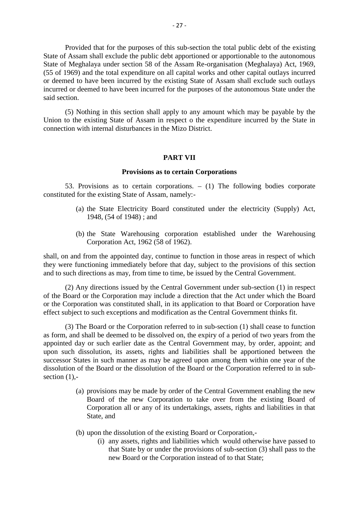Provided that for the purposes of this sub-section the total public debt of the existing State of Assam shall exclude the public debt apportioned or apportionable to the autonomous State of Meghalaya under section 58 of the Assam Re-organisation (Meghalaya) Act, 1969, Provided that for the purposes of this sub-section the total public debt of the existing<br>State of Assam shall exclude the public debt apportioned or apportionable to the autonomous<br>State of Meghalaya under section 58 of th or deemed to have been incurred by the existing State of Assam shall exclude such outlays incurred or deemed to have been incurred for the purposes of the autonomous State under the said section. (55 of 1969) and the total expenditure on all capital works and other capital outlays incurred<br>or deemed to have been incurred by the existing State of Assam shall exclude such outlays<br>incurred or deemed to have been incur

connection with internal disturbances in the Mizo District.

#### **PART VII**

#### **Provisions as to certain Corporations**

**FART VII**<br>**Provisions as to certain Corporations**<br>53. Provisions as to certain corporations. – (1) The following bodies corporate<br>tied for the existing State of Assam, namely:constituted for the existing State of Assam, namely:- **Provisions as to certain Corporations**<br>
Provisions as to certain corporations. – (1) The following bodies corporate<br>
for the existing State of Assam, namely:-<br>
(a) the State Electricity Board constituted under the electri

- 1948, (54 of 1948) ; and (a) the State Electricity Board constituted under the electricity (Supply) Act, 1948, (54 of 1948); and<br>(b) the State Warehousing corporation established under the Warehousing
- Corporation Act, 1962 (58 of 1962).

shall, on and from the appointed day, continue to function in those areas in respect of which (b) the State Warehousing corporation established under the Warehousing Corporation Act, 1962 (58 of 1962).<br>
shall, on and from the appointed day, continue to function in those areas in respect of which<br>
they were function

(2) Any directions issued by the Central Government under sub-section (1) in respect of the Board or the Corporation may include a direction that the Act under which the Board or the Corporation was constituted shall, in its application to that Board or Corporation have effect subject to such exceptions and modification as the Central Government thinks fit.

(3) The Board or the Corporation referred to in sub-section (1) shall cease to function as form, and shall be deemed to be dissolved on, the expiry of a period of two years from the appointed day or such earlier date as the Central Government may, by order, appoint; and effect subject to such exceptions and modification as the Central Government thinks fit.<br>
(3) The Board or the Corporation referred to in sub-section (1) shall cease to function<br>
as form, and shall be deemed to be dissolve successor States in such manner as may be agreed upon among them within one year of the (3) The Board or the Corporation referred to in sub-section (1) shall cease to function as form, and shall be deemed to be dissolved on, the expiry of a period of two years from the appointed day or such earlier date as t section  $(1)$ ,dissolution, its assets, rights and liabilities shall be apportioned between the<br>states in such manner as may be agreed upon among them within one year of the<br>of the Board or the dissolution of the Board or the Corporation

- Board of the new Corporation to take over from the existing Board of Corporation all or any of its undertakings, assets, rights and liabilities in that State, and (a) provisions may be made by order of the Central Government ena<br>Board of the new Corporation to take over from the exist<br>Corporation all or any of its undertakings, assets, rights and lia<br>State, and<br>(b) upon the dissolut In a gradient with the existing Board of<br>poration all or any of its undertakings, assets, rights and liabilities in that<br>e, and<br>n the dissolution of the existing Board or Corporation,-<br>(i) any assets, rights and liabilitie
- - that State by or under the provisions of sub-section (3) shall pass to the new Board or the Corporation instead of to that State;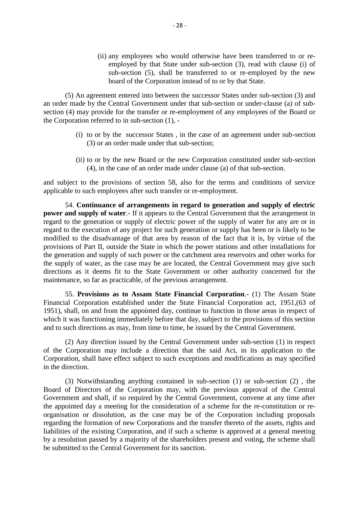(ii) any employees who would otherwise have been transferred to or reemployed by that State under sub-section (3), read with clause (i) of sub-section (5), shall be transferred to or re-employed by the new board of the Corporation instead of to or by that State.

(5) An agreement entered into between the successor States under sub-section (3) and an order made by the Central Government under that sub-section or under-clause (a) of subsection (4) may provide for the transfer or re-employment of any employees of the Board or board of the Corporation instead<br>
(5) An agreement entered into between the sum<br>
an order made by the Central Government under tha<br>
section (4) may provide for the transfer or re-employ<br>
the Corporation referred to in sub-An agreement entered into between the successor States under sub-section (3) and ade by the Central Government under that sub-section or under-clause (a) of sub-<br>may provide for the transfer or re-employment of any employ

- (3) or an order made under that sub-section; (i) to or by the successor States, in the case of an agreement under sub-section<br>
(3) or an order made under that sub-section;<br>
(ii) to or by the new Board or the new Corporation constituted under sub-section<br>
(4), in the
- (4), in the case of an order made under clause (a) of that sub-section.

and subject to the provisions of section 58, also for the terms and conditions of service applicable to such employees after such transfer or re-employment.

(i) to or by the hew Board of the hew Corporation constructed under sub-section<br>(4), in the case of an order made under clause (a) of that sub-section.<br>bject to the provisions of section 58, also for the terms and conditio (4), in the case of an order made under clause (a) of that sub-section.<br>
and subject to the provisions of section 58, also for the terms and conditions of service<br>
applicable to such employees after such transfer or re-emp regard to the generation or supply of electric power of the supply of water for any are or in applicable to such employees after such transfer or re-employment.<br>54. **Continuance of arrangements in regard to generation and supply of electric**<br>**power and supply of water**. If it appears to the Central Government that modified to the disadvantage of that area by reason of the fact that it is, by virtue of the provisions of Part II, outside the State in which the power stations and other installations for the generation and supply of such power or the catchment area reservoirs and other works for the supply of water, as the case may be are located, the Central Government may give such directions as it deems fit to the State Government or other authority concerned for the maintenance, so far as practicable, of the previous arrangement. eration and supply of such power or the catchment area reservoirs and other works for<br>ply of water, as the case may be are located, the Central Government may give such<br>ns as it deems fit to the State Government or other a

the supply of water, as the case may be are located, the Central Government may give such<br>directions as it deems fit to the State Government or other authority concerned for the<br>maintenance, so far as practicable, of the p 1951), shall, on and from the appointed day, continue to function in those areas in respect of which it was functioning immediately before that day, subject to the provisions of this section 55. Provisions as to Assam State Financial Corporation.- (1) The Assam Sta-<br>Financial Corporation established under the State Financial Corporation act, 1951, (63-<br>1951), shall, on and from the appointed day, continue to f

(2) Any direction issued by the Central Government under sub-section (1) in respect of the Corporation may include a direction that the said Act, in its application to the which it was functioning immediately before that day, subject to the provisions of this section<br>and to such directions as may, from time to time, be issued by the Central Government.<br>(2) Any direction issued by the Central in the direction.

(3) Notwithstanding anything contained in sub-section (1) or sub-section (2) , the Board of Directors of the Corporation may, with the previous approval of the Central Corporation, shall have effect subject to such exceptions and modifications as may specified<br>in the direction.<br>(3) Notwithstanding anything contained in sub-section (1) or sub-section (2), the<br>Board of Directors of the Cor the appointed day a meeting for the consideration of a scheme for the re-constitution or reorganisation or dissolution, as the case may be of the Corporation including proposals regarding the formation of new Corporations and the transfer thereto of the assets, rights and Government and shall, if so required by the Central Government, convene at any time after the appointed day a meeting for the consideration of a scheme for the re-constitution or re-<br>organisation or dissolution, as the cas by a resolution passed by a majority of the shareholders present and voting, the scheme shall be submitted to the Central Government for its sanction.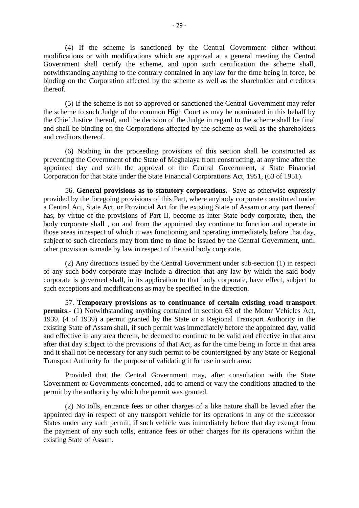(4) If the scheme is sanctioned by the Central Government either without modifications or with modifications which are approval at a general meeting the Central Government shall certify the scheme, and upon such certification the scheme shall, binding on the Corporation affected by the scheme as well as the shareholder and creditors thereof.

notwithstanding anything to the contrary contained in any law for the time being in force, be binding on the Corporation affected by the scheme as well as the shareholder and creditors thereof.<br>(5) If the scheme is not so (5) If the scheme is not so approved or sanctioned the Central Government may refer the Chief Justice thereof, and the decision of the Judge in regard to the scheme shall be final and creditors thereof.

and shall be binding on the Corporations affected by the scheme as well as the shareholders<br>
and creditors thereof.<br>
(6) Nothing in the proceeding provisions of this section shall be constructed as<br>
preventing the Governme (6) Nothing in the proceeding provisions of this section shall be constructed as preventing the Government of the State of Meghalaya from constructing, at any time after the Corporation for that State under the State Financial Corporations Act, 1951, (63 of 1951). 56. General provisions of this section shall be constructed as ing the Government of the State of Meghalaya from constructing, at any time after the ed day and with the approval of the Central Government, a State Financial

preventing the Government of the State of Meghalaya from constructing, at any time after the approinted day and with the approval of the Central Government, a State Financial Corporation for that State under the State Fina appointed day and with the approval of the Central Government, a State Financial Corporation for that State under the State Financial Corporations Act, 1951, (63 of 1951).<br>56. **General provisions as to statutory corporatio** Corporation for that State under the State Financial Corporations Act, 1951, (63 of 1951).<br>56. **General provisions as to statutory corporations.** Save as otherwise expressly<br>provided by the foregoing provisions of this Par 56. General provisions as to statutory corporations.- Save as otherwise expressly provided by the foregoing provisions of this Part, where anybody corporate constituted under a Central Act, State Act, or Provincial Act for 56. **General provisions as to statutory corporations.** Save as otherwise expressly provided by the foregoing provisions of this Part, where anybody corporate constituted under a Central Act, State Act, or Provincial Act fo subject to such directions may from time to time be issued by the Central Government, until a Central Act, State Act, or Provincial Act for the existing State of Assam or any part thereof has, by virtue of the provisions of Part II, become as inter State body corporate, then, the body corporate shall, on and from

(2) Any directions issued by the Central Government under sub-section (1) in respect of any such body corporate may include a direction that any law by which the said body subject to such directions may from time to time be issued by the Central Government, until other provision is made by law in respect of the said body corporate.<br>
(2) Any directions issued by the Central Government under s such exceptions and modifications as may be specified in the direction.

57. **Temporary provisions as to continuance of certain existing road transport** of any such body corporate may include a direction that any law by which the said body corporate is governed shall, in its application to that body corporate, have effect, subject to such exceptions and modifications as ma 1939, (4 of 1939) a permit granted by the State or a Regional Transport and and modifications as may be specified in the direction.<br>
1939, (4 of 1939) a permit granted by the State or a Regional Transport Authority in the existing State of Assam shall, if such permit was immediately before the appointed day, valid and effective in any area therein, be deemed to continue to be valid and effective in that area after that day subject to the provisions of that Act, as for the time being in force in that area 1939, (4 of 1939) a permit granted by the State or a Regional Transport Authority in the existing State of Assam shall, if such permit was immediately before the appointed day, valid and effective in any area therein, be d Transport Authority for the purpose of validating it for use in such area:

Provided that the Central Government may, after consultation with the State permit by the authority by which the permit was granted.

Government or Governments concerned, add to amend or vary the conditions attached to the permit by the authority by which the permit was granted.<br>
(2) No tolls, entrance fees or other charges of a like nature shall be levi (2) No tolls, entrance fees or other charges of a like nature shall be levied after the appointed day in respect of any transport vehicle for its operations in any of the successor States under any such permit, if such vehicle was immediately before that day exempt from<br>the payment of any such tolls, entrance fees or other charges for its operations within the existing State of Assam.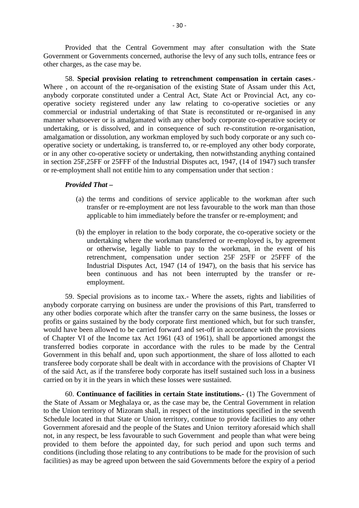Provided that the Central Government may after consultation with the State Government or Governments concerned, authorise the levy of any such tolls, entrance fees or other charges, as the case may be. Provided that the Central Government may after consultation with the State<br>Government or Governments concerned, authorise the levy of any such tolls, entrance fees or<br>other charges, as the case may be.<br>58. Special provisio

58. **Special provision relating to retrenchment compensation in certain cases**.- Where , on account of the re-organisation of the existing State of Assam under this Act, operative society registered under any law relating to co-operative societies or any commercial or industrial undertaking of that State is reconstituted or re-organised in any 58. **Special provision relating to retrenchment compensation in certain cases**.<br>Where, on account of the re-organisation of the existing State of Assam under this Act, any<br>body corporate constituted under a Central Act, St undertaking, or is dissolved, and in consequence of such re-constitution re-organisation, amalgamation or dissolution, any workman employed by such body corporate or any such cooperative society or undertaking, is transferred to, or re-employed any other body corporate, or in any other co-operative society or undertaking, then notwithstanding anything contained or in any other co-operative society or anticritating, then notwithstanding anything contained<br>in section 25F,25FF or 25FFF of the Industrial Disputes act, 1947, (14 of 1947) such transfer<br>or re-employment shall not entitl or re-employment shall not entitle him to any compensation under that section :

#### *Provided That –*

- transfer or re-employment are not less favourable to the work man than those applicable to him immediately before the transfer or re-employment; and (a) the terms and conditions of service applicable to the workman after such transfer or re-employment are not less favourable to the work man than those applicable to him immediately before the transfer or re-employment;
- the terms and conditions of service applicable to the workman after such transfer or re-employment are not less favourable to the work man than those applicable to him immediately before the transfer or re-employment; and retrenchment, compensation under section 25F 25FF or 25FFF of the the employer in relation to the body corporate, the co-operative society or the undertaking where the workman transferred or re-employed is, by agreement or otherwise, legally liable to pay to the workman, in the event of been continuous and has not been interrupted by the transfer or reemployment. retrenchment, compensation under section 25F 25FF or 25FFF of the<br>Industrial Disputes Act, 1947 (14 of 1947), on the basis that his service has<br>been continuous and has not been interrupted by the transfer or re-<br>employment Industrial Disputes Act, 1947 (14 of 1947), on the basis that his service has<br>been continuous and has not been interrupted by the transfer or re-<br>employment.<br>59. Special provisions as to income tax.- Where the assets, righ

any other bodies corporate which after the transfer carry on the same business, the losses or profits or gains sustained by the body corporate first mentioned which, but for such transfer, would have been allowed to be carried forward and set-off in accordance with the provisions of Chapter VI of the Income tax Act 1961 (43 of 1961), shall be apportioned amongst the transferred bodies corporate in accordance with the rules to be made by the Central Government in this behalf and, upon such apportionment, the share of loss allotted to each transferee body corporate shall be dealt with in accordance with the provisions of Chapter VI of the said Act, as if the transferee body corporate has itself sustained such loss in a business of Chapter VI of the Income tax Act 1961 (43 of 1961), shall be a<br>transferred bodies corporate in accordance with the rules to be<br>Government in this behalf and, upon such apportionment, the share<br>transferee body corporate ment in this behalf and, upon such apportionment, the share of loss allotted to each<br>ree body corporate shall be dealt with in accordance with the provisions of Chapter VI<br>aid Act, as if the transferee body corporate has i

the State of Assam or Meghalaya or, as the case may be, the Central Government in relation of the said Act, as if the transferee body corporate has itself sustained such loss in a business<br>carried on by it in the years in which these losses were sustained.<br>60. **Continuance of facilities in certain State institut** Schedule located in that State or Union territory, continue to provide facilities to any other 60. **Continuance of facilities in certain State institutions.** (1) The Government of the State of Assam or Meghalaya or, as the case may be, the Central Government in relation to the Union territory of Mizoram shall, in re not, in any respect, be less favourable to such Government and people than what were being provided to them before the appointed day, for such period and upon such terms and conditions (including those relating to any contributions to be made for the provision of such facilities) as may be agreed upon between the said Governments before the expiry of a period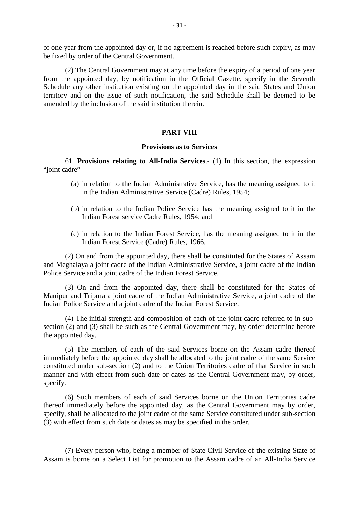of one year from the appointed day or, if no agreement is reached before such expiry, as may be fixed by order of the Central Government.

(2) The Central Government may at any time before the expiry of a period of one year from the appointed day, by notification in the Official Gazette, specify in the Seventh Schedule any other institution existing on the appointed day in the said States and Union territory and on the issue of such notification, the said Schedule shall be deemed to be amended by the inclusion of the said institution therein.

#### **PART VIII**

#### **Provisions as to Services**

**PART VIII**<br>**Provisions as to Services**<br>61. **Provisions relating to All-India Services**.- (1) In this section, the expression<br>adre" – 61. **Provisions**<br>"joint cadre" –<br>(a) in relation

- **Provisions as to Services**<br>
(a) in relations **relating to All-India Services**. (1) In this section, the expression<br>
(a) in relation to the Indian Administrative Service, has the meaning assigned to it<br>
in the Indian Admin in the Indian Administrative Service (Cadre) Rules, 1954; (a) in relation to the Indian Administrative Service, has the meaning assigned to it<br>in the Indian Administrative Service (Cadre) Rules, 1954;<br>(b) in relation to the Indian Police Service has the meaning assigned to it in
- Indian Forest service Cadre Rules, 1954; and (b) in relation to the Indian Police Service has the meaning assigned to it in the Indian Forest service Cadre Rules, 1954; and (c) in relation to the Indian Forest Service, has the meaning assigned to it in the
- Indian Forest Service (Cadre) Rules, 1966.

(2) On and from the appointed day, there shall be constituted for the States of Assam and Meghalaya a joint cadre of the Indian Administrative Service, a joint cadre of the Indian Police Service and a joint cadre of the Indian Forest Service.

(3) On and from the appointed day, there shall be constituted for the States of (2) On and from the appointed day, there shall be constituted for the States of Assam<br>and Meghalaya a joint cadre of the Indian Administrative Service, a joint cadre of the Indian<br>Police Service and a joint cadre of the In Indian Police Service and a joint cadre of the Indian Forest Service. Manipur and Tripura a joint cadre of the Indian Administrative Service, a joint cadre of the Indian Police Service and a joint cadre of the Indian Forest Service.<br>
(4) The initial strength and composition of each of the jo

(4) The initial strength and composition of each of the joint cadre referred to in subthe appointed day.

(5) The members of each of the said Services borne on the Assam cadre thereof immediately before the appointed day shall be allocated to the joint cadre of the same Service constituted under sub-section (2) and to the Union Territories cadre of that Service in such manner and with effect from such date or dates as the Central Government may, by order, specify.

(6) Such members of each of said Services borne on the Union Territories cadre thereof immediately before the appointed day, as the Central Government may by order, specify, shall be allocated to the joint cadre of the same Service constituted under sub-section (3) with effect from such date or dates as may be specified in the order.

(7) Every person who, being a member of State Civil Service of the existing State of Assam is borne on a Select List for promotion to the Assam cadre of an All-India Service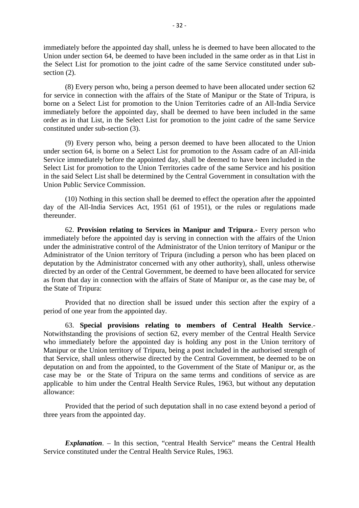immediately before the appointed day shall, unless he is deemed to have been allocated to the Union under section 64, be deemed to have been included in the same order as in that List in the Select List for promotion to the joint cadre of the same of that List in Union under section 64, be deemed to have been included in the same order as in that List in the Select List for promotion to the joint cadre of section  $(2)$ .

(8) Every person who, being a person deemed to have been allocated under section 62 for service in connection with the affairs of the State of Manipur or the State of Tripura, is the Select List for promotion to the joint cadre of the same Service constituted under sub-<br>section (2).<br>(8) Every person who, being a person deemed to have been allocated under section 62<br>for service in connection with th section (2).<br>
(8) Every person who, being a person deemed to have been allocated under section 62<br>
for service in connection with the affairs of the State of Manipur or the State of Tripura, is<br>
borne on a Select List for order as in that List, in the Select List for promotion to the joint cadre of the same Service constituted under sub-section (3). borne on a Select List for promotion to the Union Territories cadre of an All-India Service<br>immediately before the appointed day, shall be deemed to have been included in the same<br>order as in that List, in the Select List

under section 64, is borne on a Select List for promotion to the Assam cadre of an All-inida Service immediately before the appointed day, shall be deemed to have been included in the Select List for promotion to the Union Territories cadre of the same Service and his position in the said Select List shall be determined by the Central Government in consultation with the Union Public Service Commission.

(10) Nothing in this section shall be deemed to effect the operation after the appointed day of the All-India Services Act, 1951 (61 of 1951), or the rules or regulations made thereunder. (10) Nothing in this section shall be deemed to effect the operation after the appointed<br>the All-India Services Act, 1951 (61 of 1951), or the rules or regulations made<br>der.<br>62. **Provision relating to Services in Manipur a** 

(10) Nothing in this section shall be deemed to effect the operation after the appointed<br>day of the All-India Services Act, 1951 (61 of 1951), or the rules or regulations made<br>thereunder.<br>62. **Provision relating to Service** under the administrative control of the Administrator of the Union territory of Manipur or the for the Union **Control** control of the Union territory of Manipura and Tripura. Every person who immediately before the appointed day is serving in connection with the affairs of the Union under the administrative control deputation by the Administrator concerned with any other authority), shall, unless otherwise directed by an order of the Central Government, be deemed to have been allocated for service as from that day in connection with the affairs of State of Manipur or, as the case may be, of the State of Tripura:

Provided that no direction shall be issued under this section after the expiry of a period of one year from the appointed day.

Provided that no direction shall be issued under this section after the expiry of a<br>period of one year from the appointed day.<br>63. **Special provisions relating to members of Central Health Service.**<br>Notwithstanding the pro period of one year from the appointed day.<br>
63. **Special provisions relating to members of Central Health Service**.<br>
Notwithstanding the provisions of section 62, every member of the Central Health Service<br>
who immediately that Service, shall unless otherwise directed by the Central Government, be deemed to be on deputation on and from the appointed, to the Government of the State of Manipur or, as the case may be or the State of Tripura on the same terms and conditions of service as are Manipur or the Union territory of Tripura, being a post included in the authorised strength of that Service, shall unless otherwise directed by the Central Government, be deemed to be on deputation on and from the appointe allowance: ion on and from the appointed, to the Government of the State of Manipur or, as the ay be or the State of Tripura on the same terms and conditions of service as are ble to him under the Central Health Service Rules, 1963,

three years from the appointed day. *Explanation*. – In this section, "central Health Service" means the Central Health Service" means the Central Health

Service constituted under the Central Health Service Rules, 1963.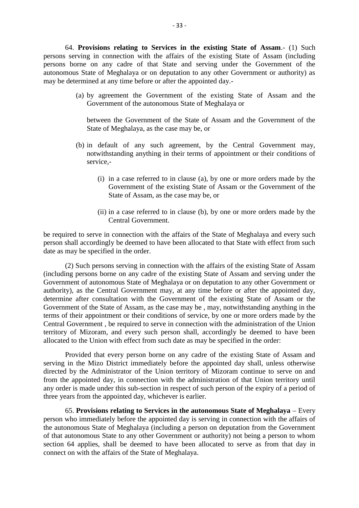<sup>-33.</sup><br>64. **Provisions relating to Services in the existing State of Assam.**- (1) Such persons serving in connection with the affairs of the existing State of Assam (including persons serving in connection with the affairs of the existing State of Assam (including persons borne on any cadre of that State and serving under the Government of the autonomous State of Meghalaya or on deputation to any other Government or authority) as may be determined at any time before or after the appointed day. right riving in connection with the affairs of the existing State of Assam (including<br>prne on any cadre of that State and serving under the Government of the<br>s State of Meghalaya or on deputation to any other Government or

Government of the autonomous State of Meghalaya or (a) by agreement the Government of the existing State of Assam and the Government of the autonomous State of Meghalaya or between the Government of the State of Assam and the Government of the State of Meghalaya, as the ca

between the Government of the State of Assam and the Government of the

- Government of the autonomous State of Meghalaya or<br>
between the Government of the State of Assam and the Government of the<br>
State of Meghalaya, as the case may be, or<br>
(b) in default of any such agreement, by the Central G service, default of any such agreement, by the Central Government may,<br>withstanding anything in their terms of appointment or their conditions of<br>rice,-<br>(i) in a case referred to in clause (a), by one or more orders made by the<br>Gov
	- ault of any such agreement, by the Central Government may, standing anything in their terms of appointment or their conditions of  $\cdot$ <br>in a case referred to in clause (a), by one or more orders made by the Government of th State of Assam, as the case may be, or (i) in a case referred to in clause (a), by one or more orders made by the Government of the existing State of Assam or the Government of the State of Assam, as the case may be, or (ii) in a case referred to in clause (b),
	- Central Government.

be required to serve in connection with the affairs of the State of Meghalaya and every such person shall accordingly be deemed to have been allocated to that State with effect from such date as may be specified in the order.

(2) Such persons serving in connection with the affairs of the existing State of Assam (including persons borne on any cadre of the existing State of Assam and serving under the Government of autonomous State of Meghalaya or on deputation to any other Government or authority), as the Central Government may, at any time before or after the appointed day, determine after consultation with the Government of the existing State of Assam or the Government of the State of Assam, as the case may be , may, notwithstanding anything in the terms of their appointment or their conditions of service, by one or more orders made by the Central Government , be required to serve in connection with the administration of the Union territory of Mizoram, and every such person shall, accordingly be deemed to have been allocated to the Union with effect from such date as may be specified in the order:

Provided that every person borne on any cadre of the existing State of Assam and serving in the Mizo District immediately before the appointed day shall, unless otherwise territory of Mizoram, and every such person shall, accordingly be deemed to have been allocated to the Union with effect from such date as may be specified in the order:<br>Provided that every person borne on any cadre of the from the appointed day, in connection with the administration of that Union territory until any order is made under this sub-section in respect of such person of the expiry of a period of three years from the appointed day, whichever is earlier.

65. **Provisions relating to Services in the autonomous State of Meghalaya** – Every from the appointed day, in connection with the administration of that Union territory until<br>any order is made under this sub-section in respect of such person of the expiry of a period of<br>three years from the appointed day the autonomous State of Meghalaya (including a person on deputation from the Government of that autonomous State to any other Government or authority) not being a person to whom person who immediately before the appointed day is serving in connection with the affairs of the autonomous State of Meghalaya (including a person on deputation from the Government of that autonomous State to any other Gov connect on with the affairs of the State of Meghalaya.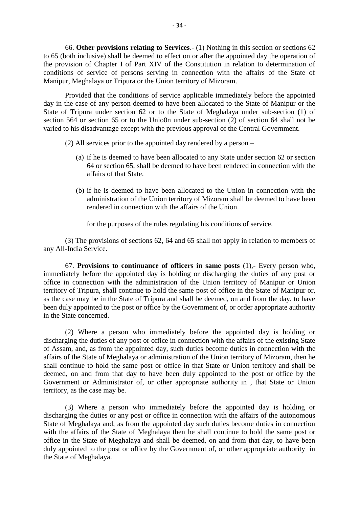66. **Other provisions relating to Services**.- (1) Nothing in this section or sections 62 to 65 (both inclusive) shall be deemed to effect on or after the appointed day the operation of <sup>-34</sup><br>66. **Other provisions relating to Services**.- (1) Nothing in this section or sections 62<br>to 65 (both inclusive) shall be deemed to effect on or after the appointed day the operation of<br>the provision of Chapter I of P conditions of service of persons serving in connection with the affairs of the State of Manipur, Meghalaya or Tripura or the Union territory of Mizoram.

Provided that the conditions of service applicable immediately before the appointed day in the case of any person deemed to have been allocated to the State of Manipur or the State of Tripura under section 62 or to the State of Meghalaya under sub-section (1) of state of Tripura under section 62 of to the State of Meghalaya under sub-section (1) or section 564 or section 65 or to the Unio0n under sub-section (2) of section 64 shall not be varied to his disadvantage except with th varied to his disadvantage except with the previous approval of the Central Government.

- (2) All services prior to the appointed day rendered by a person
	- 64 or section 65, shall be deemed to have been rendered in connection with the affairs of that State. (a) if he is deemed to have been allocated to any State under section 62 or section 64 or section 65, shall be deemed to have been rendered in connection with the affairs of that State.<br>(b) if he is deemed to have been al
	- administration of the Union territory of Mizoram shall be deemed to have been rendered in connection with the affairs of the Union.

for the purposes of the rules regulating his conditions of service.

(3) The provisions of sections 62, 64 and 65 shall not apply in relation to members of any All-India Service.

for the purposes of the rules regulating his conditions of service.<br>
(3) The provisions of sections 62, 64 and 65 shall not apply in relation to members of<br>
any All-India Service.<br>
67. **Provisions to continuance of officer** (3) The provisions of sections 62, 64 and 65 shall not apply in relation to members of<br>any All-India Service.<br>67. **Provisions to continuance of officers in same posts** (1),- Every person who,<br>immediately before the appoin any All-India Service.<br>
67. **Provisions to continuance of officers in same posts** (1),- Every person who,<br>
immediately before the appointed day is holding or discharging the duties of any post or<br>
office in connection with as the case may be in the State of Tripura and shall be deemed, on and from the day, to have been duly appointed to the post or office by the Government of, or order appropriate authority in the State concerned.

(2) Where a person who immediately before the appointed day is holding or discharging the duties of any post or office in connection with the affairs of the existing State of Assam, and, as from the appointed day, such duties become duties in connection with the affairs of the State of Meghalaya or administration of the Union territory of Mizoram, then he shall continue to hold the same post or office in that State or Union territory and shall be (2) Where a person who immediately before the appointed day is holding or discharging the duties of any post or office in connection with the affairs of the existing State of Assam, and, as from the appointed day, such dut territory, as the case may be.

(3) Where a person who immediately before the appointed day is holding or deemed, on and from that day to have been duly appointed to the post or office by the<br>Government or Administrator of, or other appropriate authority in, that State or Union<br>territory, as the case may be.<br>(3) Where a person State of Meghalaya and, as from the appointed day such duties become duties in connection with the affairs of the State of Meghalaya then he shall continue to hold the same post or office in the State of Meghalaya and shall be deemed, on and from that day, to have been duly appointed to the post or office by the Government of, or other appropriate authority in (3) Where a person who immediately before the appointed day is holding or discharging the duties or any post or office in connection with the affairs of the autonomous State of Meghalaya and, as from the appointed day such the State of Meghalaya.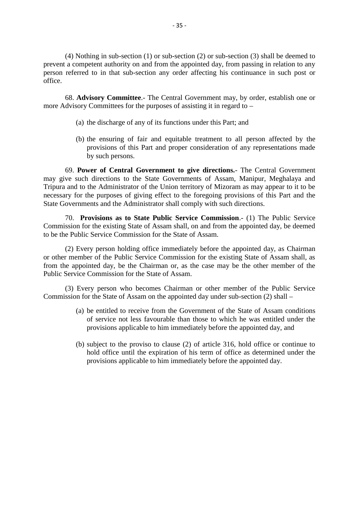(4) Nothing in sub-section (1) or sub-section (2) or sub-section (3) shall be deemed to prevent a competent authority on and from the appointed day, from passing in relation to any person referred to in that sub-section any order affecting his continuance in such post or office. (4) Nothing in sub-section (1) or sub-section (2) or sub-section (3) shall be deemed to a competent authority on and from the appointed day, from passing in relation to any referred to in that sub-section any order affect

more Advisory Committees for the purposes of assisting it in regard to – **Advisory Committee.**- The Central Government may, by order, es<br>sory Committees for the purposes of assisting it in regard to –<br>(a) the discharge of any of its functions under this Part; and

- 
- (a) the discharge of any of its functions under this Part; and<br>
(b) the ensuring of fair and equitable treatment to all person affected by the provisions of this Part and proper consideration of any representations made by such persons.

69. **Power of Central Government to give directions.**- The Central Government may give such directions to the State Governments of Assam, Manipur, Meghalaya and Tripura and to the Administrator of the Union territory of Mizoram as may appear to it to be necessary for the purposes of giving effect to the foregoing provisions of this Part and the State Governments and the Administrator shall comply with such directions. ve such directions to the State Governments of Assam, Manipur, Meghalaya and<br>and to the Administrator of the Union territory of Mizoram as may appear to it to be<br>ry for the purposes of giving effect to the foregoing provis

Commission for the existing State of Assam shall, on and from the appointed day, be deemed to be the Public Service Commission for the State of Assam.

(2) Every person holding office immediately before the appointed day, as Chairman or other member of the Public Service Commission for the existing State of Assam shall, as from the appointed day, be the Chairman or, as the case may be the other member of the Public Service Commission for the State of Assam.

(3) Every person who becomes Chairman or other member of the Public Service Commission for the State of Assam on the appointed day under sub-section (2) shall –

- (a) be entitled to receive from the Government of the State of Assam.<br>
Every person who becomes Chairman or other member of the Public Service<br>
on for the State of Assam on the appointed day under sub-section (2) shall –<br> of service not less favourable than those to which he was entitled under the provisions applicable to him immediately before the appointed day, and (a) be entitled to receive from the Government of the State of Assam conditions of service not less favourable than those to which he was entitled under the provisions applicable to him immediately before the appointed day
- be entitled to receive from the Government of the State of Assam conditions<br>of service not less favourable than those to which he was entitled under the<br>provisions applicable to him immediately before the appointed day, an provisions applicable to him immediately before the appointed day.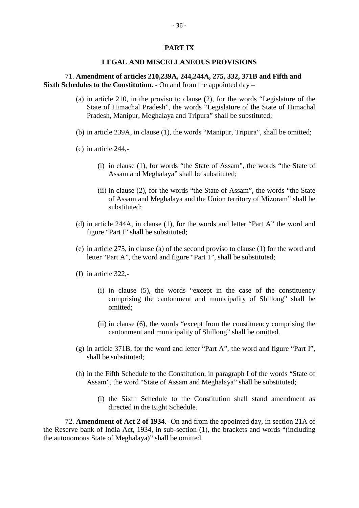#### **PART IX**

#### **LEGAL AND MISCELLANEOUS PROVISIONS**

#### 71. **Amendment of articles 210,239A, 244,244A, 275, 332, 371B and Fifth and Sixth Schedules to the Constitution.** - On and from the appointed day –

- (a) in article 210, in the proviso to clause (2), for the words "Legislature of the State of Himachal Pradesh", the words "Legislature of the State of Himachal Pradesh, Manipur, Meghalaya and Tripura" shall be substituted; State of Himachal P<br>Pradesh, Manipur, M<br>(b) in article 239A, in cl<br>(c) in article 244,-
- (b) in article 239A, in clause (1), the words "Manipur, Tripura", shall be omitted;
- - (i) in clause (1), for words "the State of Assam", the words "the State of Assam and Meghalaya" shall be substituted;
- (ii) in clause (2), for the words "the State of Assam", the words "the State of Assam and Meghalaya and the Union territory of Mizoram" shall be substituted; (ii) in clause (2), for the words "the State of Assam", the words "the State of Assam and Meghalaya and the Union territory of Mizoram" shall be substituted;<br>(d) in article 244A, in clause (1), for the words and letter "Pa
- figure "Part I" shall be substituted; substituted;<br>(d) in article 244A, in clause (1), for the words and letter "Part A" the word and<br>figure "Part I" shall be substituted;<br>(e) in article 275, in clause (a) of the second proviso to clause (1) for the word and<br>l
- letter "Part A", the word and figure "Part 1", shall be substituted; (e) in article 275, in clause (a) of the second proviso to clause (1) for the word and letter "Part A", the word and figure "Part 1", shall be substituted;<br>(f) in article 322,-<br>(i) in clause (5), the words "except in the
- 
- rticle 275, in clause (a) of the second proviso to clause (1) for the word and<br>
er "Part A", the word and figure "Part 1", shall be substituted;<br>
rticle 322,-<br>
(i) in clause (5), the words "except in the case of the consti omitted;
	- (ii) in clause (6), the words "except from the constituency comprising the cantonment and municipality of Shillong" shall be omitted.
- (g) in article 371B, for the word and letter "Part A", the word and figure "Part I", shall be substituted;
- (h) in the Fifth Schedule to the Constitution, in paragraph I of the words "State of Assam", the word "State of Assam and Meghalaya" shall be substituted; Il be substituted;<br>he Fifth Schedule to the Constitution, in paragraph I of the words "State of<br>am", the word "State of Assam and Meghalaya" shall be substituted;<br>(i) the Sixth Schedule to the Constitution shall stand amen
	- directed in the Eight Schedule.

Assam", the word "State of Assam and Meghalaya" shall be substituted;<br>
(i) the Sixth Schedule to the Constitution shall stand amendment as<br>
directed in the Eight Schedule.<br>
72. **Amendment of Act 2 of 1934**. On and from the the autonomous State of Meghalaya)" shall be omitted.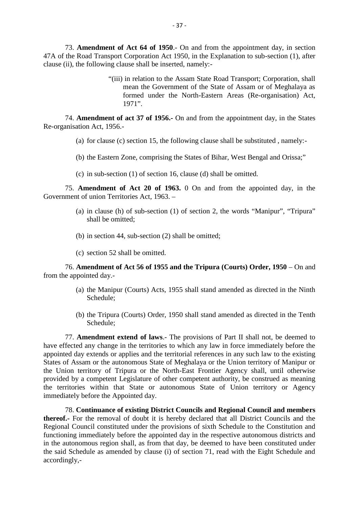<sup>-</sup> 37<sup>-</sup><br>
<sup>-</sup> 37<sup>-</sup><br>
<sup>47</sup>A of the Road Transport Corporation Act 1950, in the Explanation to sub-section (1), after<br>
<sup>47</sup>A of the Road Transport Corporation Act 1950, in the Explanation to sub-section (1), after clause (ii), the following clause shall be inserted, namely:-

"(iii) in relation to the Assam State Road Transport; Corporation, shall mean the Government of the State of Assam or of Meghalaya as formed under the North-Eastern Areas (Re-organisation) Act, 1971". The Assam State Road Transport; Corporation, shall<br>mean the Government of the State of Assam or of Meghalaya as<br>formed under the North-Eastern Areas (Re-organisation) Act,<br>1971".<br>74. **Amendment of act 37 of 1956.**- On and

Re-organisation Act, 1956.- **Amendment of act 37 of 1956.** On and from the appointment day, in the States ation Act, 1956.<br>
(a) for clause (c) section 15, the following clause shall be substituted , namely:-

- 
- (b) the Eastern Zone, comprising the States of Bihar, West Bengal and Orissa;" (a) for clause (c) section 15, the following clause shall be substituted , namely:-<br>(b) the Eastern Zone, comprising the States of Bihar, West Bengal and Orissa;"<br>(c) in sub-section (1) of section 16, clause (d) shall be
- 

75. **Amendment of Act 20 of 1963.** 0 On and from the appointed day, in the Government of union Territories Act, 1963. – (c) in sub-section (1) of section 16, clause (d) shall be omitted.<br> **Amendment of Act 20 of 1963.** 0 On and from the appointed day, in the nt of union Territories Act, 1963. –<br>
(a) in clause (h) of sub-section (1) of sect

- shall be omitted; (a) in clause (h) of sub-section (1) of section 2, the words "Manipur", "Tripura" shall be omitted;<br>(b) in section 44, sub-section (2) shall be omitted;<br>(c) section 52 shall be omitted.
- (b) in section 44, sub-section  $(2)$  shall be omitted;
- 

76. **Amendment of Act 56 of 1955 and the Tripura (Courts) Order, 1950** – On and from the appointed day.- (c) section 52 shall be omitted.<br> **Amendment of Act 56 of 1955 and the Tripura (Courts) Order, 1950** – On and<br>
pointed day.-<br>
(a) the Manipur (Courts) Acts, 1955 shall stand amended as directed in the Ninth<br>
Schedule;

- Schedule; (a) the Manipur (Courts) Acts, 1955 shall stand amended as directed in the Ninth<br>Schedule;<br>(b) the Tripura (Courts) Order, 1950 shall stand amended as directed in the Tenth
- Schedule;

Schedule;<br>
(b) the Tripura (Courts) Order, 1950 shall stand amended as directed in the Tenth<br>
Schedule;<br>
77. **Amendment extend of laws**.- The provisions of Part II shall not, be deemed to<br>
have effected any change in the t appointed day extends or applies and the territorial references in any such law to the existing States of Assam or the autonomous State of Meghalaya or the Union territory of Manipur or the Union territory of Tripura or the North-East Frontier Agency shall, until otherwise provided by a competent Legislature of other competent authority, be construed as meaning immediately before the Appointed day.

the territories within that State or autonomous State of Union territory or Agency<br>
immediately before the Appointed day.<br>
78. Continuance of existing District Councils and Regional Council and members<br>
thereof.- For the r 78. **Continuance of existing District Councils and Regional Council and members thereof.** For the removal of doubt it is hereby declared that all District Councils and the Regional Council constituted under the provisions of sixth Schedule to the Constitution and functioning immediately before the appointed day in the respective autonomous districts and in the autonomous region shall, as from that day, be deemed to have been constituted under the said Schedule as amended by clause (i) of section 71, read with the Eight Schedule and accordingly,-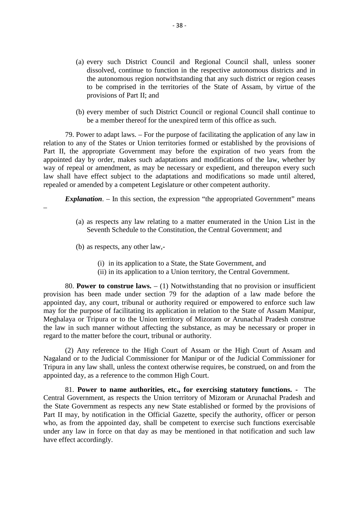- (a) every such District Council and Regional Council shall, unless sooner dissolved, continue to function in the respective autonomous districts and in the autonomous region notwithstanding that any such district or region ceases to be comprised in the territories of the State of Assam, by virtue of the provisions of Part II; and dissolved, continue to function in the respective autonomous districts and in<br>the autonomous region notwithstanding that any such district or region ceases<br>to be comprised in the territories of the State of Assam, by virtu
- be a member thereof for the unexpired term of this office as such.

79. Power to adapt laws. – For the purpose of facilitating the application of any law in relation to any of the States or Union territories formed or established by the provisions of Part II, the appropriate Government may before the expiration of two years from the appointed day by order, makes such adaptations and modifications of the law, whether by way of repeal or amendment, as may be necessary or expedient, and thereupon every such law shall have effect subject to the adaptations and modifications so made until altered, repealed or amended by a competent Legislature or other competent authority. appointed day by order, makes such adaptations and modifications of the law, whether by<br>way of repeal or amendment, as may be necessary or expedient, and thereupon every such<br>law shall have effect subject to the adaptation

*Explanation*.  $-$  In this section, the expression "the appropriated Government" means

- Seventh Schedule to the Constitution, the Central Government; and (a) as respects any law relating to a matter enumerated in the Union List in the<br>Seventh Schedule to the Constitution, the Central Government; and<br>(b) as respects, any other law,-<br>(i) in its application to a State, the Sta espects any law relating to a matter enumerated in the Union Lisenth Schedule to the Constitution, the Central Government; and<br>espects, any other law,-<br>(i) in its application to a State, the State Government, and<br>(ii) in i enth Schedule to the Constitution, the Central Government; and<br>espects, any other law,-<br>(i) in its application to a State, the State Government, and<br>(ii) in its application to a Union territory, the Central Government.<br>**to**
- -
	-

80. **Power to construe laws.** – (1) Notwithstanding that no provision or insufficient provision has been made under section 79 for the adaption of a law made before the appointed day, any court, tribunal or authority required or empowered to enforce such law may for the purpose of facilitating its application in relation to the State of Assam Manipur, Meghalaya or Tripura or to the Union territory of Mizoram or Arunachal Pradesh construe the law in such manner without affecting the substance, as may be necessary or proper in regard to the matter before the court, tribunal or authority.

(2) Any reference to the High Court of Assam or the High Court of Assam and Nagaland or to the Judicial Commissioner for Manipur or of the Judicial Commissioner for Tripura in any law shall, unless the context otherwise requires, be construed, on and from the appointed day, as a reference to the common High Court. 92. Any reference to the High Court of Assam or the High Court of Assam and<br>had or to the Judicial Commissioner for Manipur or of the Judicial Commissioner for<br>in any law shall, unless the context otherwise requires, be co

Nagaland or to the Judicial Commissioner for Manipur or of the Judicial Commissioner for<br>Tripura in any law shall, unless the context otherwise requires, be construed, on and from the<br>appointed day, as a reference to the c the State Government as respects any new State established or formed by the provisions of appointed day, as a reference to the common High Court.<br>
81. **Power to name authorities, etc., for exercising statutory functions.** - The<br>
Central Government, as respects the Union territory of Mizoram or Arunachal Pradesh who, as from the appointed day, shall be competent to exercise such functions exercisable under any law in force on that day as may be mentioned in that notification and such law have effect accordingly.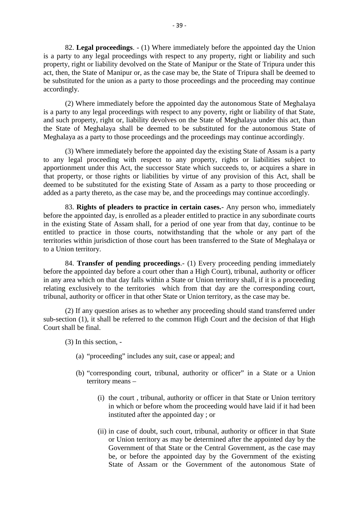82. **Legal proceedings**. - (1) Where immediately before the appointed day the Union is a party to any legal proceedings with respect to any property, right or liability and such property, right or liability devolved on the State of Manipur or the State of Tripura under this 82. Legal proceedings. - (1) Where immediately before the appointed day the Union<br>is a party to any legal proceedings with respect to any property, right or liability and such<br>property, right or liability devolved on the S be substituted for the union as a party to those proceedings and the proceeding may continue accordingly.

(2) Where immediately before the appointed day the autonomous State of Meghalaya is a party to any legal proceedings with respect to any poverty, right or liability of that State, and such property, right or, liability devolves on the State of Meghalaya under this act, than accordingly.<br>
(2) Where immediately before the appointed day the autonomous State of Meghalaya<br>
is a party to any legal proceedings with respect to any poverty, right or liability of that State,<br>
and such property, right o Meghalaya as a party to those proceedings and the proceedings may continue accordingly.

(3) Where immediately before the appointed day the existing State of Assam is a party and such property, right or, liability devolves on the State of Meghalaya under this act, than<br>the State of Meghalaya shall be deemed to be substituted for the autonomous State of<br>Meghalaya as a party to those proceedings apportionment under this Act, the successor State which succeeds to, or acquires a share in that property, or those rights or liabilities by virtue of any provision of this Act, shall be deemed to be substituted for the existing State of Assam as a party to those proceeding or added as a party thereto, as the case may be, and the proceedings may continue accordingly. Somment under this Act, the successor State which succeeds to, or acquires a share in operty, or those rights or liabilities by virtue of any provision of this Act, shall be l to be substituted for the existing State of As

that property, or those rights or liabilities by virtue of any provision of this Act, shall be deemed to be substituted for the existing State of Assam as a party to those proceeding or added as a party thereto, as the cas in the existing State of Assam shall, for a period of one year from that day, continue to be entitled to practice in those courts, notwithstanding that the whole or any part of the territories within jurisdiction of those court has been transferred to the State of Meghalaya or to a Union territory.

84. **Transfer of pending proceedings**.- (1) Every proceeding pending immediately before the appointed day before a court other than a High Court), tribunal, authority or officer in any area which on that day falls within a State or Union territory shall, if it is a proceeding relating exclusively to the territories which from that day are the corresponding court, tribunal, authority or officer in that other State or Union territory, as the case may be.

(2) If any question arises as to whether any proceeding should stand transferred under sub-section (1), it shall be referred to the common High Court and the decision of that High Court shall be final. (2) If any question arises<br>(2) If any question arises<br>tion (1), it shall be referred<br>hall be final.<br>(3) In this section,  $\frac{1}{2}$ <br>(a) "proceeding" inclu

- (a) "proceeding" includes any suit, case or appeal; and
- (b) "corresponding court, tribunal, authority or officer" in a State or a Union territory means –
- (i) the court divided any suit, case or appeal; and<br>
iteraponding court, tribunal, authority or officer" in a State or a Union<br>
itery means –<br>
(i) the court , tribunal, authority or officer in that State or Union territory in which or before whom the proceeding would have laid if it had been instituted after the appointed day ; or (i) the court, tribunal, authority or officer in that State or Union territory<br>in which or before whom the proceeding would have laid if it had been<br>instituted after the appointed day; or<br>(ii) in case of doubt, such court,
	- the court, tribunal, authority or officer in that State or Union territory<br>
	in which or before whom the proceeding would have laid if it had been<br>
	instituted after the appointed day ; or<br>
	in case of doubt, such court, trib instituted after the appointed day ; or<br>in case of doubt, such court, tribunal, authority or officer in that State<br>or Union territory as may be determined after the appointed day by the<br>Government of that State or the Cent State of Assam or the Government of the autonomous State of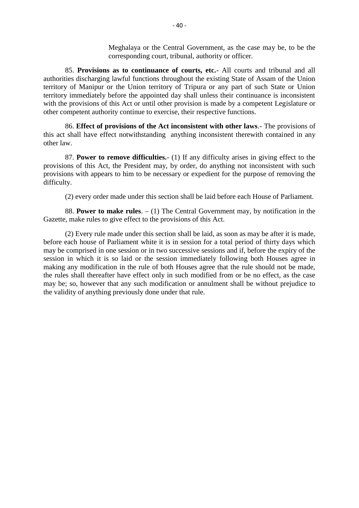Meghalaya or the Central Government, as the case may be, to be the corresponding court, tribunal, authority or officer.

Meghalaya or the Central Government, as the case may be, to be the<br>
corresponding court, tribunal, authority or officer.<br>
85. **Provisions as to continuance of courts, etc.**- All courts and tribunal and all<br>
authorities dis territory of Manipur or the Union territory of Tripura or any part of such State or Union territory immediately before the appointed day shall unless their continuance is inconsistent with the provisions of this Act or until other provision is made by a competent Legislature or other competent authority continue to exercise, their respective functions. 86. **Effect of provisions of the Act inconsistent with other laws.**- The provisions of this Act or until other provision is made by a competent Legislature or provisions of this Act or until other provision is made by a co

this act shall have effect notwithstanding anything inconsistent therewith contained in any other law. 86. **Effect of provisions of the Act inconsistent with other laws**. The provisions of shall have effect notwithstanding anything inconsistent therewith contained in any w.<br>87. **Power to remove difficulties.**- (1) If any di

provisions of this Act, the President may, by order, do anything not inconsistent with such provisions with appears to him to be necessary or expedient for the purpose of removing the difficulty.

(2) every order made under this section shall be laid before each House of Parliament.

88. **Power to make rules**. – (1) The Central Government may, by notification in the Gazette, make rules to give effect to the provisions of this Act.

(2) Every rule made under this section shall be laid, as soon as may be after it is made, before each house of Parliament white it is in session for a total period of thirty days which 88. **Power to make rules**.  $- (1)$  The Central Government may, by notification in the Gazette, make rules to give effect to the provisions of this Act.<br>
(2) Every rule made under this section shall be laid, as soon as may Gazette, make rules to give effect to the provisions of this Act.<br>
(2) Every rule made under this section shall be laid, as soon as may be after it is made,<br>
before each house of Parliament white it is in session for a tot making any modification in the rule of both Houses agree that the rule should not be made, the rules shall thereafter have effect only in such modified from or be no effect, as the case may be; so, however that any such modification or annulment shall be without prejudice to the validity of anything previously done under that rule.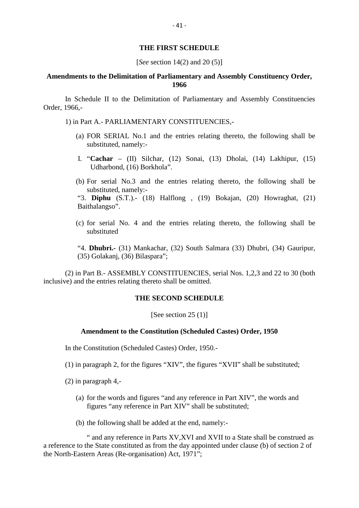#### **THE FIRST SCHEDULE**

[*See* section 14(2) and 20 (5)]

#### **Amendments to the Delimitation of Parliamentary and Assembly Constituency Order, 1966**

In Schedule II to the Delimitation of Parliamentary and Assembly Constituencies Order, 1966,- 1966<br>1966.<br>1966,-<br>1) in Part A.- PARLIAMENTARY CONSTITUENCIES,-<br>1) in Part A.- PARLIAMENTARY CONSTITUENCIES,-<br>3) FOR SERIAL No 1 and the entries relating thereto, the Schedule II to the Delimitation of Parliamentary and Assembly Constituencies<br>5,-<br>n Part A.- PARLIAMENTARY CONSTITUENCIES,-<br>(a) FOR SERIAL No.1 and the entries relating thereto, the following shall be<br>substituted, namely:-

- - substituted, namely:- (a) FOR SERIAL No.1 and the entries relating thereto, the following shall be substituted, namely:-<br>
	I. "Cachar – (II) Silchar, (12) Sonai, (13) Dholai, (14) Lakhipur, (15) Udharbond, (16) Borkhola".<br>
	(b) For serial No.3 a
	- I. "**Cachar** (II) Silchar, (12) Sonai, (13) Dholai, (14) Lakhipur, (15) Udharbond, (16) Borkhola".
	- substituted, namely:-

I. "**Cachar** – (II) Silchar, (12) Sonai, (13) Dholai, (14) Lakhipur, (15)<br>Udharbond, (16) Borkhola".<br>(b) For serial No.3 and the entries relating thereto, the following shall be<br>substituted, namely:-<br>"3. **Diphu** (S.T.).- ( Baithalangso". (b) For serial No.3 and the entries relating thereto, the following shall be substituted, namely:-<br>
"3. **Diphu** (S.T.).- (18) Halflong , (19) Bokajan, (20) Howraghat, (21) Baithalangso".<br>
(c) for serial No. 4 and the entr

substituted "4. **Dhubri.-** (31) Mankachar, (32) South Salmara (33) Dhubri, (34) Gauripur,

(35) Golakanj, (36) Bilaspara";

(2) in Part B.- ASSEMBLY CONSTITUENCIES, serial Nos. 1,2,3 and 22 to 30 (both inclusive) and the entries relating thereto shall be omitted.

#### **THE SECOND SCHEDULE**

[See section 25 (1)]

#### **Amendment to the Constitution (Scheduled Castes) Order, 1950**

In the Constitution (Scheduled Castes) Order, 1950.-

(1) in paragraph 2, for the figures "XIV", the figures "XVII" shall be substituted;

(2) in paragraph 4,-

- (a) for the figures "XIV", the figures "XVII" shall be substituted;<br>in paragraph 4,-<br>(a) for the words and figures "and any reference in Part XIV", the words and<br>figures "any reference in Part XIV" shall be substituted; figures "any reference in Part XIV" shall be substituted; (a) for the words and figures "and any reference in Part XI<br>figures "any reference in Part XIV" shall be substituted<br>(b) the following shall be added at the end, namely:-<br>" and any reference in Parts XV XVI and XVII to a S
- 

" and any reference in Parts XV,XVI and XVII to a State shall be construed as a reference to the State constituted as from the day appointed under clause (b) of section 2 of the North-Eastern Areas (Re-organisation) Act, 1971";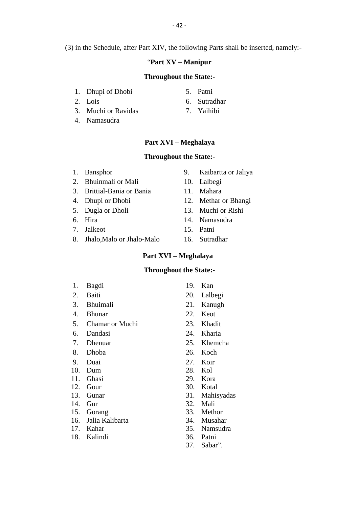(3) in the Schedule, after Part XIV, the following Parts shall be inserted, namely:- 1. Dhupi of Dhobi<br>
2. Lois 6. Sutradhar

#### "**Part XV – Manipur**

## **Throughout the State:- 2.** Lois **CELENACAL CONTEX CONTINUMENT:**<br> **2.** Lois 6. Sutradhar<br> **2.** Muchi or Ravidas 7. Yaihibi **1.** Dhupi of Dhobi **1.** Dhupi of Dhobi **1.** Dhupi of Dhobi **1.** S. Patni **1.** Cois **1.** Only 1. Subseted the Coint of Ravidas **1.** Namasudra **1.** Namasudra **1.** Namasudra **1.** Only 1. Subseted the Coint of Ravidas **1.** Ya

- 
- 
- 1. Dhupi of Dhobi<br>2. Lois<br>3. Muchi or Ravidas<br>4. Namasudra
- 
- 
- 
- 
- **Part XVI – Meghalaya Part XVI – Meghalaya<br>
Throughout the State:-**<br>
1. Bansphor 9. Kaibartta or Jaliya<br>
2. Bhuinmali or Mali 10. Lalbegi

### **Throughout the State:-**

- 
- 
- **Part XVI Meghalaya<br>
Throughout the State:-**<br>
1. Bansphor 9. Kaibartta or<br>
2. Bhuinmali or Mali 10. Lalbegi<br>
3. Brittial-Bania or Bania 11. Mahara **1. Bansphor**<br> **3. Bhuinmali or Mali**<br> **3. Brittial-Bania or Bania**<br> **3. Brittial-Bania or Bania**<br> **4. Dhupi or Dhobi**<br> **3. Mahara**<br> **4. Dhupi or Dhobi**<br> **3. Mahara**<br> **11. Mahara**<br> **12. Methar or Bhan** 1. Bansphor 1. Bansphor 9. Kaibartta or Jaliya<br>
2. Bhuinmali or Mali 10. Lalbegi<br>
3. Brittial-Bania or Bania 11. Mahara<br>
4. Dhupi or Dhobi 12. Methar or Bhangi<br>
5. Dugla or Dholi 13. Muchi or Rishi 1. Bansphor 9. Kaibartta or Jaliya<br>
2. Bhuinmali or Mali 10. Lalbegi<br>
3. Brittial-Bania or Bania 11. Mahara<br>
4. Dhupi or Dhobi 12. Methar or Bhangi<br>
5. Dugla or Dholi 13. Muchi or Rishi<br>
6. Hira 14. Namasudra 2. Bhuinmali or Mali 10. Lalbegi<br>
3. Brittial-Bania 11. Mahara<br>
4. Dhupi or Dhobi 12. Methar or Bhangi<br>
5. Dugla or Dholi 13. Muchi or Rishi<br>
6. Hira 14. Namasudra<br>
7. Jalkeot 15. Patni
- 
- 
- 
- 
- 3. Brittial-Bania or Bania 11. Mahara<br>
4. Dhupi or Dhobi 12. Methar or<br>
5. Dugla or Dholi 13. Muchi or 1<br>
6. Hira 14. Namasudr<br>
7. Jalkeot 15. Patni<br>
8. Jhalo,Malo or Jhalo-Malo 16. Sutradhar 4. Dhupi or Dhobi 12. Methar or Bhan<br>
5. Dugla or Dholi 13. Muchi or Rishi<br>
6. Hira 14. Namasudra<br>
7. Jalkeot 15. Patni<br>
8. Jhalo,Malo or Jhalo-Malo 16. Sutradhar
- 
- -
	-
	-
	-
	-
	-

# **Part XVI – Meghalaya** 15. Patni<br>
Malo 16. Sutradhar<br> **Part XVI – Meghalaya**<br> **Throughout the State:-**<br>
<sup>10</sup> Ken

- 9. Statistics Schlass Hans<br>
Part XVI Meghalaya<br>
Throughout the State:-<br>
1. Bagdi 19. Kan<br>
2. Baiti 20. Lalbegi **Part XVI – Meghalaya<br>
Throughout the State:-**<br>
1. Bagdi 19. Kan<br>
2. Baiti 20. Lalbegi<br>
3. Bhuimali 21. Kanugh 3. Bagdi<br>
3. Bhuimali 20. Lalbegi<br>
4. Bhunar 22. Keot 1. Bagdi<br>
2. Baiti 19. Kan<br>
2. Baiti 20. Lalbegi<br>
3. Bhuimali 21. Kanugh<br>
4. Bhunar 22. Keot<br>
5. Chamar or Muchi 23. Khadit 1. Bagdi 19. Kan<br>
2. Baiti 20. Lalbegi<br>
3. Bhuimali 21. Kanugh<br>
4. Bhunar 22. Keot<br>
5. Chamar or Muchi 23. Khadit<br>
6. Dandasi 24. Kharia 2. Baiti 20. Lalbegi<br>
3. Bhuimali 21. Kanugh<br>
4. Bhunar 22. Keot<br>
5. Chamar or Muchi 23. Khadit<br>
6. Dandasi 24. Kharia<br>
7. Dhenuar 25. Khemcha 3. Bhuimali<br>
4. Bhunar 22. Keot<br>
5. Chamar or Muchi 23. Khadit<br>
6. Dandasi 24. Kharia<br>
7. Dhenuar 25. Khemcha<br>
8. Dhoba 26. Koch 4. Bhunar<br>
5. Chamar or Muchi 22. Keot<br>
6. Dandasi 24. Kharia<br>
7. Dhenuar 25. Khemcha<br>
8. Dhoba 26. Koch<br>
9. Duai 27. Koir 5. Chamar or Muchi 23. Khadit<br>
6. Dandasi 24. Kharia<br>
7. Dhenuar 25. Khemcha<br>
8. Dhoba 26. Koch<br>
9. Duai 27. Koir<br>
10. Dum 28. Kol 10. Dandasi 21. Maria 21. Maria 21. Maria 21. Maria 21. Maria 21. Maria 21. Maria 21. Maria 21. Maria 21. Maria 21. Maria 21. Maria 21. Maria 21. Maria 21. Maria 21. Maria 21. Maria 21. Maria 21. Maria 21. Maria 21. Maria 11. Ghasi 29. Kora<br>
12. Gour 20. Kora<br>
12. Gour 20. Kora<br>
12. Gour 20. Kora<br>
12. Gour 20. Kora<br>
12. Gour 20. Kora<br>
12. Gour 20. Kora<br>
12. Gour 20. Kora<br>
12. Gour 20. Kora<br>
12. Gour 20. Kora<br>
12. Gour 20. Kora 12. Gour<br>
13. Gunar 13. Gunar 13. Gunar 14. Gunar 14. Gunar 14. Gunar 14. Gunar 14. Gunar 14. Gunar 14. Gunar 14. Gunar 14. Gunar 14. Gunar 14. Gunar 14. Gunar 14. Gunar 14. Gunar 14. Gunar 14. Gunar 14. Gunar 14. Gunar 14 8. Dhoba<br>
9. Duai<br>
10. Dum<br>
11. Ghasi<br>
12. Gour<br>
13. Gunar 13. Mahisyadas<br>
14. Gur<br>
15. Gunar 13. Mahisyadas<br>
14. Gur<br>
16. 22. Mali<br>
16. 23. Mali<br>
16. 23. Mali<br>
16. 23. Mali 9. Duai<br>
10. Dum<br>
11. Ghasi<br>
12. Gour<br>
13. Gunar<br>
13. Gunar<br>
14. Gur<br>
15. Gorang<br>
16. Li, Kill 10. Dum<br>
11. Ghasi 29. Kota<br>
12. Gour 30. Kota<br>
13. Gunar 31. Mahisyadas<br>
14. Gur 32. Mali<br>
15. Gorang 33. Methor<br>
16. Jalia Kalibarta 34. Musahar 11. Ghasi 29. Kora<br>
12. Gour 30. Kotal<br>
13. Gunar 31. Mahisyadas<br>
14. Gur 32. Mali<br>
15. Gorang 33. Methor<br>
16. Jalia Kalibarta 34. Musahar<br>
17. Kahar 35. Namsudra 12. Gour<br>
13. Gunar 13. Mahisyadas<br>
14. Gur<br>
15. Gorang 13. Mali<br>
15. Gorang 13. Methor<br>
16. Jalia Kalibarta 13. Musahar<br>
17. Kahar 13. Namsudra<br>
18. Kalindi 18. Talia 13. Patni 13. Gunar 14. Gur 13. Mahisyada<br>
14. Gur 15. Gorang 15. Mali<br>
15. Gorang 16. Jalia Kalibarta<br>
17. Kahar 17. Kahar 18. Kalindi 18. Kalindi 18. Sabar".
- 
- 
- 
- 
- 
- 
- 
- 
- 
- 
- 
- 
- 
- 
- 
- 
- 
- 
- 
- 
- 37. Sabar".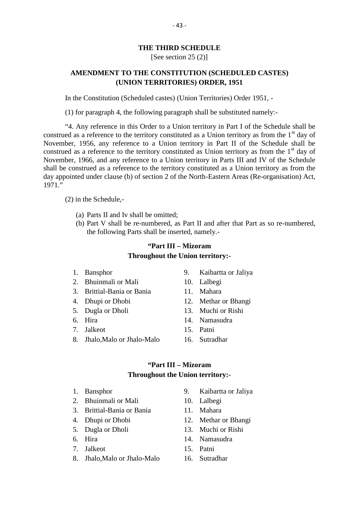#### **THE THIRD SCHEDULE**

### [See section 25 (2)]

## **THE THIRD SCHEDULE<br>
[See section 25 (2)]<br>
<b>AMENDMENT TO THE CONSTITUTION (SCHEDULED CASTES)**<br>
(UNION TERRITORIES) ORDER, 1951 **(UNION TERRITORIES) ORDER, 1951** AMENDMENT TO THE CONSTITUTION (SCHEDULED CASTES)<br>(UNION TERRITORIES) ORDER, 1951<br>In the Constitution (Scheduled castes) (Union Territories) Order 1951, -

(1) for paragraph 4, the following paragraph shall be substituted namely:-

"4. Any reference in this Order to a Union territory in Part I of the Schedule shall be construed as a reference to the territory constituted as a Union territory as from the  $1<sup>st</sup>$  day of November, 1956, any reference to a Union territory in Part II of the Schedule shall be construed as a reference to the territory constituted as Union territory as from the  $1<sup>st</sup>$  day of November, 1966, and any reference to a Union territory in Parts III and IV of the Schedule shall be construed as a reference to the territory constituted as a Union territory as from the day appointed under clause (b) of section 2 of the North-Eastern Areas (Re-organisation) Act, 1971." (a) Parts II and Iv shall be omitted;<br>
(a) Parts II and Iv shall be omitted;<br>
(b) Part V shall be re-numbered, as Part

(2) in the Schedule,-

- 
- (b) Part V shall be omitted;<br>(b) Part V shall be re-numbered, as Part II and after that Part as so re-numbered,<br>the following Parts shall be inserted, namely.the Schedule,-<br>
Parts II and Iv shall be omitted;<br>
Part V shall be re-numbered, as Part II and after the<br>
the following Parts shall be inserted, namely.-<br>
"Part III – Mizoram" **Example 18 Example 12 Set 11 and after that Part III** and after that Part nall be inserted, namely.-<br> **"Part III – Mizoram ghout the Union territory:-**

## **Throughout the Union territory:** the following Parts shall be inserted, namely.<br>
"Part III – Mizoram<br>
Throughout the Union territory:-<br>
1. Bansphor 9. Kaibartta or Jaliya<br>
2. Bhuinmali or Mali 10. Lalbegi **2. Bansphor State of Banch Control**<br>2. Buinmali or Mali 10. Lalbegi<br>3. Brittial-Bania or Bania 11. Mahara **1. Brittian:**<br> **1. Bansphor**<br> **1. Bansphor**<br> **1. Bansphor**<br> **1. Bansphor**<br> **1. Bhuinmali or Mali**<br> **10. Lalbegi**<br> **3. Brittial-Bania or Bania**<br> **11. Mahara**<br> **12. Methar or Bhan**

- 
- 
- 1. Bansphor 9. Kaibartta or Jaliya<br>
2. Bhuinmali or Mali 10. Lalbegi<br>
3. Brittial-Bania or Bania 11. Mahara<br>
4. Dhupi or Dhobi 12. Methar or Bhangi<br>
5. Dugla or Dholi 13. Muchi or Rishi 1. Bansphor 9. Kaibartta or Jaliya<br>
2. Bhuinmali or Mali 10. Lalbegi<br>
3. Brittial-Bania or Bania 11. Mahara<br>
4. Dhupi or Dhobi 12. Methar or Bhangi<br>
5. Dugla or Dholi 13. Muchi or Rishi<br>
6. Hira 14. Namasudra 2. Bhuinmali or Mali 10. Lalbegi<br>
3. Brittial-Bania 11. Mahara<br>
4. Dhupi or Dhobi 12. Methar or Bhangi<br>
5. Dugla or Dholi 13. Muchi or Rishi<br>
6. Hira 14. Namasudra<br>
7. Jalkeot 15. Patni
- 
- 
- 
- 
- 3. Brittial-Bania or Bania 11. Mahara<br>
4. Dhupi or Dhobi 12. Methar or<br>
5. Dugla or Dholi 13. Muchi or 1<br>
6. Hira 14. Namasudr<br>
7. Jalkeot 15. Patni<br>
8. Jhalo,Malo or Jhalo-Malo 16. Sutradhar 4. Dhupi or Dhobi 12. Methar or Bhan<br>
5. Dugla or Dholi 13. Muchi or Rishi<br>
6. Hira 14. Namasudra<br>
7. Jalkeot 15. Patni<br>
8. Jhalo,Malo or Jhalo-Malo 16. Sutradhar
- 
- -
	-
	-
	-
	-
	-

## **14. Ivaliasudia**<br>
15. Patni<br> **Malo** 16. Sutradhar<br> **"Part III – Mizoram**<br> **ghout the Union territory:-Throughout the Union territory:- 1. Bansphor Part III – Mizoram<br>2. Bansphor 9. Kaibartta or Jaliya<br>2. Bhuinmali or Mali 10. Lalbegi 2. Bansphor State of Banch Control**<br>2. Buinmali or Mali 10. Lalbegi<br>3. Brittial-Bania or Bania 11. Mahara **1. Brittian:**<br> **1. Bansphor**<br>
1. Bansphor<br>
2. Bhuinmali or Mali<br>
3. Brittial-Bania or Bania 11. Mahara<br>
4. Dhupi or Dhobi 12. Methar or Bhan

- 
- 
- 1. Bansphor 9. Kaibartta or Jaliya<br>
2. Bhuinmali or Mali 10. Lalbegi<br>
3. Brittial-Bania or Bania 11. Mahara<br>
4. Dhupi or Dhobi 12. Methar or Bhangi<br>
5. Dugla or Dholi 13. Muchi or Rishi 1. Bansphor 9. Kaibartta or Jaliya<br>
2. Bhuinmali or Mali 10. Lalbegi<br>
3. Brittial-Bania or Bania 11. Mahara<br>
4. Dhupi or Dhobi 12. Methar or Bhangi<br>
5. Dugla or Dholi 13. Muchi or Rishi<br>
6. Hira 14. Namasudra 2. Bhuinmali or Mali 10. Lalbegi<br>
3. Brittial-Bania 11. Mahara<br>
4. Dhupi or Dhobi 12. Methar or Bhangi<br>
5. Dugla or Dholi 13. Muchi or Rishi<br>
6. Hira 14. Namasudra<br>
7. Jalkeot 15. Patni
- 
- 
- 
- 
- 3. Brittial-Bania or Bania 11. Mahara<br>
4. Dhupi or Dhobi 12. Methar or<br>
5. Dugla or Dholi 13. Muchi or 1<br>
6. Hira 14. Namasudr<br>
7. Jalkeot 15. Patni<br>
8. Jhalo,Malo or Jhalo-Malo 16. Sutradhar 4. Dhupi or Dhobi 12. Methar or<br>
5. Dugla or Dholi 13. Muchi or<br>
6. Hira 14. Namasud<br>
7. Jalkeot 15. Patni<br>
8. Jhalo,Malo or Jhalo-Malo 16. Sutradhar
- 
- -
	-
	-
	-
	-
	-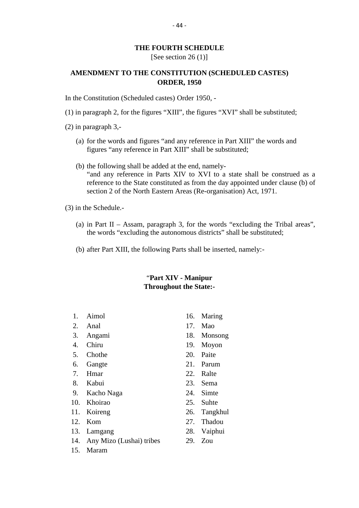# <sup>-44</sup><br>THE FOURTH SCHEDULE<br>[See section 26 (1)] - 44 -<br>FOURTH SCHEDULE<br>[See section 26 (1)]<br>CONSTITUTION (SCH

## THE FOURTH SCHEDULE<br>
[See section 26 (1)]<br> **AMENDMENT TO THE CONSTITUTION (SCHEDULED CASTES)**<br> **ORDER, 1950 ORDER, 1950** [See section 26 (1)]<br> **AMENDMENT TO THE CONSTITUTION (SCHEI**<br> **ORDER, 1950**<br>
In the Constitution (Scheduled castes) Order 1950, -<br>
(1) in paragraph 2 for the figures "XIII" the figures "XVI (1) in paragraph 3 -<br>
(2) in paragraph 3 -<br>
(2) in paragraph 3 -<br>
(3) in paragraph 3 -<br>
(3) in paragraph 3 -

(2) in paragraph 3,-

- (a) for the figures "XIII", the figures "XVI" shall be substituted;<br>in paragraph 3,-<br>(a) for the words and figures "and any reference in Part XIII" the words and<br>figures "any reference in Part XIII" shall be substituted; figures "any reference in Part XIII" shall be substituted;
- (a) for the words and figures "and any reference in Part X<br>
figures "any reference in Part XIII" shall be substitute<br>
(b) the following shall be added at the end, namely-<br>
"and any reference in Parts XIV to XVI to a state "and any reference in Parts XIV to XVI to a state shall be construed as a reference to the State constituted as from the day appointed under clause (b) of section 2 of the North Eastern Areas (Re-organisation) Act, 1971.

(3) in the Schedule.-

- reference to the State constituted as from the day appointed under clause (b) of<br>section 2 of the North Eastern Areas (Re-organisation) Act, 1971.<br>in the Schedule.-<br>(a) in Part II Assam, paragraph 3, for the words "exclu section 2 of the North Eastern Areas (Re-organisation) Act, 1971.<br>
in Part II – Assam, paragraph 3, for the words "excluding the Tribal a<br>
the words "excluding the autonomous districts" shall be substituted;<br>
after Part YI (a) in Part II – Assam, paragraph 3, for the words "excluding the Tr<br>the words "excluding the autonomous districts" shall be substituted<br>(b) after Part XIII, the following Parts shall be inserted, namely:the words "excluding the autonomous districts" shall be substituted;<br>
(b) after Part XIII, the following Parts shall be inserted, namely:-<br>
"Part XIV - Manipur"
- 

## **Throughout the State:- Part XIV - Manipur<br>Throughout the State:-**<br>1. Aimol 16. Maring<br>2. Anal 17. Mao **1.** Aimol **16.** Anal 17. Mao 3. Angami 18. Monsong

- 
- 
- 
- 
- 
- 
- 
- 
- 4. Chiru 19. Moyon<br>
5. Chothe 20. Paite<br>
6. Gangte 21. Parum<br>
7. Hmar 22. Ralte<br>
8. Kabui 23. Sema<br>
9. Kacho Naga 24. Simte 5. Chothe<br>
6. Gangte<br>
6. Gangte<br>
7. Hmar<br>
7. Hmar<br>
8. Kabui<br>
8. Kabui<br>
23. Sema<br>
9. Kacho Naga<br>
24. Simte<br>
25. Suhte 6. Gangte<br>
7. Hmar 22. Ralte<br>
8. Kabui 23. Sema<br>
9. Kacho Naga 24. Simte<br>
10. Khoirao 25. Suhte<br>
11. Koireng 26. Tangkhul 12. Kabui 12. Kabui 22. Ralte<br>
10. Khoirao 25. Suhte<br>
11. Koireng 26. Tangkhul<br>
12. Kom 27. Thadou 8. Kabui 23. Sema<br>
9. Kacho Naga 24. Simte<br>
10. Khoirao 25. Suhte<br>
11. Koireng 26. Tangkhul<br>
12. Kom 27. Thadou<br>
13. Lamgang 28. Vaiphui
- 
- 
- 
- 
- 9. Kacho Naga 24. Simte<br>
10. Khoirao 25. Suhte<br>
11. Koireng 26. Tangkhul<br>
12. Kom 27. Thadou<br>
13. Lamgang 28. Vaiphui<br>
14. Any Mizo (Lushai) tribes 29. Zou 10. Khoirao 25. Suhte<br>
11. Koireng 26. Tangkhul<br>
12. Kom 27. Thadou<br>
13. Lamgang 28. Vaiphui<br>
14. Any Mizo (Lushai) tribes 29. Zou<br>
15. Maram 11. Koireng<br>12. Kom<br>13. Lamgang<br>14. Any Mizo (Lushai) tribes<br>15. Maram
- 
- 
- 
- 3. Angami 18. Monsong 1. Aimol 16. Maring<br>
2. Anal 17. Mao<br>
3. Angami 18. Monsong<br>
4. Chiru 19. Moyon<br>
5. Chothe 20. Paite 1. Aimol 16. Maring<br>
2. Anal 17. Mao<br>
3. Angami 18. Monsong<br>
4. Chiru 19. Moyon<br>
5. Chothe 20. Paite<br>
6. Gangte 21. Parum 2. Anal 17. Mao<br>
3. Angami 18. Monsong<br>
4. Chiru 19. Moyon<br>
5. Chothe 20. Paite<br>
6. Gangte 21. Parum<br>
7. Hmar 22. Ralte 3. Angami 18. Monsong<br>
4. Chiru 19. Moyon<br>
5. Chothe 20. Paite<br>
6. Gangte 21. Parum<br>
7. Hmar 22. Ralte<br>
8. Kabui 23. Sema
	-
	-
	-
	-
	-
	-
	-
	-
	-
	-
	-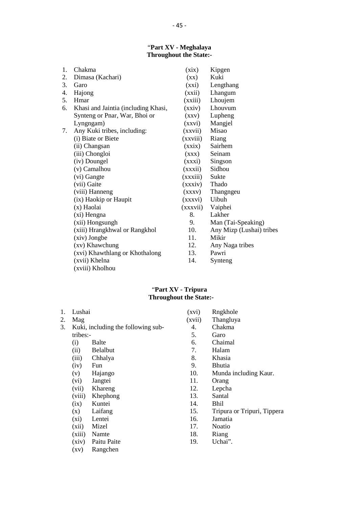# "**Part XV - Meghalaya Throughout the State:**<br> **Throughout the State:-**<br> **Throughout the State:-**

| 1. | Chakma                              | (xix)                    | Kipgen                   |
|----|-------------------------------------|--------------------------|--------------------------|
| 2. | Dimasa (Kachari)                    | $(\mathbf{X}\mathbf{X})$ | Kuki                     |
| 3. | Garo                                | (xxi)                    | Lengthang                |
| 4. | Hajong                              | (xxii)                   | Lhangum                  |
| 5. | Hmar                                | (xxiii)                  | Lhoujem                  |
| 6. | Khasi and Jaintia (including Khasi, | (xxiv)                   | Lhouvum                  |
|    | Synteng or Pnar, War, Bhoi or       | (xxy)                    | Lupheng                  |
|    | Lyngngam)                           | (xxvi)                   | Mangjel                  |
| 7. | Any Kuki tribes, including:         | (xxvii)                  | Misao                    |
|    | (i) Biate or Biete                  | (xxviii)                 | Riang                    |
|    | (ii) Changsan                       | (xxix)                   | Sairhem                  |
|    | (iii) Chongloi                      | (XXX)                    | Seinam                   |
|    | (iv) Doungel                        | (xxxi)                   | Singson                  |
|    | (v) Camalhou                        | (xxxii)                  | Sidhou                   |
|    | (vi) Gangte                         | (xxxiii)                 | Sukte                    |
|    | (vii) Gaite                         | (xxxiv)                  | Thado                    |
|    | (viii) Hanneng                      | (xxxv)                   | Thangngeu                |
|    | (ix) Haokip or Haupit               | (xxxvi)                  | Uibuh                    |
|    | (x) Haolai                          | (xxxvii)                 | Vaiphei                  |
|    | (xi) Hengna                         | 8.                       | Lakher                   |
|    | (xii) Hongsungh                     | 9.                       | Man (Tai-Speaking)       |
|    | (xiii) Hrangkhwal or Rangkhol       | 10.                      | Any Mizp (Lushai) tribes |
|    | (xiv) Jongbe                        | 11.                      | Mikir                    |
|    | (xv) Khawchung                      | 12.                      | Any Naga tribes          |
|    | (xvi) Khawthlang or Khothalong      | 13.                      | Pawri                    |
|    | (xvii) Khelna                       | 14.                      | Synteng                  |
|    | (xviii) Kholhou                     |                          |                          |

**1.** Lushai **Compared Controllers**<br> **1.** Lushai **(xvi)** Rngkhole (xvi) Rngkhole (xvii) Thangluya **2.** Mag (xvi) Tripura<br>
2. Mag (xvii) Thangluya<br>
2. Mag (xvii) Thangluya<br>
3. Kuki, including the following sub-<br>
4. Chakma **3.** Kuki, including the following sub-<br>
3. Kuki, including the following sub-<br>
3. Kuki, including the following sub-<br>
4. Chakma<br>
5. Garo **Throughout the State:-**<br>
Lushai (xvi) Rngkhole<br>
Mag (xvii) Thangluya<br>
Kuki, including the following sub-<br>
tribes:-<br>
(i) Balte<br>
(i) Balte<br>
(i) Chaimal<br>
Chaimal<br>
Chaimal<br>
Chaimal<br>
Chaimal<br>
Chaimal<br>
Chaimal<br>
Chaimal<br>
Chaimal Lushai (xvi) Rngkhole<br>
Mag (xvii) Thangluya<br>
Kuki, including the following sub-<br>
tribes:-<br>
(i) Balte 6. Chaimal<br>
(ii) Belalbut 7. Halam<br>
7. Halam Lushai (xvi) Rngkhole<br>
Mag (xvii) Thangluya<br>
Kuki, including the following sub-<br>
4. Chakma<br>
tribes:-<br>
5. Garo<br>
(i) Belalbut 7. Halam<br>
(iii) Chhalya<br>
3. Khasia<br>
(iii) Chhalya<br>
3. Khasia Mag<br>
Kuki, including the following sub-<br>
tribes:-<br>
(i) Balte<br>
(ii) Belalbut<br>
(iii) Chhalya<br>
(iii) Chhalya<br>
(iv) Fun<br>
(iii) Chhalya<br>
(iv) Fun<br>
(iii) Chalya<br>
(iii) Chhalya<br>
(iii) Chalya<br>
(iii) Chalya<br>
(iii) Chalya<br>
(iii) Cha Kuki, including the following sub-<br>
tribes:-<br>
(i) Balte 6. Chaimal<br>
(ii) Belalbut 7. Halam<br>
(iii) Chhalya 8. Khasia<br>
(iv) Fun 9. Bhutia<br>
(v) Hajango 10. Munda includi (v) Hajango 10. Munda including Kaur. (i) Balte<br>
(ii) Belalbut<br>
(iii) Chhalya<br>
(iii) Chhalya<br>
(iv) Fun<br>
(v) Hajango<br>
(vi) Jangtei<br>
(vii) Khareng<br>
(iii) Khareng<br>
(iii) Chaleng<br>
(viii) Khareng<br>
(iii) Chaleng<br>
(iii) Chaleng<br>
(11. Orang<br>
(12. Lepcha (ii) Belalbut<br>
(iii) Chhalya (iv) Tun<br>
(iv) Fun 9. Bhutia<br>
(v) Hajango 10. Munda includir<br>
(vi) Jangtei 11. Orang<br>
(vii) Khareng 12. Lepcha<br>
(viii) Khephong 13. Santal<br>
11. Orang (ii) Chhalya<br>
(iv) Fun 8. Khasia<br>
(v) Hajango 10. Munda incl<br>
(vi) Jangtei 11. Orang<br>
(vii) Khareng 12. Lepcha<br>
(viii) Khephong 13. Santal<br>
(ix) Kuntei 14. Bhil (iv) Fun<br>
(v) Hajango<br>
(vi) Hajango<br>
(vii) Jangtei 11. Orang<br>
(vii) Khareng 12. Lepcha<br>
(viii) Khephong 13. Santal<br>
(ix) Kuntei 14. Bhil<br>
(x) Laifang 15. Tripura o (v) Hajango<br>
(vi) Jangtei 10. Munda including Kaur.<br>
(vii) Khareng 12. Lepcha<br>
(viii) Khephong 13. Santal<br>
(x) Kuntei 14. Bhil<br>
(x) Laifang 15. Tripura or Tripuri, Tippera<br>
(xi) Lentei 16. Jamatia (vi) Jangtei 11. Orang<br>
(vii) Khareng 12. Lepcha<br>
(viii) Khephong 13. Santal<br>
(ix) Kuntei 14. Bhil<br>
(x) Laifang 15. Tripura or Tripu<br>
(xi) Lentei 16. Jamatia<br>
(xii) Mizel 17. Noatio (vii) Khareng<br>
(viii) Khephong<br>
(ix) Kuntei 13. Santal<br>
(ix) Kuntei 14. Bhil<br>
(x) Laifang 15. Tripura or Tripu<br>
(xii) Lentei 16. Jamatia<br>
(xii) Mizel 17. Noatio<br>
(xiii) Namte 18. Riang (ix) Khephong<br>
(ix) Kuntei 13. Santal<br>
(x) Laifang 15. Tripura or Trip<br>
(xi) Lentei 16. Jamatia<br>
(xii) Mizel 17. Noatio<br>
(xiii) Namte 18. Riang<br>
(xiv) Paitu Paite 19. Uchai". (ix) Kuntei<br>
(x) Laifang<br>
(xi) Lentei<br>
(xii) Mizel<br>
(xiii) Mizel<br>
(xiii) Namte<br>
(xiv) Paitu Paite<br>
(xv) Rangchen<br>
(xv) Rangchen (x) Laifang<br>
(xi) Lentei<br>
(xii) Mizel<br>
(xiii) Namte<br>
(xiv) Paitu Paite<br>
(xv) Rangchen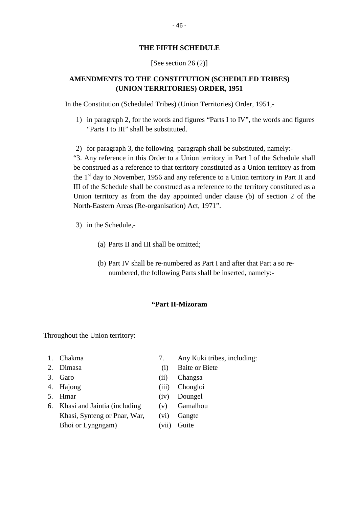### **THE FIFTH SCHEDULE**

### [See section 26 (2)]

### **AMENDMENTS TO THE CONSTITUTION (SCHEDULED TRIBES) (UNION TERRITORIES) ORDER, 1951**

In the Constitution (Scheduled Tribes) (Union Territories) Order, 1951,-

- 1) in paragraph 2, for the words and figures "Parts I to IV", the words and figures "Parts I to III" shall be substituted. 2) for paragraph 3, the following paragraph shall be substituted, namely:<br>
The following paragraph shall be substituted, namely:-<br>
3. Any reference in this Order to a Union territory in Part I of the Schedule shall
- 

be construed as a reference to that territory constituted as a Union territory as from 2) for paragraph 3, the following paragraph shall be substituted, namely:-<br>"3. Any reference in this Order to a Union territory in Part I of the Schedule shall<br>be construed as a reference to that territory constituted as III of the Schedule shall be construed as a reference to the territory constituted as a Union territory as from the day appointed under clause (b) of section 2 of the North-Eastern Areas (Re-organisation) Act, 1971". II of the Schedule shall be<br>Jnion territory as from the<br>North-Eastern Areas (Re-or<br>3) in the Schedule,astern Areas (Re-organisation) Act, 1971<br>ne Schedule,-<br>(a) Parts II and III shall be omitted;

- -
- (a) Parts II and III shall be omitted;<br>(b) Part IV shall be re-numbered as Part I and after that Part a so renumbered, the following Parts shall be inserted, namely:-

### **"Part II-Mizoram**

Throughout the Union territory: 1. Chakma<br>
2. Dimasa (i) Baite or Biete<br>
3. Garo (ii) Changsa<br>
2. Garo (ii) Changsa 3. Garo (ii) Changsa

- 
- 
- 
- 
- 
- 1. Chakma 1. Chakma 1. Chakma 1. Any Kuki trib<br>
2. Dimasa 1. Garo 1. Baite or Biete<br>
3. Garo 1. Changsa 1. Hajong 1. Changsa 1. Hajong 1. Chongloi<br>
5. Hmar 1. (iv) Doungel<br>
6. Khasi and Jaintia (including 1. Comalhou 2. Dimasa (i) Baite or Biete<br>
3. Garo (ii) Changsa<br>
4. Hajong (iii) Chongloi<br>
5. Hmar (iv) Doungel<br>
6. Khasi and Jaintia (including (v) Gamalhou<br>
Khasi, Synteng or Pnar, War, (vi) Gangte Garo (ii) Changsa<br>
Hajong (iii) Chongloi<br>
Hmar (iv) Doungel<br>
Khasi and Jaintia (including (v) Gamalhou<br>
Khasi, Synteng or Pnar, War, (vi) Gangte<br>
Bhoi or Lyngngam) (vii) Guite Hajong (iii) Chon<br>
Hmar (iv) Doun<br>
Khasi and Jaintia (including (v) Gama<br>
Khasi, Synteng or Pnar, War, (vi) Gang<br>
Bhoi or Lyngngam) (vii) Guite
- Any Kuki tribes, including:<br>
1. Chakma 7. Any Kuki tribes, including:<br>
2. Dimasa (i) Baite or Biete
- 4. Hajong (iii) Chongloi
	- -
		-
		-
		-
		-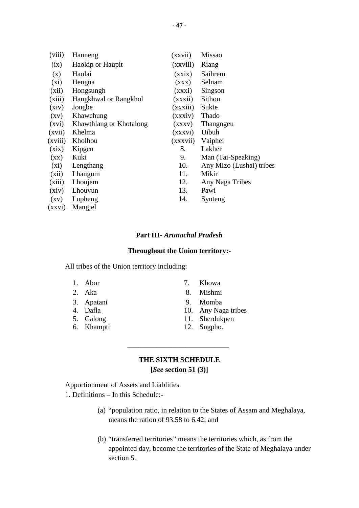|                          |                         | $-47-$   |                          |
|--------------------------|-------------------------|----------|--------------------------|
|                          |                         |          |                          |
| (viii)                   | Hanneng                 | (xxvii)  | <b>Missao</b>            |
| (ix)                     | Haokip or Haupit        | (xxviii) | Riang                    |
| (x)                      | Haolai                  | (xxix)   | Saihrem                  |
| (xi)                     | Hengna                  | (XXX)    | Selnam                   |
| (xii)                    | Hongsungh               | (xxxi)   | Singson                  |
| (xiii)                   | Hangkhwal or Rangkhol   | (xxxii)  | Sithou                   |
| (xiv)                    | Jongbe                  | (xxxiii) | Sukte                    |
| $\left( xy\right)$       | Khawchung               | (xxxiv)  | Thado                    |
| (xvi)                    | Khawthlang or Khotalong | (xxxx)   | Thangngeu                |
| (xvii)                   | Khelma                  | (xxxvi)  | Uibuh                    |
| (xviii)                  | Kholhou                 | (xxxvii) | Vaiphei                  |
| (xix)                    | Kipgen                  | 8.       | Lakher                   |
| $(\mathbf{X}\mathbf{X})$ | Kuki                    | 9.       | Man (Tai-Speaking)       |
| (xi)                     | Lengthang               | 10.      | Any Mizo (Lushai) tribes |
| (xii)                    | Lhangum                 | 11.      | Mikir                    |
| (xiii)                   | Lhoujem                 | 12.      | Any Naga Tribes          |
| (xiv)                    | Lhouvun                 | 13.      | Pawi                     |
| $\left( xy\right)$       | Lupheng                 | 14.      | Synteng                  |
| (xxvi)                   | Mangjel                 |          |                          |

### **Part III-** *Arunachal Pradesh*

#### **Throughout the Union territory:-**

All tribes of the Union territory including:<br>1. Abor 2. Khowa **1.** Throughout the Union territory:<br>
1. Abor 7. Khowa<br>
2. Aka 8. Mishmi **1.** Throughout the Union territory:<br>
1. Abor 1. Abor 1. Mishmi<br>
2. Aka 8. Mishmi<br>
3. Apatani 9. Momba 1 tribes of the Union territory including:<br>
1. Abor 1. Khowa<br>
2. Aka 18. Mishmi<br>
3. Apatani 19. Momba<br>
4. Dafla 10. Any Naga tribes 1. Abor 7. Khowa<br>
2. Aka 8. Mishmi<br>
3. Apatani 9. Momba<br>
4. Dafla 10. Any Naga tribes<br>
5. Galong 11. Sherdukpen

- 
- 
- 
- 
- 
- 
- 
- 
- 
- 5. Galong 11. Sherdukpen 1. Abor<br>
2. Aka<br>
3. Apatani 9. Momba<br>
4. Dafla<br>
5. Galong 11. Sherdukpen<br>
6. Khampti 12. Sngpho.
	-
	-

### **THE SIXTH SCHEDULE**

**[***See* **section 51 (3)]**

THE SIXTH SCHE<br>
[See section 51 (<br>
Apportionment of Assets and Liablities<br>
1. Definitions – In this Schedule:-

1. Definitions – In this Schedule:-

- (a) "population ratio, in relation to the States of Assam and Meghalaya, means the ration of 93,58 to 6.42; and
- (b) "transferred territories" means the territories which, as from the appointed day, become the territories of the State of Meghalaya under section 5.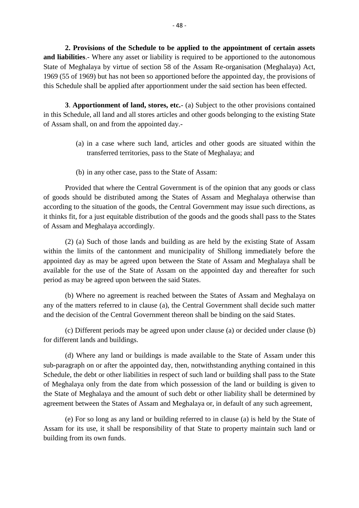**2. Provisions of the Schedule to be applied to the appointment of certain assets** <sup>-</sup> 48 -<br> **2. Provisions of the Schedule to be applied to the appointment of certain assets<br>
<b>and liabilities**.- Where any asset or liability is required to be apportioned to the autonomous<br>
State of Meghalaya by virtue of 2. Provisions of the Schedule to be applied to the appointment of certain assets<br>and liabilities.- Where any asset or liability is required to be apportioned to the autonomous<br>State of Meghalaya by virtue of section 58 of 1969 (55 of 1969) but has not been so apportioned before the appointed day, the provisions of 2. Provisions of the Schedule to be applied to the appointment of certain assets and liabilities.- Where any asset or liability is required to be apportioned to the autonomous State of Meghalaya by virtue of section 58 of 12. **Solutionary** Act, **3**. **Apportionment of land, stores, etc.**- (a) Subject to the other provisions contained Schedule, all land and all stores, etc.- (a) Subject to the other provisions contained Schedule, all land and

in this Schedule, all land and all stores articles and other goods belonging to the existing State of Assam shall, on and from the appointed day.- **Apportionment of land, stores, etc.**- (a) Subject to the other provisions contained edule, all land and all stores articles and other goods belonging to the existing State hall, on and from the appointed day.-<br>(a) in a ca

- transferred territories, pass to the State of Meghalaya; and (a) in a case where such land, articles and other goods are situated within the transferred territories, pass to the State of Meghalaya; and (b) in any other case, pass to the State of Assam:
- 

Provided that where the Central Government is of the opinion that any goods or class Transferred territories, pass to the State of Megnataya; and<br>
(b) in any other case, pass to the State of Assam:<br>
Provided that where the Central Government is of the opinion that any goods or class<br>
of goods should be dis (b) in any other case, pass to the State of Assam:<br>
Provided that where the Central Government is of the opinion that any goods or class<br>
of goods should be distributed among the States of Assam and Meghalaya otherwise tha of Assam and Meghalaya accordingly.

(2) (a) Such of those lands and building as are held by the existing State of Assam within the limits of the cantonment and municipality of Shillong immediately before the appointed day as may be agreed upon between the appointed day and the reaction of Assam within the limits of those lands and building as are held by the existing State of Assam within the limits of the cantonment and munic available for the use of the State of Assam on the appointed day and thereafter for such period as may be agreed upon between the said States.

(b) Where no agreement is reached between the States of Assam and Meghalaya on any of the matters referred to in clause (a), the Central Government shall decide such matter and the decision of the Central Government thereon shall be binding on the said States.

(c) Different periods may be agreed upon under clause (a) or decided under clause (b) for different lands and buildings.

(d) Where any land or buildings is made available to the State of Assam under this sub-paragraph on or after the appointed day, then, notwithstanding anything contained in this Schedule, the debt or other liabilities in respect of such land or building shall pass to the State (d) Where any land or buildings is made available to the State of Assam under this<br>sub-paragraph on or after the appointed day, then, notwithstanding anything contained in this<br>Schedule, the debt or other liabilities in re the State of Meghalaya and the amount of such debt or other liability shall be determined by agreement between the States of Assam and Meghalaya or, in default of any such agreement,

(e) For so long as any land or building referred to in clause (a) is held by the State of or Megnaraya only from the date from which possession of the fand or building is given to<br>the State of Meghalaya and the amount of such debt or other liability shall be determined by<br>agreement between the States of Assam a building from its own funds.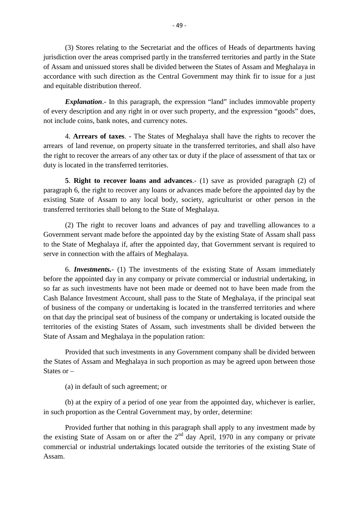(3) Stores relating to the Secretariat and the offices of Heads of departments having jurisdiction over the areas comprised partly in the transferred territories and partly in the State of Assam and unissued stores shall be divided between the States of Assam and Meghalaya in (3) Stores relating to the Secretariat and the offices of Heads of departments having<br>jurisdiction over the areas comprised partly in the transferred territories and partly in the State<br>of Assam and unissued stores shall b and equitable distribution thereof. France with such direction as the Central Government may think fir to issue for a just<br>ince with such direction as the Central Government may think fir to issue for a just<br>intable distribution thereof.<br>**Explanation**.- In t

of every description and any right in or over such property, and the expression "goods" does, not include coins, bank notes, and currency notes. *Explanation* - In this paragraph, the expression "land" includes immovable property y description and any right in or over such property, and the expression "goods" does, ude coins, bank notes, and currency notes.<br>4. Arre

**Explanation.** In this paragraph, the expression Tand Thickeless immovable property<br>of every description and any right in or over such property, and the expression "goods" does,<br>not include coins, bank notes, and currency the right to recover the arrears of any other tax or duty if the place of assessment of that tax or duty is located in the transferred territories. 4. **Arrears of taxes**. - The states of Meghalaya shall have the rights to recover the of land revenue, on property situate in the transferred territories, and shall also have to recover the arrears of any other tax or duty

paragraph 6, the right to recover any loans or advances made before the appointed day by the the right to recover the arrears of any other tax or duty if the place of assessment of that tax or<br>duty is located in the transferred territories.<br>5. **Right to recover loans and advances**.- (1) save as provided paragraph transferred territories shall belong to the State of Meghalaya.

(2) The right to recover loans and advances of pay and travelling allowances to a Government servant made before the appointed day by the existing State of Assam shall pass to the State of Meghalaya if, after the appointed day, that Government servant is required to serve in connection with the affairs of Meghalaya.

6. *Investments.*- (1) The investments of the existing State of Assam immediately before the State of Meghalaya if, after the appointed day, that Government servant is required to serve in connection with the affairs of Meghalaya.<br>6. *Investments*.- (1) The investments of the existing State of Assam imm 6. *Investments*. (1) The investments of the existing State of Assam immediately<br>before the appointed day in any company or private commercial or industrial undertaking, in<br>so far as such investments have not been made or 6. *Investments*.- (1) The investments of the existing State of Assam immediately before the appointed day in any company or private commercial or industrial undertaking, in so far as such investments have not been made or before the appointed day in any company or private commercial or industrial undertaking, in<br>so far as such investments have not been made or deemed not to have been made from the<br>Cash Balance Investment Account, shall pass so far as such investments have not been made or deemed not to have been made from the Cash Balance Investment Account, shall pass to the State of Meghalaya, if the principal seat of business of the company or undertaking Cash Balance Investment Account, shall pass to the State of<br>of business of the company or undertaking is located in the<br>on that day the principal seat of business of the company or u<br>territories of the existing States of A

Provided that such investments in any Government company shall be divided between the States of Assam and Meghalaya in such proportion as may be agreed upon between those States or – Provided that such investments in any Gc<br>
es of Assam and Meghalaya in such prop<br>
or –<br>
(a) in default of such agreement; or<br>
(b) at the agreement of a period of one year.

(b) at the expiry of a period of one year from the appointed day, whichever is earlier, in such proportion as the Central Government may, by order, determine:

(a) in default of such agreement; or<br>
(b) at the expiry of a period of one year from the appointed day, whichever is earlier,<br>
in such proportion as the Central Government may, by order, determine:<br>
Provided further that commercial or industrial undertakings located outside the territories of the existing State of Assam.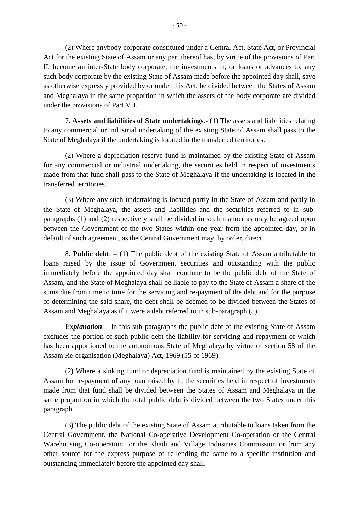(2) Where anybody corporate constituted under a Central Act, State Act, or Provincial Act for the existing State of Assam or any part thereof has, by virtue of the provisions of Part II, become an inter-State body corporate, the investments in, or loans or advances to, any (2) Where anybody corporate constituted under a Central Act, State Act, or Provincial<br>Act for the existing State of Assam or any part thereof has, by virtue of the provisions of Part<br>II, become an inter-State body corporat and Meghalaya in the same proportion in which the assets of the body corporate are divided under the provisions of Part VII. 2013 The existing State of Assam made before the appointed day shan, save<br>
7. Assets expressly provided by or under this Act, be divided between the States of Assam<br>
1. applalaya in the same proportion in which the assets

to any commercial or industrial undertaking of the existing State of Assam shall pass to the State of Meghalaya if the undertaking is located in the transferred territories.

(2) Where a depreciation reserve fund is maintained by the existing State of Assam for any commercial or industrial undertaking, the securities held in respect of investments to any commercial of muustrial undertaking of the existing state of Assam shall pass to the<br>State of Meghalaya if the undertaking is located in the transferred territories.<br>(2) Where a depreciation reserve fund is maintain transferred territories.

(3) Where any such undertaking is located partly in the State of Assam and partly in tor any commercial or muustrial undertaking, the securities held in respect of investments<br>made from that fund shall pass to the State of Meghalaya if the undertaking is located in the<br>transferred territories.<br>(3) Where an paragraphs (1) and (2) respectively shall be divided in such manner as may be agreed upon between the Government of the two States within one year from the appointed day, or in default of such agreement, as the Central Government may, by order, direct.

8. **Public debt**. – (1) The public debt of the existing State of Assam attributable to loans raised by the issue of Government securities and outstanding with the public immediately before the appointed day shall continue to be the public debt of the State of Assam, and the State of Meghalaya shall be liable to pay to the State of Assam a share of the sums due from time to time for the servicing and re-payment of the debt and for the purpose of determining the said share, the debt shall be deemed to be divided between the States of Assam and Meghalaya as if it were a debt referred to in sub-paragraph (5).

*Explanation.-* In this sub-paragraphs the public debt of the existing State of Assam sums due from time to time for the servicing and re-payment of the debt and for the purpose<br>of determining the said share, the debt shall be deemed to be divided between the States of<br>Assam and Meghalaya as if it were a de Assam Re-organisation (Meghalaya) Act, 1969 (55 of 1969).

(2) Where a sinking fund or depreciation fund is maintained by the existing State of Assam for re-payment of any loan raised by it, the securities held in respect of investments made from that fund shall be divided between the States of Assam and Meghalaya in the same proportion in which the total public debt is divided between the two States under this paragraph.

(3) The public debt of the existing State of Assam attributable to loans taken from the Central Government, the National Co-operative Development Co-operation or the Central Warehousing Co-operation or the Khadi and Village Industries Commission or from any other source for the express purpose of re-lending the same to a specific institution and outstanding immediately before the appointed day shall.-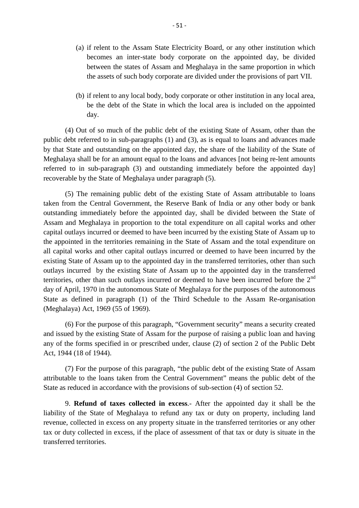- 51 -<br>(a) if relent to the Assam State Electricity Board, or any other institution which becomes an inter-state body corporate on the appointed day, be divided between the states of Assam and Meghalaya in the same proportion in which the assets of such body corporate are divided under the provisions of part VII.
- (b) if relent to any local body, body corporate or other institution in any local area, be the debt of the State in which the local area is included on the appointed day.

(4) Out of so much of the public debt of the existing State of Assam, other than the public debt referred to in sub-paragraphs (1) and (3), as is equal to loans and advances made by that State and outstanding on the appointed day, the share of the liability of the State of day.<br>
(4) Out of so much of the public debt of the existing State of Assam, other than the<br>
public debt referred to in sub-paragraphs (1) and (3), as is equal to loans and advances made<br>
by that State and outstanding on th referred to in sub-paragraph (3) and outstanding immediately before the appointed day] recoverable by the State of Meghalaya under paragraph (5).

(5) The remaining public debt of the existing State of Assam attributable to loans taken from the Central Government, the Reserve Bank of India or any other body or bank outstanding immediately before the appointed day, shall be divided between the State of Assam and Meghalaya in proportion to the total expenditure on all capital outlays incurred or deemed to have been incurred by the exis Fecoverable by the state of Meghalaya under paragraph (5).<br>
(5) The remaining public debt of the existing State of Assam attributable to loans<br>
taken from the Central Government, the Reserve Bank of India or any other body capital outlays incurred or deemed to have been incurred by the existing State of Assam up to taken from the Central Government, the Reserve Bank of India or any other body or bank<br>outstanding immediately before the appointed day, shall be divided between the State of<br>Assam and Meghalaya in proportion to the total Assam and Meghalaya in proportion to the total expenditure on all capital works and other capital outlays incurred or deemed to have been incurred by the existing State of Assam up to the appointed in the territories remai capital outlays incurred or deemed to have been incurred by the existing State of Assam up to the appointed in the territories remaining in the State of Assam and the total expenditure on all capital works and other capit all capital works and other capital outlays incurred or deemed to have been incurred by the existing State of Assam up to the ansferred territories, other than such outlays incurred by the existing State of Assam up to th State as defined in paragraph (1) of the Third Schedule to the Assam Re-organisation (Meghalaya) Act, 1969 (55 of 1969).

(6) For the purpose of this paragraph, "Government security" means a security created and issued by the existing State of Assam for the purpose of raising a public loan and having any of the forms specified in or prescribed under, clause (2) of section 2 of the Public Debt (Megnalaya) Act, 1969 (33)<br>
(6) For the purpose c<br>
and issued by the existing S<br>
any of the forms specified i<br>
Act, 1944 (18 of 1944).

(7) For the purpose of this paragraph, "the public debt of the existing State of Assam attributable to the loans taken from the Central Government" means the public debt of the State as reduced in accordance with the provisions of sub-section (4) of section 52. 9. The purpose of this paragraph, "the public debt of the existing State of Assam<br>able to the loans taken from the Central Government" means the public debt of the<br>reduced in accordance with the provisions of sub-section (

liability of the State of Meghalaya to refund any tax or duty on property, including land revenue, collected in excess on any property situate in the transferred territories or any other tax or duty collected in excess, if the place of assessment of that tax or duty is situate in the transferred territories.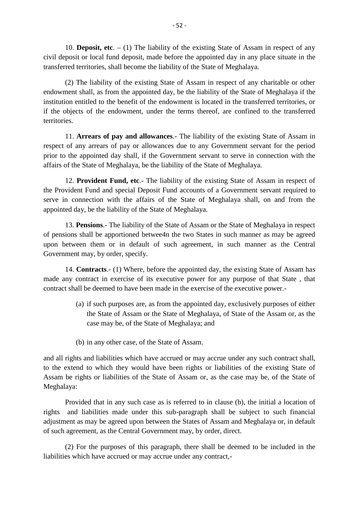10. **Deposit, etc**. – (1) The liability of the existing State of Assam in respect of any civil deposit, etc. - (1) The liability of the existing State of Assam in respect of any<br>civil deposit or local fund deposit, made before the appointed day in any place situate in the<br>transferred territories, shall become transferred territories, shall become the liability of the State of Meghalaya.

(2) The liability of the existing State of Assam in respect of any charitable or other For **Deposit, etc.**  $-$  (1) The nability of the existing state of Assain in respect of any civil deposit or local fund deposit, made before the appointed day in any place situate in the transferred territories, shall beco institution entitled to the benefit of the endowment is located in the transferred territories, or if the objects of the endowment, under the terms thereof, are confined to the transferred territories. 11. **Arrears of pay and allowances**. The liability of the existing State of Meghalaya if the institution entitled to the benefit of the endowment is located in the transferred territories, or if the objects of the endowmen

respect of any arrears of pay or allowances due to any Government servant for the period prior to the appointed day shall, if the Government servant to serve in connection with the 11. Arrears of pay and allowances.- The liability of the existing State<br>respect of any arrears of pay or allowances due to any Government servant i<br>prior to the appointed day shall, if the Government servant to serve in co 11. **Arrears of pay and anowances**.- The hability of the existing State of Assam in of any arrears of pay or allowances due to any Government servant for the period the appointed day shall, if the Government servant to ser

the Provident Fund and special Deposit Fund accounts of a Government servant for the period<br>prior to the appointed day shall, if the Government servant to serve in connection with the<br>affairs of the State of Meghalaya, be serve in connection with the affairs of the State of Meghalaya shall, on and from the appointed day, be the liability of the State of Meghalaya. 12. **Provident Fund, etc.**- The hability of the existing State of Assam in respect of<br>vident Fund and special Deposit Fund accounts of a Government servant required to<br>n connection with the affairs of the State of Meghalay

of pensions shall be apportioned betwee4n the two States in such manner as the Central<br>upon between them or in default of the State of Meghalaya.<br>13. **Pensions**.- The liability of the State of Assam or the State of Meghala upon between them or in default of such agreement, in such manner as the Central Government may, by order, specify. 15. **Pensions**.- The nability of the state of Assam or the state of Megnataya in respect of pensions shall be apportioned betwee4n the two States in such manner as may be agreed upon between them or in default of such agre

contract shall be deemed to have been made in the exercise of the executive power.- Contracts.- (1) Where, before the appointed day, the existing State of Assam has contract in exercise of its executive power for any purpose of that State, that all be deemed to have been made in the exercise of the execut

- the State of Assam or the State of Meghalaya, of State of the Assam or, as the case may be, of the State of Meghalaya; and (a) if such purposes are, as from the appointed day, exclusively purposes of either the State of Assam or the State of Meghalaya, of State of the Assam or, as the case may be, of the State of Meghalaya; and (b) in any othe
- 

and all rights and liabilities which have accrued or may accrue under any such contract shall, to the extend to which they would have been rights or liabilities of the existing State of Assam be rights or liabilities of the State of Assam or, as the case may be, of the State of Meghalaya: and an rights and habilities which have accrued or may accrue under any such contract shan,<br>to the extend to which they would have been rights or liabilities of the existing State of<br>Assam be rights or liabilities of the S

adjustment as may be agreed upon between the States of Assam and Meghalaya or, in default of such agreement, as the Central Government may, by order, direct.

(2) For the purposes of this paragraph, there shall be deemed to be included in the liabilities which have accrued or may accrue under any contract,-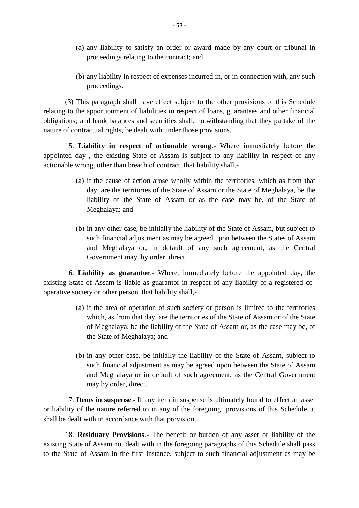- (a) any liability to satisfy an order or award made by any court or tribunal in proceedings relating to the contract; and
- (a) any liability to satisfy an order or award made by any court or tribunal in proceedings relating to the contract; and<br>(b) any liability in respect of expenses incurred in, or in connection with, any such proceedings. proceedings.

(3) This paragraph shall have effect subject to the other provisions of this Schedule relating to the apportionment of liabilities in respect of loans, guarantees and other financial obligations; and bank balances and securities shall, notwithstanding that they partake of the nature of contractual rights, be dealt with under those provisions. 15. Liability in respect of actionable wrong.<br>
15. Liabilities in respect of loans, guarantees and other financial<br>
15. Liability in respect of actionable wrong.<br>
15. Liability in respect of actionable wrong.<br>
16. Liabilit

appointed day , the existing State of Assam is subject to any liability in respect of any actionable wrong, other than breach of contract, that liability shall,- Liability in respect of actionable wrong.- Where immediately before the day, the existing State of Assam is subject to any liability in respect of any wrong, other than breach of contract, that liability shall,-<br>(a) if the

- day, are the territories of the State of Assam or the State of Meghalaya, be the liability of the State of Assam or as the case may be, of the State of Meghalaya: and (b) day, are the territories of the State of Assam or the State of Meghalaya, be the liability of the State of Assam or as the case may be, of the State of Meghalaya: and<br>(b) in any other case, be initially the liability o
- such financial adjustment as may be agreed upon between the States of Assam and Meghalaya or, in default of any such agreement, as the Central Government may, by order, direct. 16. **Liability as guarantor**.- Where, immediately before the appointed day, the State of Assam is liable as guarantor<sup>2</sup>. Where, immediately before the appointed day, the State of Assam is liable as guarantor in respect of

existing State of Assam is liable as guarantor in respect of any liability of a registered coand Megnalaya or, in detault of any<br>Government may, by order, direct.<br>16. **Liability as guarantor**.- Where, immediate<br>existing State of Assam is liable as guarantor in respect<br>operative society or other person, that liabil Liability as guarantor.- Where, immediately before the appointed day, the<br>ate of Assam is liable as guarantor in respect of any liability of a registered co-<br>ociety or other person, that liability shall,-<br>(a) if the area o

- which, as from that day, are the territories of the State of Assam or of the State of Assam is flable as guarantor in respect of any hability of a registered co-<br>ty or other person, that liability shall,-<br>if the area of operation of such society or person is limited to the territories<br>which, as from that the State of Meghalaya; and which, as from that day, are the territories of the State of Assam or of the State<br>of Meghalaya, be the liability of the State of Assam or, as the case may be, of<br>the State of Meghalaya; and<br>(b) in any other case, be initi
- such financial adjustment as may be agreed upon between the State of Assam and Meghalaya or in default of such agreement, as the Central Government may by order, direct. 17. **Items in suspense**. If any item in suspense is ultimately found to effect an asset<br>lity of the nature referred to in any of the foregoing provisions of this Schedule, it

such infinited adjustment as may be agreed upon between the state of Assam<br>and Meghalaya or in default of such agreement, as the Central Government<br>may by order, direct.<br>17. **Items in suspense**. If any item in suspense is shall be dealt with in accordance with that provision. 17. **Items in suspense**.- If any item in suspense is ultimately found to effect an asset<br>lity of the nature referred to in any of the foregoing provisions of this Schedule, it<br>clealt with in accordance with that provision.

existing State of Assam not dealt with in the foregoing paragraphs of this Schedule shall pass 18. **Residuary Provisions.** The benefit or burden of any asset or liability of the existing State of Assam not dealt with in the foregoing paragraphs of this Schedule shall pass to the State of Assam in the first instance,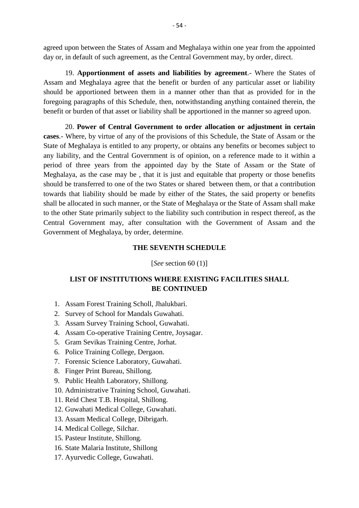agreed upon between the States of Assam and Meghalaya within one year from the appointed day or, in default of such agreement, as the Central Government may, by order, direct.

19. upon between the States of Assam and Meghalaya within one year from the appointed<br>in default of such agreement, as the Central Government may, by order, direct.<br>19. **Apportionment of assets and liabilities by agreement** Assam and Meghalaya agree that the benefit or burden of any particular asset or liability should be apportioned between them in a manner other than that as provided for in the foregoing paragraphs of this Schedule, then, notwithstanding anything contained therein, the benefit or burden of that asset or liability shall be apportioned in the manner so agreed upon.

20. **Power of Central Government to order allocation or adjustment in certain** should be apportioned between them in a manner other than that as provided for in the foregoing paragraphs of this Schedule, then, notwithstanding anything contained therein, the benefit or burden of that asset or liabilit State of Meghalaya is entitled to any property, or obtains any benefits or becomes subject to cases.- Where, by virtue of any of the provisions of this Schedule, the State of Assam or the State of Meghalaya is entitled to any property, or obtains any benefits or becomes subject to any liability, and the Central Gov period of three years from the appointed day by the State of Assam or the State of Meghalaya, as the case may be , that it is just and equitable that property or those benefits State of Meghalaya is entitled to any property, or obtains any benefits or becomes subject to any liability, and the Central Government is of opinion, on a reference made to it within a period of three years from the appoi towards that liability should be made by either of the States, the said property or benefits shall be allocated in such manner, or the State of Meghalaya or the State of Assam shall make Meghalaya, as the case may be, that it is just and equitable that property or those benefits should be transferred to one of the two States or shared between them, or that a contribution towards that liability should be ma Central Government may, after consultation with the Government of Assam and the Government of Meghalaya, by order, determine.

#### **THE SEVENTH SCHEDULE**

[*See* section 60 (1)]

### **LIST OF INSTITUTIONS WHERE EXISTING FACILITIES SHALL BE CONTINUED** [*See* section 60 (<br>LIST OF INSTITUTIONS WHERE EXIS<br>BE CONTINUE<br>1. Assam Forest Training Scholl, Jhalukbari.<br>2. Survey of School for Mandals Guwahati. **LIST OF INSTITUTIONS WHERE EXI**<br>**BE CONTINU**<br>1. Assam Forest Training Scholl, Jhalukbari.<br>2. Survey of School for Mandals Guwahati.<br>3. Assam Survey Training School, Guwahati. 2. Assam Forest Training Scholl, Jhalukbari.<br>
2. Survey of School for Mandals Guwahati.<br>
3. Assam Survey Training School, Guwahati.<br>
4. Assam Co-operative Training Centre, Joysagar.

- 
- 2. Survey of School for Mandals Guwaha<br>
3. Assam Survey Training School, Guwal<br>
4. Assam Co-operative Training Centre, J<br>
5. Gram Sevikas Training Centre, Jorhat.<br>
6. Police Training College, Dergaon.<br>
7. Forensic Science
- 
- **BE CONTINUED**<br>1. Assam Forest Training Scholl, Jhalukbari.<br>2. Survey of School for Mandals Guwahati.<br>3. Assam Survey Training School, Guwahati.<br>4. Assam Co-operative Training Centre, Joysagar.<br>5. Gram Sevikas Training Cen 1. Assam Forest Training Scholl, Jhalukbari.<br>2. Survey of School for Mandals Guwahati.<br>3. Assam Survey Training School, Guwahati.<br>4. Assam Co-operative Training Centre, Joys:<br>5. Gram Sevikas Training Centre, Jorhat.<br>6. Pol 3. Assam Survey Training School, Guwahati.<br>4. Assam Co-operative Training Centre, Joysag<br>5. Gram Sevikas Training Centre, Jorhat.<br>6. Police Training College, Dergaon.<br>7. Forensic Science Laboratory, Guwahati.<br>8. Finger Pri 4. Assam Co-operative Training Cent<br>5. Gram Sevikas Training Centre, Jor<br>6. Police Training College, Dergaon.<br>7. Forensic Science Laboratory, Guw<br>8. Finger Print Bureau, Shillong.<br>9. Public Health Laboratory, Shillong
- 
- 
- 5. Gram Sevikas Training Centre, Jorhat.<br>6. Police Training College, Dergaon.<br>7. Forensic Science Laboratory, Guwahati.<br>8. Finger Print Bureau, Shillong.<br>9. Public Health Laboratory, Shillong.<br>10. Administrative Training S 7. Forensic Science Laboratory, Guwahati.<br>8. Finger Print Bureau, Shillong.<br>9. Public Health Laboratory, Shillong.<br>10. Administrative Training School, Guwah<br>11. Reid Chest T.B. Hospital, Shillong.<br>12. Guwahati Medical Coll
- 
- 
- 5. Police Training College, Dergaon.<br>1. Forensic Science Laboratory, Guwahati.<br>10. Administrative Training School, Guwahati.<br>11. Reid Chest T.B. Hospital, Shillong. 8. Finger Print Bureau, Shillong.<br>
9. Public Health Laboratory, Shillong.<br>
10. Administrative Training School, Guwahati.<br>
11. Reid Chest T.B. Hospital, Shillong.<br>
12. Guwahati Medical College, Guwahati.<br>
13. Assam Medical 9. Public Health Laboratory, Shillong.<br>10. Administrative Training School, Guwah<br>11. Reid Chest T.B. Hospital, Shillong.<br>12. Guwahati Medical College, Guwahati.<br>13. Assam Medical College, Dibrigarh.<br>14. Medical College, Si
- 10. Administrative Training School<br>11. Reid Chest T.B. Hospital, Shi<br>12. Guwahati Medical College, G<br>13. Assam Medical College, Dibr<br>14. Medical College, Silchar.<br>15. Pasteur Institute, Shillong.
- 12. Guwahati Medical College, Guwahati.<br>13. Assam Medical College, Dibrigarh.<br>14. Medical College, Silchar.<br>15. Pasteur Institute, Shillong.<br>16. State Malaria Institute, Shillong<br>17. Ayurvedic College, Guwahati.
- 
- 
- 
- 11. Reid Chest T.B. Hospital, Shill<br>12. Guwahati Medical College, Gu<br>13. Assam Medical College, Dibrig<br>14. Medical College, Silchar.<br>15. Pasteur Institute, Shillong.<br>16. State Malaria Institute, Shillong 13. Assam Medical College, Dibri<br>14. Medical College, Silchar.<br>15. Pasteur Institute, Shillong.<br>16. State Malaria Institute, Shillon<br>17. Ayurvedic College, Guwahati.
-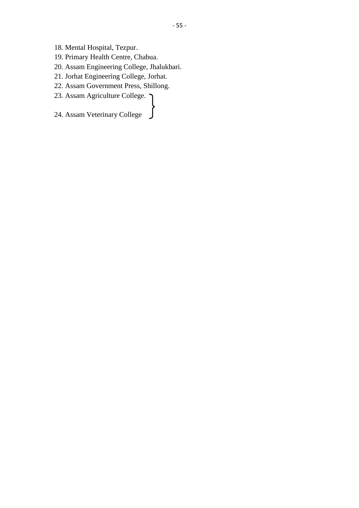- 
- 18. Mental Hospital, Tezpur.<br>19. Primary Health Centre, Chabua.
- 18. Mental Hospital, Tezpur.<br>19. Primary Health Centre, Chabua.<br>20. Assam Engineering College, Jhalukh 20. Assam Engineering College, Jorhanness.<br>20. Assam Engineering College, Jhalukbari.<br>21. Jorhat Engineering College, Jorhat. 18. Mental Hospital, Tezpur.<br>19. Primary Health Centre, Chabua.<br>20. Assam Engineering College, Jhalukbari<br>21. Jorhat Engineering College, Jorhat.<br>22. Assam Government Press, Shillong. 18. Mental Hospital, Tezpur.<br>19. Primary Health Centre, Chabua.<br>20. Assam Engineering College, Jhalukbari.<br>21. Jorhat Engineering College, Jorhat.<br>22. Assam Government Press, Shillong.<br>23. Assam Agriculture College. 7 Unde 19. Primary Health Centre, Chabua.<br>
20. Assam Engineering College, Jhalukbari.<br>
21. Jorhat Engineering College, Jorhat.<br>
22. Assam Government Press, Shillong.<br>
23. Assam Agriculture College. Under the Agricultural
- 
- 21. Jorhat Engineering College, Jorhat.<br>22. Assam Government Press, Shillong.<br>23. Assam Agriculture College. Under the Agricultural<br>24. Assam Veterinary College University, Jorhat
- 23. Assam Agriculture College.  $\bigcap$  Under the

Agricultural Agricultural University, Jorhat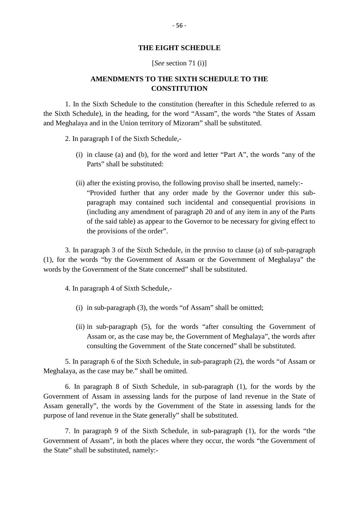#### **THE EIGHT SCHEDULE**

#### [*See* section 71 (i)]

### **AMENDMENTS TO THE SIXTH SCHEDULE TO THE CONSTITUTION**

1. In the Sixth Schedule to the constitution (hereafter in this Schedule referred to as the Sixth Schedule), in the heading, for the word "Assam", the words "the States of Assam and Meghalaya and in the Union territory of Mizoram" shall be substituted.

2. In paragraph I of the Sixth Schedule,-

- (i) in clause (a) and (b), for the word and letter "Part A", the words "any of the Parts" shall be substituted:
- (i) in clause (a) and (b), for the word and letter "Part A", the words "any of the Parts" shall be substituted:<br>(ii) after the existing proviso, the following proviso shall be inserted, namely:-<br>"Provided further that any "Provided further that any order made by the Governor under this sub paragraph may contained such incidental and consequential provisions in (including any amendment of paragraph 20 and of any item in any of the Parts after the existing proviso, the following proviso shall be inserted, namely:-<br>
"Provided further that any order made by the Governor under this sub-<br>
paragraph may contained such incidental and consequential provisions in<br> the provisions of the order".

3. In paragraph 3 of the Sixth Schedule, in the proviso to clause (a) of sub-paragraph (1), for the words "by the Government of Assam or the Government of Meghalaya" the Government of Assam or the Government of Meghalaya" the Surface of Assam or the Government of Meghalaya" the Surface of Meghalaya and the S words by the Government of the State concerned" shall be substituted.

4. In paragraph 4 of Sixth Schedule,-

- (i) in sub-paragraph (3), the words "of Assam" shall be omitted;
- (i) in sub-paragraph (3), the words "of Assam" shall be omitted;<br>
(ii) in sub-paragraph (5), for the words "after consulting the Government of Assam or, as the case may be, the Government of Meghalaya", the words after Assam or, as the case may be, the Government of Meghalaya", the words after consulting the Government of the State concerned" shall be substituted.

5. In paragraph 6 of the Sixth Schedule, in sub-paragraph (2), the words "of Assam or Meghalaya, as the case may be." shall be omitted.

6. In paragraph 8 of Sixth Schedule, in sub-paragraph (1), for the words by the Government of Assam in assessing lands for the purpose of land revenue in the State of Assam generally", the words by the Government of the State in assessing lands for the purpose of land revenue in the State generally" shall be substituted.

7. In paragraph 9 of the Sixth Schedule, in sub-paragraph (1), for the words "the Government of Assam", in both the places where they occur, the words "the Government of the State" shall be substituted, namely:-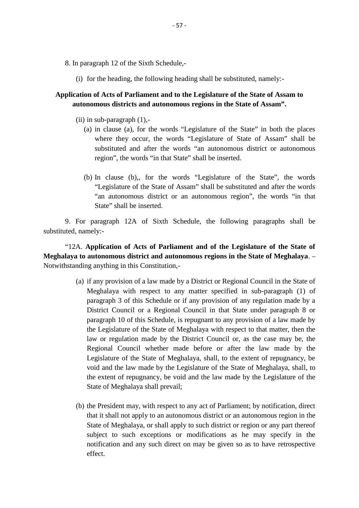- 8. In paragraph 12 of the Sixth Schedule,-
- (i) for the heading, the following heading shall be substituted, namely:-<br>(i) for the heading, the following heading shall be substituted, namely:-<br>ation of Acts of Perliament and to the Locislature of the State of Accom t

# **Application of Acts of Parliament and to the Legislature of the State of Assam to** In paragraph 12 of the Sixth Schedule,-<br>
(i) for the heading, the following heading shall be substituted, namely:-<br> **cation of Acts of Parliament and to the Legislature of the State of Assam t**<br> **autonomous districts and a** (i) for the heading, the followir<br> **ation of Acts of Parliament an**<br> **utonomous districts and autor**<br>
(ii) in sub-paragraph (1),-<br>
(a) in clause (a), for the wo

- - (a) in clause (a), for the words "Legislature of the State" in both the places where they occur, the words "Legislature of State of Assam" shall be substituted and after the words "an autonomous district or autonomous region", the words "in that State" shall be inserted.
	- (b) In clause (b),, for the words "Legislature of the State", the words "Legislature of the State of Assam" shall be substituted and after the words "an autonomous district or an autonomous region", the words "in that State" shall be inserted.

9. For paragraph 12A of Sixth Schedule, the following paragraphs shall be substituted, namely:-

"12A. **Application of Acts of Parliament and of the Legislature of the State of Meghalaya to autonomous district and autonomous regions in the State of Meghalaya**. – Notwithstanding anything in this Constitution,- A. Application of Acts of Parliament and of the Legislature of the State of<br>
i to autonomous district and autonomous regions in the State of Meghalaya. –<br>
inding anything in this Constitution,-<br>
(a) if any provision of a l

- Meghalaya with respect to any matter specified in sub-paragraph (1) of paragraph 3 of this Schedule or if any provision of any regulation made by a District Council or a Regional Council in that State under paragraph 8 or paragraph 10 of this Schedule, is repugnant to any provision of a law made by Meghalaya with respect to any matter specified in sub-paragraph (1) of paragraph 3 of this Schedule or if any provision of any regulation made by a District Council or a Regional Council in that State under paragraph 8 or paragraph 3 of this Schedule or if any provision of any regulation made by a<br>District Council or a Regional Council in that State under paragraph 8 or<br>paragraph 10 of this Schedule, is repugnant to any provision of a law m Regional Council whether made before or after the law made by the Legislature of the State of Meghalaya, shall, to the extent of repugnancy, be the Legislature of the State of Meghalaya with respect to that matter, then the law or regulation made by the District Council or, as the case may be, the Regional Council whether made before or after the law made by the L the extent of repugnancy, be void and the law made by the Legislature of the State of Meghalaya shall prevail;
- (b) the President may, with respect to any act of Parliament; by notification, direct the extent of repugnancy, be void and the law made by the Legislature of the<br>State of Meghalaya shall prevail;<br>the President may, with respect to any act of Parliament; by notification, direct<br>that it shall not apply to an State of Meghalaya, or shall apply to such district or region or any part thereof subject to such exceptions or modifications as he may specify in the the President may, with respect to any act of Parliament; by notification, direct that it shall not apply to an autonomous district or an autonomous region in the State of Meghalaya, or shall apply to such district or regi effect.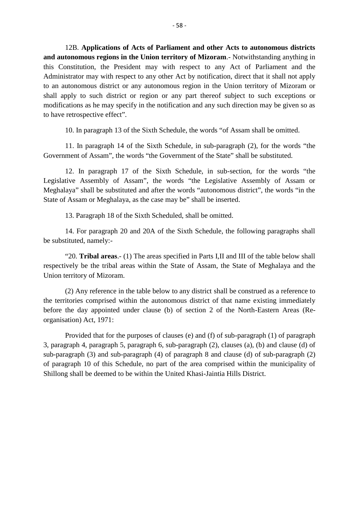12B. **Applications of Acts of Parliament and other Acts to autonomous districts** <sup>-58</sup><br><sup>-58</sup><br><sup>-58</sup><br><sup>-58</sup><br><sup>-58</sup><br>**and autonomous regions in the Union territory of Mizoram**.- Notwithstanding anything in<br>this Constitution, the President may with respect to any Act of Parliament and the<br>Administrator may wi this Constitution, the President may with respect to any Act of Parliament and the 12B. Applications of Acts of Parliament and other Acts to autonomous districts<br>and autonomous regions in the Union territory of Mizoram.- Notwithstanding anything in<br>this Constitution, the President may with respect to any shall apply to such district or region or any part thereof subject to such exceptions or modifications as he may specify in the notification and any such direction may be given so as to have retrospective effect".

10. In paragraph 13 of the Sixth Schedule, the words "of Assam shall be omitted.

11. In paragraph 14 of the Sixth Schedule, in sub-paragraph (2), for the words "the Government of Assam", the words "the Government of the State" shall be substituted.

12. In paragraph 17 of the Sixth Schedule, in sub-section, for the words "the Legislative Assembly of Assam", the words "the Legislative Assembly of Assam or Meghalaya" shall be substituted and after the words "autonomous district", the words "in the Sovernment of Assam, the words the Government of the State shall be shall be Sixth Schedule, in sub-section, Legislative Assembly of Assam", the words "the Legislative Assembles" and Meghalaya" shall be substituted and aft 12. In paragraph 17 of the Sixth Schedule, in sub-section<br>tive Assembly of Assam", the words "the Legislative A<br>aya" shall be substituted and after the words "autonomous dis<br>18 Assam or Meghalaya, as the case may be" shall

14. For paragraph 20 and 20A of the Sixth Schedule, the following paragraphs shall be substituted, namely:-

13. Paragraph 18 of the Sixth Scheduled, shall be omitted.<br>14. For paragraph 20 and 20A of the Sixth Schedule, the following paragraphs shall<br>tituted, namely:-<br>"20. **Tribal areas**.- (1) The areas specified in Parts I,II an 14. For paragraph 20 and 20A of the Sixth Schedule, the following paragraphs shall<br>be substituted, namely:-<br>"20. **Tribal areas**.- (1) The areas specified in Parts I,II and III of the table below shall<br>respectively be the t 14. For paragraph 20 and<br>be substituted, namely:-<br>"20. **Tribal areas**.- (1) T<br>respectively be the tribal areas<br>Union territory of Mizoram. (2) Any reference in the table below to any district shall be construed as a reference to<br>
(2) Any reference in the table below to any district shall be construed as a reference to<br>
tories comprised within the autonomous d

the territories comprised within the autonomous district of that name existing immediately before the day appointed under clause (b) of section 2 of the North-Eastern Areas (Reorganisation) Act, 1971:

Provided that for the purposes of clauses (e) and (f) of sub-paragraph (1) of paragraph 3, paragraph 4, paragraph 5, paragraph 6, sub-paragraph (2), clauses (a), (b) and clause (d) of sub-paragraph (3) and sub-paragraph (4) of paragraph 8 and clause (d) of sub-paragraph (2) of paragraph 10 of this Schedule, no part of the area comprised within the municipality of Provided that for the purposes of clauses (e) and (f) of sub-paragraph 3, paragraph 4, paragraph 5, paragraph 6, sub-paragraph (2), clauses (a), (b) sub-paragraph (3) and sub-paragraph (4) of paragraph 8 and clause (d) of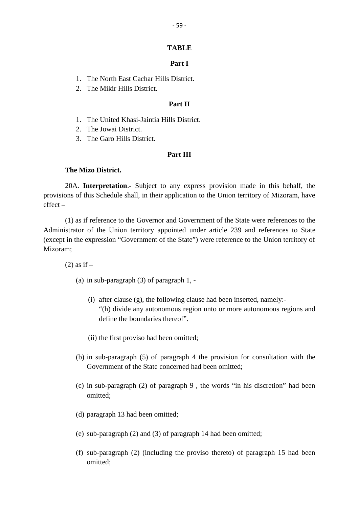# **TABLE** - 59 -<br>**Part I<br>Part I**

- TABLE<br>Part I<br>1. The North East Cachar Hills District.<br>2. The Mikir Hills District. **Part I**<br>1. The North East Cachar Hills District.<br>2. The Mikir Hills District.<br>**Part II** Part I<br>District.<br>Part II<br><sup>lle</sup> District.
- 

- 1. The North East Cachar Hills District.<br>
2. The Mikir Hills District.<br> **Part II**<br>
1. The United Khasi-Jaintia Hills District.<br>
2. The Jowai District. 1. The United Khasi-Jaintia Hills District.<br>2. The Jowai District.
- 
- 2. The Mikir Hills District<br>1. The United Khasi-Jainti<br>2. The Jowai District.<br>3. The Garo Hills District. 2. The Jowai Distri<br>
3. The Garo Hills I<br> **The Mizo District.**<br>
20.4. Interpretation

#### **Part III**

**20A.** Interpretation.- Subject to any express provision made in this behalf, the provisions of this Schedule shall, in their application to the Union territory of Mizoram, have effect – 20A. **Interpretation**. Subject to any express provision made in this behalf, the provisions of this Schedule shall, in their application to the Union territory of Mizoram, have effect –<br>(1) as if reference to the Governor

(except in the expression "Government of the State") were reference to the Union territory of (a) in sub-paragraph (3) of paragraph 1, - Mizoram;

 $(2)$  as if  $-$ 

- 
- (i) after clause (g), the following clause had been inserted, namely:- "(h) divide any autonomous region unto or more autonomous regions and define the boundaries thereof". (i) after clause (g), the following clause had been inserted, namely:-<br>
"(h) divide any autonomous region unto or more autonomous re<br>
define the boundaries thereof".<br>
(ii) the first proviso had been omitted;
	-
- (b) in sub-paragraph (5) of paragraph 4 the provision for consultation with the Government of the State concerned had been omitted; (b) in sub-paragraph (5) of paragraph 4 the provision for consultation with the Government of the State concerned had been omitted;<br>(c) in sub-paragraph (2) of paragraph 9, the words "in his discretion" had been omitted;
- omitted; (c) in sub-paragraph (2) of paragraph 9<br>omitted;<br>(d) paragraph 13 had been omitted;
- 
- (d) paragraph 13 had been omitted;<br>(e) sub-paragraph (2) and (3) of paragraph 14 had been omitted;
- (f) sub-paragraph (2) (including the proviso thereto) of paragraph 15 had been omitted;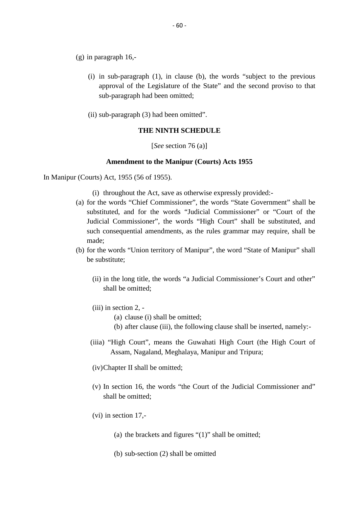- (g) in paragraph 16,-
	- (i) in sub-paragraph (1), in clause (b), the words "subject to the previous<br>approval of the Legislature of the State" and the second proviso to that approval of the Legislature of the State" and the second proviso to that sub-paragraph had been omitted; (i) in sub-paragraph (1), in clause (b), the<br>approval of the Legislature of the State"<br>sub-paragraph had been omitted;<br>(ii) sub-paragraph (3) had been omitted".<br>THE NINTH SCHEDULE
	-

#### **THE NINTH SCHEDULE**

[*See* section 76 (a)]

#### **Amendment to the Manipur (Courts) Acts 1955**

In Manipur (Courts) Act, 1955 (56 of 1955).

- Amendment to the Manipur (Courts) Acts 1955<br>
(Courts) Act, 1955 (56 of 1955).<br>
(i) throughout the Act, save as otherwise expressly provided:-<br>
(a) for the words "Chief Commissioner", the words "State Government" shall be substituted, and for the words "Judicial Commissioner" or "Court of the Judicial Commissioner", the words "High Court" shall be substituted, and such consequential amendments, as the rules grammar may require, shall be made;
- (b) for the words "Union territory of Manipur", the word "State of Manipur" shall be substitute;
	- (ii) in the long title, the words "a Judicial Commissioner's Court and other" shall be omitted; (ii) in the long title, the<br>shall be omitted;<br>(iii) in section 2, -<br>(a) clause (i) shall he long title, the words "a Judicial<br>
	ll be omitted;<br>
	section 2, -<br>
	(a) clause (i) shall be omitted;<br>
	(b) after clause (iii), the following of (a) clause (i) shall be omitted;<br>(a) clause (i) shall be omitted;<br>(b) after clause (iii), the following clause shall be inserted, namely:-<br>High Court'', moons the Guyghati High Court (the High Court of
	- -
		-
	- (iiia) "High Court", means the Guwahati High Court (the High Court of Assam, Nagaland, Meghalaya, Manipur and Tripura;
	- (iv)Chapter II shall be omitted;
	- (v) In section 16, the words "the Court of the Judicial Commissioner and" shall be omitted; (v) In section 16, the we shall be omitted;<br>(vi) in section 17,-(a) the brackets and figures "(1)" shall be omitted;<br>(a) the brackets and figures "(1)" shall be omitted;
	- -
- Section 17,-<br>(a) the brackets and figures "(1)" sl<br>(b) sub-section (2) shall be omitted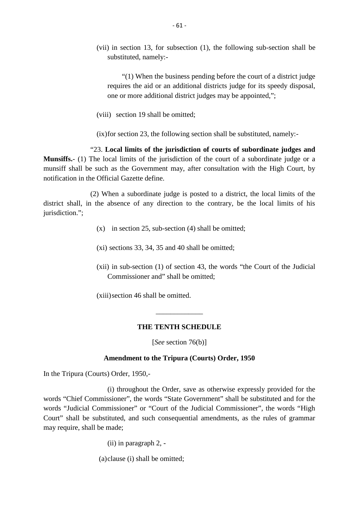(vii) in section 13, for subsection (1), the following sub-section shall be substituted, namely:-

"(1) When the business pending before the court of a district judge requires the aid or an additional districts judge for its speedy disposal, one or more additional district judges may be appointed,"; (1) When the business pendin<br>requires the aid or an additional di<br>one or more additional district judge<br>(viii) section 19 shall be omitted;

(ix)for section 23, the following section shall be substituted, namely:-

"23. **Local limits of the jurisdiction of courts of subordinate judges and** (viii) section 19 shall be omitted;<br>(ix) for section 23, the following section shall be substituted, namely:-<br>"23. **Local limits of the jurisdiction of courts of subordinate judges and Munsiffs.**- (1) The local limits of t munsiff shall be such as the Government may, after consultation with the High Court, by notification in the Official Gazette define.

(2) When a subordinate judge is posted to a district, the local limits of the district shall, in the absence of any direction to the contrary, be the local limits of his jurisdiction."; %) When a subordinate judge is posted to a district, the he absence of any direction to the contrary, be the  $(x)$  in section 25, sub-section (4) shall be omitted;

- (x) in section 25, sub-section (4) shall be omitted;<br>(xi) sections 33, 34, 35 and 40 shall be omitted;
- 
- (xii) in sub-section (1) of section 43, the words "the Court of the Judicial Commissioner and" shall be omitted;

(xiii)section 46 shall be omitted.

#### **THE TENTH SCHEDULE**

\_\_\_\_\_\_\_\_\_\_\_\_\_

[*See* section 76(b)]

#### **Amendment to the Tripura (Courts) Order, 1950**

In the Tripura (Courts) Order, 1950,-

(i) throughout the Order, save as otherwise expressly provided for the words "Chief Commissioner", the words "State Government" shall be substituted and for the words "Judicial Commissioner" or "Court of the Judicial Commissioner", the words "High Court" shall be substituted, and such consequential amendments, as the rules of grammar may require, shall be made; Sisioner, the words State<br>missioner" or "Court of the<br>ituted, and such conseque<br>made;<br>(ii) in paragraph 2, -

(a)clause (i) shall be omitted;